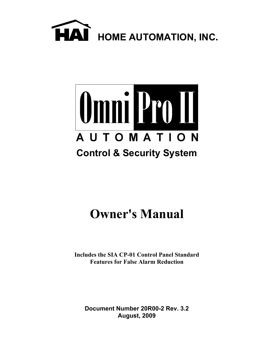



# **Owner's Manual**

**Includes the SIA CP-01 Control Panel Standard Features for False Alarm Reduction** 

**Document Number 20R00-2 Rev. 3.2 August, 2009**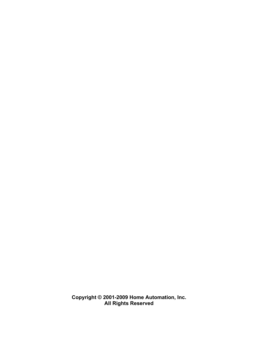**Copyright © 2001-2009 Home Automation, Inc. All Rights Reserved**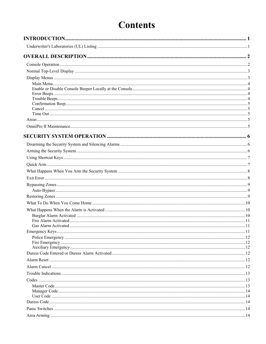# **Contents**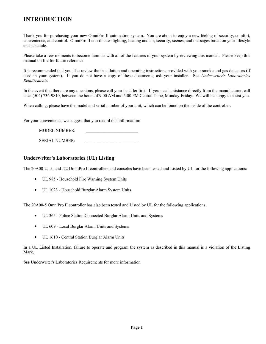# <span id="page-8-0"></span>**INTRODUCTION**

Thank you for purchasing your new OmniPro II automation system. You are about to enjoy a new feeling of security, comfort, convenience, and control. OmniPro II coordinates lighting, heating and air, security, scenes, and messages based on your lifestyle and schedule.

Please take a few moments to become familiar with all of the features of your system by reviewing this manual. Please keep this manual on file for future reference.

It is recommended that you also review the installation and operating instructions provided with your smoke and gas detectors (if used in your system). If you do not have a copy of these documents, ask your installer - **See** *Underwriter's Laboratories Requirements.*

In the event that there are any questions, please call your installer first. If you need assistance directly from the manufacturer, call us at (504) 736-9810, between the hours of 9:00 AM and 5:00 PM Central Time, Monday-Friday. We will be happy to assist you.

When calling, please have the model and serial number of your unit, which can be found on the inside of the controller.

For your convenience, we suggest that you record this information:

MODEL NUMBER:

SERIAL NUMBER:

## <span id="page-8-1"></span>**Underwriter's Laboratories (UL) Listing**

The 20A00-2, -5, and -22 OmniPro II controllers and consoles have been tested and Listed by UL for the following applications:

- UL 985 Household Fire Warning System Units
- UL 1023 Household Burglar Alarm System Units

The 20A00-5 OmniPro II controller has also been tested and Listed by UL for the following applications:

- UL 365 Police Station Connected Burglar Alarm Units and Systems
- UL 609 Local Burglar Alarm Units and Systems
- UL 1610 Central Station Burglar Alarm Units

In a UL Listed Installation, failure to operate and program the system as described in this manual is a violation of the Listing Mark.

**See** Underwriter's Laboratories Requirements for more information.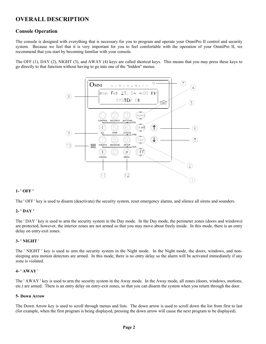# <span id="page-9-0"></span>**OVERALL DESCRIPTION**

## <span id="page-9-1"></span>**Console Operation**

The console is designed with everything that is necessary for you to program and operate your OmniPro II control and security system. Because we feel that it is very important for you to feel comfortable with the operation of your OmniPro II, we recommend that you start by becoming familiar with your console.

The OFF (1), DAY (2), NIGHT (3), and AWAY (4) keys are called shortcut keys. This means that you may press these keys to go directly to that function without having to go into one of the "hidden" menus.



#### **1- ' OFF '**

The ' OFF ' key is used to disarm (deactivate) the security system, reset emergency alarms, and silence all sirens and sounders.

#### **2- ' DAY '**

The ' DAY ' key is used to arm the security system in the Day mode. In the Day mode, the perimeter zones (doors and windows) are protected, however, the interior zones are not armed so that you may move about freely inside. In this mode, there is an entry delay on entry-exit zones.

#### **3- ' NIGHT** '

The ' NIGHT ' key is used to arm the security system in the Night mode. In the Night mode, the doors, windows, and nonsleeping area motion detectors are armed. In this mode, there is no entry delay so the alarm will be activated immediately if any zone is violated.

#### **4- ' AWAY** '

The ' AWAY ' key is used to arm the security system in the Away mode. In the Away mode, all zones (doors, windows, motions, etc.) are armed. There is an entry delay on entry-exit zones, so that you can disarm the system when you return through the door.

#### **5- Down Arrow**

The Down Arrow key is used to scroll through menus and lists. The down arrow is used to scroll down the list from first to last (for example, when the first program is being displayed, pressing the down arrow will cause the next program to be displayed).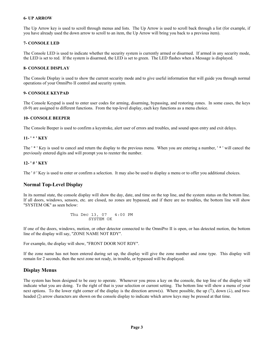#### **6- UP ARROW**

The Up Arrow key is used to scroll through menus and lists. The Up Arrow is used to scroll back through a list (for example, if you have already used the down arrow to scroll to an item, the Up Arrow will bring you back to a previous item).

#### **7- CONSOLE LED**

The Console LED is used to indicate whether the security system is currently armed or disarmed. If armed in any security mode, the LED is set to red. If the system is disarmed, the LED is set to green. The LED flashes when a Message is displayed.

#### **8- CONSOLE DISPLAY**

The Console Display is used to show the current security mode and to give useful information that will guide you through normal operations of your OmniPro II control and security system.

#### **9- CONSOLE KEYPAD**

The Console Keypad is used to enter user codes for arming, disarming, bypassing, and restoring zones. In some cases, the keys (0-9) are assigned to different functions. From the top-level display, each key functions as a menu choice.

#### **10- CONSOLE BEEPER**

The Console Beeper is used to confirm a keystroke, alert user of errors and troubles, and sound upon entry and exit delays.

#### **11- ' \* ' KEY**

The ' \* ' Key is used to cancel and return the display to the previous menu. When you are entering a number, ' \* ' will cancel the previously entered digits and will prompt you to reenter the number.

#### **12- ' # ' KEY**

The '#' Key is used to enter or confirm a selection. It may also be used to display a menu or to offer you additional choices.

## <span id="page-10-0"></span>**Normal Top-Level Display**

In its normal state, the console display will show the day, date, and time on the top line, and the system status on the bottom line. If all doors, windows, sensors, etc. are closed, no zones are bypassed, and if there are no troubles, the bottom line will show "SYSTEM OK" as seen below:

Thu Dec 13, 07 4:00 PM SYSTEM OK

If one of the doors, windows, motion, or other detector connected to the OmniPro II is open, or has detected motion, the bottom line of the display will say, "ZONE NAME NOT RDY".

For example, the display will show, "FRONT DOOR NOT RDY".

If the zone name has not been entered during set up, the display will give the zone number and zone type. This display will remain for 2 seconds, then the next zone not ready, in trouble, or bypassed will be displayed.

## <span id="page-10-1"></span>**Display Menus**

The system has been designed to be easy to operate. Whenever you press a key on the console, the top line of the display will indicate what you are doing. To the right of that is your selection or current setting. The bottom line will show a menu of your next options. To the lower right corner of the display is the direction arrow(s). Where possible, the up ( $\uparrow$ ), down ( $\downarrow$ ), and twoheaded ( $\hat{\psi}$ ) arrow characters are shown on the console display to indicate which arrow keys may be pressed at that time.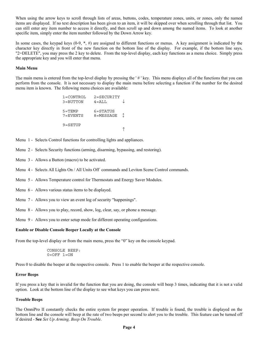When using the arrow keys to scroll through lists of areas, buttons, codes, temperature zones, units, or zones, only the named items are displayed. If no text description has been given to an item, it will be skipped over when scrolling through that list. You can still enter any item number to access it directly, and then scroll up and down among the named items. To look at another specific item, simply enter the item number followed by the Down Arrow key.

In some cases, the keypad keys  $(0-9, *, #)$  are assigned to different functions or menus. A key assignment is indicated by the character key directly in front of the new function on the bottom line of the display. For example, if the bottom line says, "2=DELETE", you may press the 2 key to delete. From the top-level display, each key functions as a menu choice. Simply press the appropriate key and you will enter that menu.

#### <span id="page-11-0"></span>**Main Menu**

The main menu is entered from the top-level display by pressing the '#' key. This menu displays all of the functions that you can perform from the console. It is not necessary to display the main menu before selecting a function if the number for the desired menu item is known. The following menu choices are available:

| $1 = \text{CONTROL}$<br>$3 = BUTTON$ | $2 = SECIIRITY$<br>$4 = \text{ALL}$ |  |
|--------------------------------------|-------------------------------------|--|
| $5 = TEMP$<br>$7 =$ EVENTS           | $6 = STATUS$<br>8=MESSAGE           |  |
| $9 = SETUP$                          |                                     |  |

Menu 1 - Selects Control functions for controlling lights and appliances.

Menu 2 - Selects Security functions (arming, disarming, bypassing, and restoring).

- Menu 3 Allows a Button (macro) to be activated.
- Menu 4 Selects All Lights On / All Units Off commands and Leviton Scene Control commands.
- Menu 5 Allows Temperature control for Thermostats and Energy Saver Modules.
- Menu 6 Allows various status items to be displayed.
- Menu 7 Allows you to view an event log of security "happenings".
- Menu 8 Allows you to play, record, show, log, clear, say, or phone a message.
- Menu 9 Allows you to enter setup mode for different operating configurations.

#### <span id="page-11-1"></span>**Enable or Disable Console Beeper Locally at the Console**

From the top-level display or from the main menu, press the "0" key on the console keypad.

$$
\begin{array}{ll}\text{CONSOLE} & \text{BEEP:}\\ \text{0=OFF} & \text{1=ON}\end{array}
$$

Press 0 to disable the beeper at the respective console. Press 1 to enable the beeper at the respective console.

#### <span id="page-11-2"></span>**Error Beeps**

If you press a key that is invalid for the function that you are doing, the console will beep 3 times, indicating that it is not a valid option. Look at the bottom line of the display to see what keys you can press next.

#### <span id="page-11-3"></span>**Trouble Beeps**

The OmniPro II constantly checks the entire system for proper operation. If trouble is found, the trouble is displayed on the bottom line and the console will beep at the rate of two beeps per second to alert you to the trouble. This feature can be turned off if desired - **See** *Set Up Arming, Beep On Trouble.*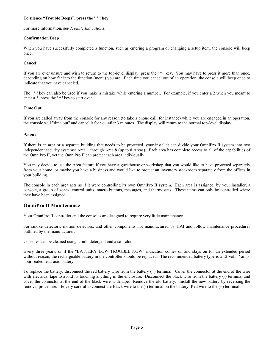#### **To silence "Trouble Beeps", press the ' \* ' key.**

For more information, **see** *Trouble Indications*.

#### <span id="page-12-0"></span>**Confirmation Beep**

When you have successfully completed a function, such as entering a program or changing a setup item, the console will beep once.

#### <span id="page-12-1"></span>**Cancel**

If you are ever unsure and wish to return to the top-level display, press the '\*' key. You may have to press it more than once, depending on how far into the function (menu) you are. Each time you cancel out of an operation, the console will beep once to indicate that you have canceled.

The '\*' key can also be used if you make a mistake while entering a number. For example, if you enter a 2 when you meant to enter a 3, press the '\*' key to start over.

#### <span id="page-12-2"></span>**Time Out**

If you are called away from the console for any reason (to take a phone call, for instance) while you are engaged in an operation, the console will "time out" and cancel it for you after 3 minutes. The display will return to the normal top-level display.

## <span id="page-12-3"></span>**Areas**

If there is an area or a separate building that needs to be protected, your installer can divide your OmniPro II system into two independent security systems: Area 1 through Area 8 (up to 8 Areas). Each area has complete access to all of the capabilities of the OmniPro II, yet the OmniPro II can protect each area individually.

You may decide to use the Area feature if you have a guesthouse or workshop that you would like to have protected separately from your home, or maybe you have a business and would like to protect an inventory stockroom separately from the offices in your building.

The console in each area acts as if it were controlling its own OmniPro II system. Each area is assigned, by your installer, a console, a group of zones, control units, macro buttons, messages, and thermostats. These items can only be controlled where they have been assigned.

## <span id="page-12-4"></span>**OmniPro II Maintenance**

Your OmniPro II controller and the consoles are designed to require very little maintenance.

For smoke detectors, motion detectors, and other components not manufactured by HAI and follow maintenance procedures outlined by the manufacturer.

Consoles can be cleaned using a mild detergent and a soft cloth.

Every three years, or if the "BATTERY LOW TROUBLE NOW" indication comes on and stays on for an extended period without reason, the rechargeable battery in the controller should be replaced. The recommended battery type is a 12-volt, 7 amphour sealed lead-acid battery.

To replace the battery, disconnect the red battery wire from the battery (+) terminal. Cover the connector at the end of the wire with electrical tape to avoid its touching anything in the enclosure. Disconnect the black wire from the battery (-) terminal and cover the connector at the end of the black wire with tape. Remove the old battery. Install the new battery by reversing the removal procedure. Be very careful to connect the Black wire to the (-) terminal on the battery; Red wire to the (+) terminal.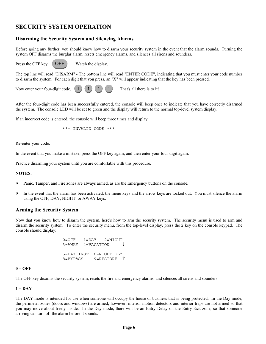# <span id="page-13-0"></span>**SECURITY SYSTEM OPERATION**

## <span id="page-13-1"></span>**Disarming the Security System and Silencing Alarms**

Before going any further, you should know how to disarm your security system in the event that the alarm sounds. Turning the system OFF disarms the burglar alarm, resets emergency alarms, and silences all sirens and sounders.

Press the OFF key.  $\bullet$  OFF  $\cdot$  Watch the display. **OFF** 

The top line will read "DISARM" - The bottom line will read "ENTER CODE", indicating that you must enter your code number to disarm the system. For each digit that you press, an "X" will appear indicating that the key has been pressed.

| Now enter your four-digit code. $\begin{pmatrix} 1 & 1 & 1 \end{pmatrix}$ |  |  |  |  | That's all there is to it! |
|---------------------------------------------------------------------------|--|--|--|--|----------------------------|
|---------------------------------------------------------------------------|--|--|--|--|----------------------------|

After the four-digit code has been successfully entered, the console will beep once to indicate that you have correctly disarmed the system. The console LED will be set to green and the display will return to the normal top-level system display.

If an incorrect code is entered, the console will beep three times and display

```
*** INVALID CODE ***
```
Re-enter your code.

In the event that you make a mistake, press the OFF key again, and then enter your four-digit again.

Practice disarming your system until you are comfortable with this procedure.

#### **NOTES:**

- $\triangleright$  Panic, Tamper, and Fire zones are always armed, as are the Emergency buttons on the console.
- $\triangleright$  In the event that the alarm has been activated, the menu keys and the arrow keys are locked out. You must silence the alarm using the OFF, DAY, NIGHT, or AWAY keys.

## <span id="page-13-2"></span>**Arming the Security System**

Now that you know how to disarm the system, here's how to arm the security system. The security menu is used to arm and disarm the security system. To enter the security menu, from the top-level display, press the 2 key on the console keypad. The console should display:

```
 0=OFF 1=DAY 2=NIGHT
3 =AWAY 4 =VACATION ↓
 5=DAY INST 6=NIGHT DLY 
 8=BYPASS 9=RESTORE ↑
```
#### $0 =$ **OFF**

The OFF key disarms the security system, resets the fire and emergency alarms, and silences all sirens and sounders.

#### $1 = DAY$

The DAY mode is intended for use when someone will occupy the house or business that is being protected. In the Day mode, the perimeter zones (doors and windows) are armed; however, interior motion detectors and interior traps are not armed so that you may move about freely inside. In the Day mode, there will be an Entry Delay on the Entry-Exit zone, so that someone arriving can turn off the alarm before it sounds.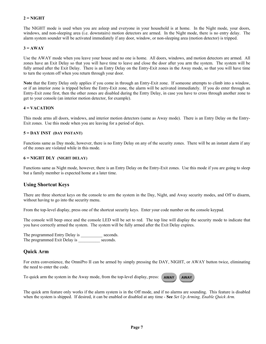## **2 = NIGHT**

The NIGHT mode is used when you are asleep and everyone in your household is at home. In the Night mode, your doors, windows, and non-sleeping area (i.e. downstairs) motion detectors are armed. In the Night mode, there is no entry delay. The alarm system sounder will be activated immediately if any door, window, or non-sleeping area (motion detector) is tripped.

#### **3 = AWAY**

Use the AWAY mode when you leave your house and no one is home. All doors, windows, and motion detectors are armed. All zones have an Exit Delay so that you will have time to leave and close the door after you arm the system. The system will be fully armed after the Exit Delay. There is an Entry Delay on the Entry-Exit zones in the Away mode, so that you will have time to turn the system off when you return through your door.

**Note** that the Entry Delay only applies if you come in through an Entry-Exit zone. If someone attempts to climb into a window, or if an interior zone is tripped before the Entry-Exit zone, the alarm will be activated immediately. If you do enter through an Entry-Exit zone first, then the other zones are disabled during the Entry Delay, in case you have to cross through another zone to get to your console (an interior motion detector, for example).

#### **4 = VACATION**

This mode arms all doors, windows, and interior motion detectors (same as Away mode). There is an Entry Delay on the Entry-Exit zones. Use this mode when you are leaving for a period of days.

#### **5 = DAY INST (DAY INSTANT)**

Functions same as Day mode, however, there is no Entry Delay on any of the security zones. There will be an instant alarm if any of the zones are violated while in this mode.

#### **6 = NIGHT DLY (NIGHT DELAY)**

Functions same as Night mode, however, there is an Entry Delay on the Entry-Exit zones. Use this mode if you are going to sleep but a family member is expected home at a later time.

## <span id="page-14-0"></span>**Using Shortcut Keys**

There are three shortcut keys on the console to arm the system in the Day, Night, and Away security modes, and Off to disarm, without having to go into the security menu.

From the top-level display, press one of the shortcut security keys. Enter your code number on the console keypad.

The console will beep once and the console LED will be set to red. The top line will display the security mode to indicate that you have correctly armed the system. The system will be fully armed after the Exit Delay expires.

The programmed Entry Delay is \_\_\_\_\_\_\_\_\_\_ seconds. The programmed Exit Delay is seconds.

## <span id="page-14-1"></span>**Quick Arm**

For extra convenience, the OmniPro II can be armed by simply pressing the DAY, NIGHT, or AWAY button twice, eliminating the need to enter the code.

To quick arm the system in the Away mode, from the top-level display, press:



The quick arm feature only works if the alarm system is in the Off mode, and if no alarms are sounding. This feature is disabled when the system is shipped. If desired, it can be enabled or disabled at any time - **See** *Set Up Arming, Enable Quick Arm.*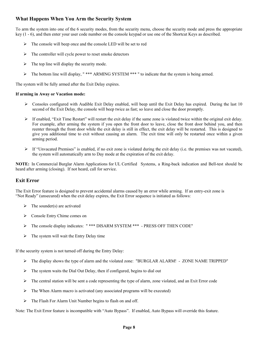## <span id="page-15-0"></span>**What Happens When You Arm the Security System**

To arm the system into one of the 6 security modes, from the security menu, choose the security mode and press the appropriate key (1 - 6), and then enter your user code number on the console keypad or use one of the Shortcut Keys as described.

- $\triangleright$  The console will beep once and the console LED will be set to red
- $\triangleright$  The controller will cycle power to reset smoke detectors
- $\triangleright$  The top line will display the security mode.
- ¾ The bottom line will display, " \*\*\* ARMING SYSTEM \*\*\* " to indicate that the system is being armed.

The system will be fully armed after the Exit Delay expires.

#### **If arming in Away or Vacation mode:**

- $\triangleright$  Consoles configured with Audible Exit Delay enabled, will beep until the Exit Delay has expired. During the last 10 second of the Exit Delay, the console will beep twice as fast; so leave and close the door promptly.
- $\triangleright$  If enabled, "Exit Time Restart" will restart the exit delay if the same zone is violated twice within the original exit delay. For example, after arming the system if you open the front door to leave, close the front door behind you, and then reenter through the front door while the exit delay is still in effect, the exit delay will be restarted. This is designed to give you additional time to exit without causing an alarm. The exit time will only be restarted once within a given arming period.
- $\triangleright$  If "Unvacated Premises" is enabled, if no exit zone is violated during the exit delay (i.e. the premises was not vacated), the system will automatically arm to Day mode at the expiration of the exit delay.

**NOTE:** In Commercial Burglar Alarm Applications for UL Certified Systems, a Ring-back indication and Bell-test should be heard after arming (closing). If not heard, call for service.

## <span id="page-15-1"></span>**Exit Error**

The Exit Error feature is designed to prevent accidental alarms caused by an error while arming. If an entry-exit zone is "Not Ready" (unsecured) when the exit delay expires, the Exit Error sequence is initiated as follows:

- $\triangleright$  The sounder(s) are activated
- $\triangleright$  Console Entry Chime comes on
- ¾ The console display indicates: " \*\*\* DISARM SYSTEM \*\*\* PRESS OFF THEN CODE"
- $\triangleright$  The system will wait the Entry Delay time

If the security system is not turned off during the Entry Delay:

- ¾ The display shows the type of alarm and the violated zone: "BURGLAR ALARM! ZONE NAME TRIPPED"
- $\triangleright$  The system waits the Dial Out Delay, then if configured, begins to dial out
- $\triangleright$  The central station will be sent a code representing the type of alarm, zone violated, and an Exit Error code
- $\triangleright$  The When Alarm macro is activated (any associated programs will be executed)
- ¾ The Flash For Alarm Unit Number begins to flash on and off.

Note: The Exit Error feature is incompatible with "Auto Bypass". If enabled, Auto Bypass will override this feature.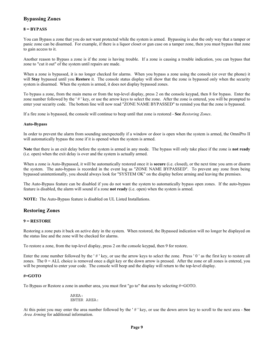# <span id="page-16-0"></span>**Bypassing Zones**

#### **8 = BYPASS**

You can Bypass a zone that you do not want protected while the system is armed. Bypassing is also the only way that a tamper or panic zone can be disarmed. For example, if there is a liquor closet or gun case on a tamper zone, then you must bypass that zone to gain access to it.

Another reason to Bypass a zone is if the zone is having trouble. If a zone is causing a trouble indication, you can bypass that zone to "cut it out" of the system until repairs are made.

When a zone is bypassed, it is no longer checked for alarms. When you bypass a zone using the console (or over the phone) it will **Stay** bypassed until you **Restore** it. The console status display will show that the zone is bypassed only when the security system is disarmed. When the system is armed, it does not display bypassed zones.

To bypass a zone, from the main menu or from the top-level display, press 2 on the console keypad, then 8 for bypass. Enter the zone number followed by the '#' key, or use the arrow keys to select the zone. After the zone is entered, you will be prompted to enter your security code. The bottom line will now read "ZONE NAME BYPASSED" to remind you that the zone is bypassed.

If a fire zone is bypassed, the console will continue to beep until that zone is restored - **See** *Restoring Zones*.

#### <span id="page-16-1"></span>**Auto-Bypass**

In order to prevent the alarm from sounding unexpectedly if a window or door is open when the system is armed, the OmniPro II will automatically bypass the zone if it is opened when the system is armed.

**Note** that there is an exit delay before the system is armed in any mode. The bypass will only take place if the zone is **not ready** (i.e. open) when the exit delay is over and the system is actually armed.

When a zone is Auto-Bypassed, it will be automatically restored once it is **secure** (i.e. closed), or the next time you arm or disarm the system. The auto-bypass is recorded in the event log as "ZONE NAME BYPASSED". To prevent any zone from being bypassed unintentionally, you should always look for "SYSTEM OK" on the display before arming and leaving the premises.

The Auto-Bypass feature can be disabled if you do not want the system to automatically bypass open zones. If the auto-bypass feature is disabled, the alarm will sound if a zone **not ready** (i.e. open) when the system is armed.

**NOTE:** The Auto-Bypass feature is disabled on UL Listed Installations.

## <span id="page-16-2"></span>**Restoring Zones**

#### **9 = RESTORE**

Restoring a zone puts it back on active duty in the system. When restored, the Bypassed indication will no longer be displayed on the status line and the zone will be checked for alarms.

To restore a zone, from the top-level display, press 2 on the console keypad, then 9 for restore.

Enter the zone number followed by the ' # ' key, or use the arrow keys to select the zone. Press ' 0 ' as the first key to restore all zones. The  $0 = ALL$  choice is removed once a digit key or the down arrow is pressed. After the zone or all zones is entered, you will be prompted to enter your code. The console will beep and the display will return to the top-level display.

#### **#=GOTO**

To Bypass or Restore a zone in another area, you must first "go to" that area by selecting #=GOTO.

 AREA: ENTER AREA:

At this point you may enter the area number followed by the ' # ' key, or use the down arrow key to scroll to the next area - **See** *Area Arming* for additional information.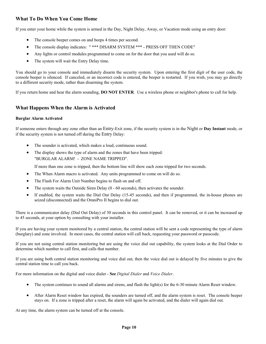# <span id="page-17-0"></span>**What To Do When You Come Home**

If you enter your home while the system is armed in the Day, Night Delay, Away, or Vacation mode using an entry door:

- The console beeper comes on and beeps 4 times per second.
- The console display indicates: " \*\*\* DISARM SYSTEM \*\*\* PRESS OFF THEN CODE"
- Any lights or control modules programmed to come on for the door that you used will do so.
- The system will wait the Entry Delay time.

You should go to your console and immediately disarm the security system. Upon entering the first digit of the user code, the console beeper is silenced. If canceled, or an incorrect code is entered, the beeper is restarted. If you wish, you may go directly to a different security mode, rather than disarming the system.

If you return home and hear the alarm sounding, **DO NOT ENTER**. Use a wireless phone or neighbor's phone to call for help.

## <span id="page-17-1"></span>**What Happens When the Alarm is Activated**

#### <span id="page-17-2"></span>**Burglar Alarm Activated**

If someone enters through any zone other than an Entry-Exit zone, if the security system is in the Night or **Day Instant** mode, or if the security system is not turned off during the Entry Delay:

- The sounder is activated, which makes a loud, continuous sound.
- The display shows the type of alarm and the zones that have been tripped: "BURGLAR ALARM! - ZONE NAME TRIPPED".

If more than one zone is tripped, then the bottom line will show each zone tripped for two seconds.

- The When Alarm macro is activated. Any units programmed to come on will do so.
- The Flash For Alarm Unit Number begins to flash on and off.
- The system waits the Outside Siren Delay (0 60 seconds), then activates the sounder.
- If enabled, the system waits the Dial Out Delay (15-45 seconds), and then if programmed, the in-house phones are seized (disconnected) and the OmniPro II begins to dial out.

There is a communicator delay (Dial Out Delay) of 30 seconds in this control panel. It can be removed, or it can be increased up to 45 seconds, at your option by consulting with your installer.

If you are having your system monitored by a central station, the central station will be sent a code representing the type of alarm (burglary) and zone involved. In most cases, the central station will call back, requesting your password or passcode.

If you are not using central station monitoring but are using the voice dial out capability, the system looks at the Dial Order to determine which number to call first, and calls that number.

If you are using both central station monitoring and voice dial out, then the voice dial out is delayed by five minutes to give the central station time to call you back.

For more information on the digital and voice dialer - **See** *Digital Dialer* and *Voice Dialer*.

- The system continues to sound all alarms and sirens, and flash the light(s) for the 6-30 minute Alarm Reset window.
- After Alarm Reset window has expired, the sounders are turned off, and the alarm system is reset. The console beeper stays on. If a zone is tripped after a reset, the alarm will again be activated, and the dialer will again dial out.

At any time, the alarm system can be turned off at the console.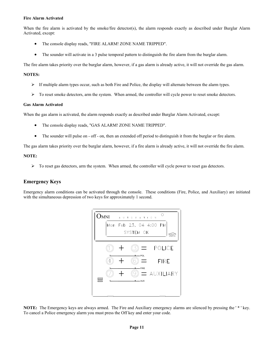#### <span id="page-18-0"></span>**Fire Alarm Activated**

When the fire alarm is activated by the smoke/fire detector(s), the alarm responds exactly as described under Burglar Alarm Activated, except:

- The console display reads, "FIRE ALARM! ZONE NAME TRIPPED".
- The sounder will activate in a 3 pulse temporal pattern to distinguish the fire alarm from the burglar alarm.

The fire alarm takes priority over the burglar alarm, however, if a gas alarm is already active, it will not override the gas alarm.

#### **NOTES:**

- $\triangleright$  If multiple alarm types occur, such as both Fire and Police, the display will alternate between the alarm types.
- $\triangleright$  To reset smoke detectors, arm the system. When armed, the controller will cycle power to reset smoke detectors.

#### <span id="page-18-1"></span>**Gas Alarm Activated**

When the gas alarm is activated, the alarm responds exactly as described under Burglar Alarm Activated, except:

- The console display reads, "GAS ALARM! ZONE NAME TRIPPED".
- The sounder will pulse on off on, then an extended off period to distinguish it from the burglar or fire alarm.

The gas alarm takes priority over the burglar alarm, however, if a fire alarm is already active, it will not override the fire alarm.

#### **NOTE:**

 $\triangleright$  To reset gas detectors, arm the system. When armed, the controller will cycle power to reset gas detectors.

## <span id="page-18-2"></span>**Emergency Keys**

Emergency alarm conditions can be activated through the console. These conditions (Fire, Police, and Auxiliary) are initiated with the simultaneous depression of two keys for approximately 1 second.



**NOTE:** The Emergency keys are always armed. The Fire and Auxiliary emergency alarms are silenced by pressing the '\*' key. To cancel a Police emergency alarm you must press the Off key and enter your code.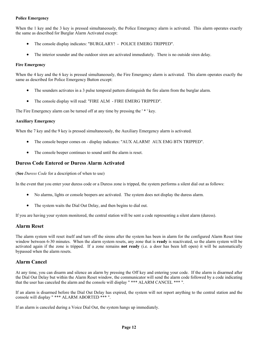#### <span id="page-19-0"></span>**Police Emergency**

When the 1 key and the 3 key is pressed simultaneously, the Police Emergency alarm is activated. This alarm operates exactly the same as described for Burglar Alarm Activated except:

- The console display indicates: "BURGLARY! POLICE EMERG TRIPPED".
- The interior sounder and the outdoor siren are activated immediately. There is no outside siren delay.

#### <span id="page-19-1"></span>**Fire Emergency**

When the 4 key and the 6 key is pressed simultaneously, the Fire Emergency alarm is activated. This alarm operates exactly the same as described for Police Emergency Button except:

- The sounders activates in a 3 pulse temporal pattern distinguish the fire alarm from the burglar alarm.
- The console display will read: "FIRE ALM FIRE EMERG TRIPPED".

The Fire Emergency alarm can be turned off at any time by pressing the ' \* ' key.

#### <span id="page-19-2"></span>**Auxiliary Emergency**

When the 7 key and the 9 key is pressed simultaneously, the Auxiliary Emergency alarm is activated.

- The console beeper comes on display indicates: "AUX ALARM! AUX EMG BTN TRIPPED".
- The console beeper continues to sound until the alarm is reset.

## <span id="page-19-3"></span>**Duress Code Entered or Duress Alarm Activated**

(**See** *Duress Code* for a description of when to use)

In the event that you enter your duress code or a Duress zone is tripped, the system performs a silent dial out as follows:

- No alarms, lights or console beepers are activated. The system does not display the duress alarm.
- The system waits the Dial Out Delay, and then begins to dial out.

If you are having your system monitored, the central station will be sent a code representing a silent alarm (duress).

## <span id="page-19-4"></span>**Alarm Reset**

The alarm system will reset itself and turn off the sirens after the system has been in alarm for the configured Alarm Reset time window between 6-30 minutes. When the alarm system resets, any zone that is **ready** is reactivated, so the alarm system will be activated again if the zone is tripped. If a zone remains **not ready** (i.e. a door has been left open) it will be automatically bypassed when the alarm resets.

## <span id="page-19-5"></span>**Alarm Cancel**

At any time, you can disarm and silence an alarm by pressing the Off key and entering your code. If the alarm is disarmed after the Dial Out Delay but within the Alarm Reset window, the communicator will send the alarm code followed by a code indicating that the user has canceled the alarm and the console will display " \*\*\* ALARM CANCEL \*\*\* ".

If an alarm is disarmed before the Dial Out Delay has expired, the system will not report anything to the central station and the console will display " \*\*\* ALARM ABORTED \*\*\* ".

If an alarm is canceled during a Voice Dial Out, the system hangs up immediately.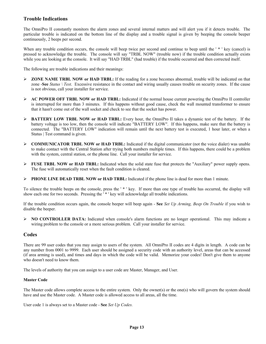## <span id="page-20-0"></span>**Trouble Indications**

The OmniPro II constantly monitors the alarm zones and several internal matters and will alert you if it detects trouble. The particular trouble is indicated on the bottom line of the display and a trouble signal is given by beeping the console beeper continuously, 2 beeps per second.

When any trouble condition occurs, the console will beep twice per second and continue to beep until the ' \* ' key (cancel) is pressed to acknowledge the trouble. The console will say "TRBL NOW" (trouble now) if the trouble condition actually exists while you are looking at the console. It will say "HAD TRBL" (had trouble) if the trouble occurred and then corrected itself.

The following are trouble indications and their meanings:

- ¾ **ZONE NAME TRBL NOW or HAD TRBL:** If the reading for a zone becomes abnormal, trouble will be indicated on that zone -**See** *Status \ Test*. Excessive resistance in the contact and wiring usually causes trouble on security zones. If the cause is not obvious, call your installer for service.
- ¾ **AC POWER OFF TRBL NOW or HAD TRBL:** Indicated if the normal house current powering the OmniPro II controller is interrupted for more than 3 minutes. If this happens without good cause, check the wall mounted transformer to ensure that it hasn't come out of the wall socket and check to see that the socket has power.
- ¾ **BATTERY LOW TRBL NOW or HAD TRBL:** Every hour, the OmniPro II takes a dynamic test of the battery. If the battery voltage is too low, then the console will indicate "BATTERY LOW". If this happens, make sure that the battery is connected. The "BATTERY LOW" indication will remain until the next battery test is executed, 1 hour later, or when a Status | Test command is given.
- ¾ **COMMUNICATOR TRBL NOW or HAD TRBL:** Indicated if the digital communicator (not the voice dialer) was unable to make contact with the Central Station after trying both numbers multiple times. If this happens, there could be a problem with the system, central station, or the phone line. Call your installer for service.
- ¾ **FUSE TRBL NOW or HAD TRBL:** Indicated when the solid state fuse that protects the "Auxiliary" power supply opens. The fuse will automatically reset when the fault condition is cleared.
- ¾ **PHONE LINE DEAD TRBL NOW or HAD TRBL:** Indicated if the phone line is dead for more than 1 minute.

To silence the trouble beeps on the console, press the '\*' key. If more than one type of trouble has occurred, the display will show each one for two seconds. Pressing the '\*' key will acknowledge all trouble indications.

If the trouble condition occurs again, the console beeper will beep again - **See** *Set Up Arming, Beep On Trouble* if you wish to disable the beeper.

¾ **NO CONTROLLER DATA:** Indicated when console's alarm functions are no longer operational. This may indicate a wiring problem to the console or a more serious problem. Call your installer for service.

## <span id="page-20-1"></span>**Codes**

There are 99 user codes that you may assign to users of the system. All OmniPro II codes are 4 digits in length. A code can be any number from 0001 to 9999. Each user should be assigned a security code with an authority level, areas that can be accessed (if area arming is used), and times and days in which the code will be valid. Memorize your codes! Don't give them to anyone who doesn't need to know them.

The levels of authority that you can assign to a user code are Master, Manager, and User.

#### <span id="page-20-2"></span>**Master Code**

The Master code allows complete access to the entire system. Only the owner(s) or the one(s) who will govern the system should have and use the Master code. A Master code is allowed access to all areas, all the time.

User code 1 is always set to a Master code - **See** *Set Up Codes.*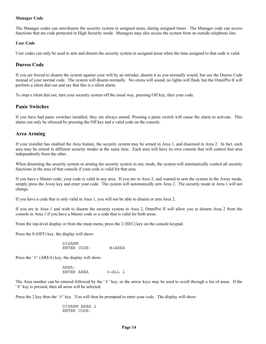#### <span id="page-21-0"></span>**Manager Code**

The Manager codes can arm/disarm the security system in assigned areas, during assigned times. The Manager code can access functions that are code protected in High Security mode. Managers may also access the system from an outside telephone line.

#### <span id="page-21-1"></span>**User Code**

User codes can only be used to arm and disarm the security system in assigned areas when the time assigned to that code is valid.

## <span id="page-21-2"></span>**Duress Code**

If you are forced to disarm the system against your will by an intruder, disarm it as you normally would, but use the Duress Code instead of your normal code. The system will disarm normally. No sirens will sound, no lights will flash, but the OmniPro II will perform a silent dial out and say that this is a silent alarm.

To stop a silent dial out, turn your security system off the usual way, pressing Off key, then your code.

## <span id="page-21-3"></span>**Panic Switches**

If you have had panic switches installed, they are always armed. Pressing a panic switch will cause the alarm to activate. This alarm can only be silenced by pressing the Off key and a valid code on the console.

## <span id="page-21-4"></span>**Area Arming**

If your installer has enabled the Area feature, the security system may be armed in Area 1, and disarmed in Area 2. In fact, each area may be armed in different security modes at the same time. Each area will have its own console that will control that area independently from the other.

When disarming the security system or arming the security system in any mode, the system will automatically control all security functions in the area of that console if your code is valid for that area.

If you have a Master code, your code is valid in any area. If you are in Area 2, and wanted to arm the system in the Away mode, simply press the Away key and enter your code. The system will automatically arm Area 2. The security mode in Area 1 will not change.

If you have a code that is only valid in Area 1, you will not be able to disarm or arm Area 2.

If you are in Area 1 and wish to disarm the security system in Area 2, OmniPro II will allow you to disarm Area 2 from the console in Area 1 if you have a Master code or a code that is valid for both areas.

From the top-level display or from the main menu, press the 2 (SEC) key on the console keypad.

Press the 0 (OFF) key, the display will show:

 DISARM ENTER CODE: #=AREA

Press the '#' (AREA) key, the display will show:

 AREA: ENTER AREA  $0=$ ALL  $\downarrow$ 

The Area number can be entered followed by the '#' key, or the arrow keys may be used to scroll through a list of areas. If the ' 0 ' key is pressed, then all areas will be selected.

Press the 2 key then the '#' key. You will then be prompted to enter your code. The display will show:

 DISARM AREA 2 ENTER CODE: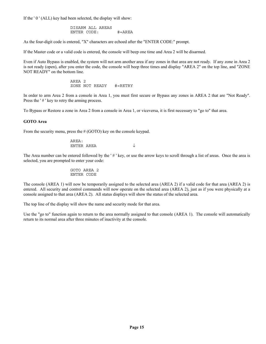If the ' 0 ' (ALL) key had been selected, the display will show:

 DISARM ALL AREAS ENTER CODE: #=AREA

As the four-digit code is entered, "X" characters are echoed after the "ENTER CODE:" prompt.

If the Master code or a valid code is entered, the console will beep one time and Area 2 will be disarmed.

Even if Auto Bypass is enabled, the system will not arm another area if any zones in that area are not ready. If any zone in Area 2 is not ready (open), after you enter the code, the console will beep three times and display "AREA 2" on the top line, and "ZONE NOT READY" on the bottom line.

> AREA 2 ZONE NOT READY #=RETRY

In order to arm Area 2 from a console in Area 1, you must first secure or Bypass any zones in AREA 2 that are "Not Ready". Press the '#' key to retry the arming process.

To Bypass or Restore a zone in Area 2 from a console in Area 1, or viceversa, it is first necessary to "go to" that area.

#### **GOTO Area**

From the security menu, press the # (GOTO) key on the console keypad.

 AREA: ENTER AREA  $\downarrow$ 

The Area number can be entered followed by the '#' key, or use the arrow keys to scroll through a list of areas. Once the area is selected, you are prompted to enter your code:

 GOTO AREA 2 ENTER CODE

The console (AREA 1) will now be temporarily assigned to the selected area (AREA 2) if a valid code for that area (AREA 2) is entered. All security and control commands will now operate on the selected area (AREA 2), just as if you were physically at a console assigned to that area (AREA 2). All status displays will show the status of the selected area.

The top line of the display will show the name and security mode for that area.

Use the "go to" function again to return to the area normally assigned to that console (AREA 1). The console will automatically return to its normal area after three minutes of inactivity at the console.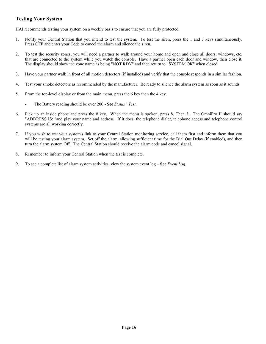# <span id="page-23-0"></span>**Testing Your System**

HAI recommends testing your system on a weekly basis to ensure that you are fully protected.

- 1. Notify your Central Station that you intend to test the system. To test the siren, press the 1 and 3 keys simultaneously. Press OFF and enter your Code to cancel the alarm and silence the siren.
- 2. To test the security zones, you will need a partner to walk around your home and open and close all doors, windows, etc. that are connected to the system while you watch the console. Have a partner open each door and window, then close it. The display should show the zone name as being "NOT RDY" and then return to "SYSTEM OK" when closed.
- 3. Have your partner walk in front of all motion detectors (if installed) and verify that the console responds in a similar fashion.
- 4. Test your smoke detectors as recommended by the manufacturer. Be ready to silence the alarm system as soon as it sounds.
- 5. From the top-level display or from the main menu, press the 6 key then the 4 key.
	- The Battery reading should be over 200 **See** *Status \ Test*.
- 6. Pick up an inside phone and press the # key. When the menu is spoken, press 8, Then 3. The OmniPro II should say "ADDRESS IS: "and play your name and address. If it does, the telephone dialer, telephone access and telephone control systems are all working correctly.
- 7. If you wish to test your system's link to your Central Station monitoring service, call them first and inform them that you will be testing your alarm system. Set off the alarm, allowing sufficient time for the Dial Out Delay (if enabled), and then turn the alarm system Off. The Central Station should receive the alarm code and cancel signal.
- 8. Remember to inform your Central Station when the test is complete.
- 9. To see a complete list of alarm system activities, view the system event log **See** *Event Log*.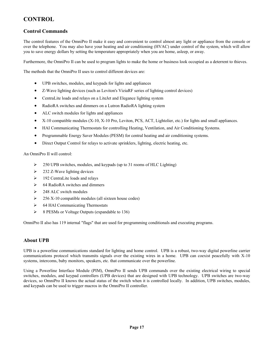# <span id="page-24-0"></span>**CONTROL**

# <span id="page-24-1"></span>**Control Commands**

The control features of the OmniPro II make it easy and convenient to control almost any light or appliance from the console or over the telephone. You may also have your heating and air conditioning (HVAC) under control of the system, which will allow you to save energy dollars by setting the temperature appropriately when you are home, asleep, or away.

Furthermore, the OmniPro II can be used to program lights to make the home or business look occupied as a deterrent to thieves.

The methods that the OmniPro II uses to control different devices are:

- UPB switches, modules, and keypads for lights and appliances
- Z-Wave lighting devices (such as Leviton's ViziaRF series of lighting control devices)
- CentraLite loads and relays on a LiteJet and Elegance lighting system
- RadioRA switches and dimmers on a Lutron RadioRA lighting system
- ALC switch modules for lights and appliances
- X-10 compatible modules (X-10, X-10 Pro, Leviton, PCS, ACT, Lightolier, etc.) for lights and small appliances.
- HAI Communicating Thermostats for controlling Heating, Ventilation, and Air Conditioning Systems.
- Programmable Energy Saver Modules (PESM) for central heating and air conditioning systems.
- Direct Output Control for relays to activate sprinklers, lighting, electric heating, etc.

An OmniPro II will control:

- ¾ 250 UPB switches, modules, and keypads (up to 31 rooms of HLC Lighting)
- $\geq$  232 Z-Wave lighting devices
- $\geq$  192 CentraLite loads and relays
- $\geq$  64 RadioRA switches and dimmers
- $\geq$  248 ALC switch modules
- $\geq$  256 X-10 compatible modules (all sixteen house codes)
- $\geq$  64 HAI Communicating Thermostats
- ¾ 8 PESMs or Voltage Outputs (expandable to 136)

OmniPro II also has 119 internal "flags" that are used for programming conditionals and executing programs.

## <span id="page-24-2"></span>**About UPB**

UPB is a powerline communications standard for lighting and home control. UPB is a robust, two-way digital powerline carrier communications protocol which transmits signals over the existing wires in a home. UPB can coexist peacefully with X-10 systems, intercoms, baby monitors, speakers, etc. that communicate over the powerline.

Using a Powerline Interface Module (PIM), OmniPro II sends UPB commands over the existing electrical wiring to special switches, modules, and keypad controllers (UPB devices) that are designed with UPB technology. UPB switches are two-way devices, so OmniPro II knows the actual status of the switch when it is controlled locally. In addition, UPB switches, modules, and keypads can be used to trigger macros in the OmniPro II controller.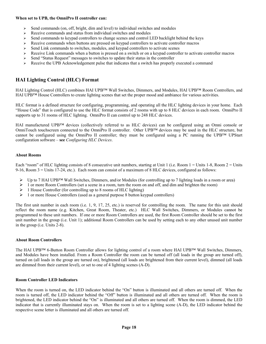#### **When set to UPB, the OmniPro II controller can:**

- $\geq$  Send commands (on, off, bright, dim and level) to individual switches and modules
- $\triangleright$  Receive commands and status from individual switches and modules
- $\triangleright$  Send commands to keypad controllers to change scenes and control LED backlight behind the keys
- ¾ Receive commands when buttons are pressed on keypad controllers to activate controller macros
- $\geq$  Send Link commands to switches, modules, and keypad controllers to activate scenes
- $\triangleright$  Receive Link commands when a button is pressed on a switch or on a keypad controller to activate controller macros
- $\triangleright$  Send "Status Request" messages to switches to update their status in the controller
- Receive the UPB Acknowledgement pulse that indicates that a switch has properly executed a command

## <span id="page-25-0"></span>**HAI Lighting Control (HLC) Format**

HAI Lighting Control (HLC) combines HAI UPB™ Wall Switches, Dimmers, and Modules, HAI UPB™ Room Controllers, and HAI UPB™ House Controllers to create lighting scenes that set the proper mood and ambiance for various activities.

HLC format is a defined structure for configuring, programming, and operating all the HLC lighting devices in your home. Each "House Code" that is configured to use the HLC format consists of 2 rooms with up to 8 HLC devices in each room. OmniPro II supports up to 31 rooms of HLC lighting. OmniPro II can control up to 248 HLC devices.

HAI manufactured UPB™ devices (collectively referred to as HLC devices) can be configured using an Omni console or OmniTouch touchscreen connected to the OmniPro II controller. Other UPB™ devices may be used in the HLC structure, but cannot be configured using the OmniPro II controller; they must be configured using a PC running the UPB™ UPStart configuration software – **see** *Configuring HLC Devices*.

#### <span id="page-25-1"></span>**About Rooms**

Each "room" of HLC lighting consists of 8 consecutive unit numbers, starting at Unit 1 (i.e. Room 1 = Units 1-8, Room 2 = Units 9-16, Room 3 = Units 17-24, etc.). Each room can consist of a maximum of 8 HLC devices, configured as follows:

- $\triangleright$  Up to 7 HAI UPB<sup>TM</sup> Wall Switches, Dimmers, and/or Modules (for controlling up to 7 lighting loads in a room or area)
- $\geq 1$  or more Room Controllers (set a scene in a room, turn the room on and off, and dim and brighten the room)
- $\triangleright$  1 House Controller (for controlling up to 8 rooms of HLC lighting)
- $\triangleright$  1 or more House Controllers (used as a general purpose 8 button keypad controllers)

The first unit number in each room (i.e. 1, 9, 17, 25, etc.) is reserved for controlling the room. The name for this unit should reflect the room name (e.g. Kitchen, Great Room, Theater, etc.) HLC Wall Switches, Dimmers, or Modules cannot be programmed to these unit numbers. If one or more Room Controllers are used, the first Room Controller should be set to the first unit number in the group (i.e. Unit 1); additional Room Controllers can be used by setting each to any other unused unit number in the group (i.e. Units 2-8).

#### <span id="page-25-2"></span>**About Room Controllers**

The HAI UPB™ 6-Button Room Controller allows for lighting control of a room where HAI UPB™ Wall Switches, Dimmers, and Modules have been installed. From a Room Controller the room can be turned off (all loads in the group are turned off), turned on (all loads in the group are turned on), brightened (all loads are brightened from their current level), dimmed (all loads are dimmed from their current level), or set to one of 4 lighting scenes (A-D).

#### <span id="page-25-3"></span>**Room Controller LED Indicators**

When the room is turned on, the LED indicator behind the "On" button is illuminated and all others are turned off. When the room is turned off, the LED indicator behind the "Off" button is illuminated and all others are turned off. When the room is brightened, the LED indicator behind the "On" is illuminated and all others are turned off. When the room is dimmed, the LED indicator that is currently illuminated stays on. When the room is set to a lighting scene (A-D), the LED indicator behind the respective scene letter is illuminated and all others are turned off.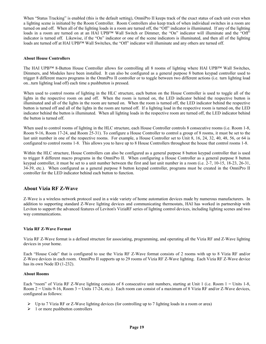When "Status Tracking" is enabled (this is the default setting), OmniPro II keeps track of the exact status of each unit even when a lighting scene is initiated by the Room Controller. Room Controllers also keep track of when individual switches in a room are turned on and off. When all of the lighting loads in a room are turned off, the "Off" indicator is illuminated. If any of the lighting loads in a room are turned on at an HAI UPB™ Wall Switch or Dimmer, the "On" indicator will illuminate and the "Off" indicator is turned off. Likewise, if the "On" indicator or one of the scene indicators is illuminated, and then all of the lighting loads are turned off at HAI UPB™ Wall Switches, the "Off" indicator will illuminate and any others are turned off.

#### <span id="page-26-0"></span>**About House Controllers**

The HAI UPB™ 8-Button House Controller allows for controlling all 8 rooms of lighting where HAI UPB™ Wall Switches, Dimmers, and Modules have been installed. It can also be configured as a general purpose 8 button keypad controller used to trigger 8 different macro programs in the OmniPro II controller or to toggle between two different actions (i.e. turn lighting load on...turn lighting load off) each time a pushbutton is pressed.

When used to control rooms of lighting in the HLC structure, each button on the House Controller is used to toggle all of the lights in the respective room on and off. When the room is turned on, the LED indicator behind the respective button is illuminated and all of the lights in the room are turned on. When the room is turned off, the LED indicator behind the respective button is turned off and all of the lights in the room are turned off. If a lighting load in the respective room is turned on, the LED indicator behind the button is illuminated. When all lighting loads in the respective room are turned off, the LED indicator behind the button is turned off.

When used to control rooms of lighting in the HLC structure, each House Controller controls 8 consecutive rooms (i.e. Room 1-8, Room 9-16, Room 17-24, and Room 25-31). To configure a House Controller to control a group of 8 rooms, it must be set to the last unit number in one of the respective rooms. For example, a House Controller set to Unit 8, 16, 24, 32, 40, 48, 56, or 64 is configured to control rooms 1-8. This allows you to have up to 8 House Controllers throughout the house that control rooms 1-8.

Within the HLC structure, House Controllers can also be configured as a general purpose 8 button keypad controller that is used to trigger 8 different macro programs in the OmniPro II. When configuring a House Controller as a general purpose 8 button keypad controller, it must be set to a unit number between the first and last unit number in a room (i.e. 2-7, 10-15, 18-23, 26-31, 34-39, etc.). When configured as a general purpose 8 button keypad controller, programs must be created in the OmniPro II controller for the LED indicator behind each button to function.

## <span id="page-26-1"></span>**About Vizia RF Z-Wave**

Z-Wave is a wireless network protocol used in a wide variety of home automation devices made by numerous manufacturers. In addition to supporting standard Z-Wave lighting devices and communicating thermostats, HAI has worked in partnership with Leviton to support the advanced features of Leviton's ViziaRF series of lighting control devices, including lighting scenes and two way communications.

#### <span id="page-26-2"></span>**Vizia RF Z-Wave Format**

Vizia RF Z-Wave format is a defined structure for associating, programming, and operating all the Vizia RF and Z-Wave lighting devices in your home.

Each "House Code" that is configured to use the Vizia RF Z-Wave format consists of 2 rooms with up to 8 Vizia RF and/or Z-Wave devices in each room. OmniPro II supports up to 29 rooms of Vizia RF Z-Wave lighting. Each Vizia RF Z-Wave device has its own Node ID (1-232).

#### **About Rooms**

Each "room" of Vizia RF Z-Wave lighting consists of 8 consecutive unit numbers, starting at Unit 1 (i.e. Room 1 = Units 1-8, Room  $2 =$  Units 9-16, Room  $3 =$  Units 17-24, etc.). Each room can consist of a maximum of 8 Vizia RF and/or Z-Wave devices, configured as follows:

- $\triangleright$  Up to 7 Vizia RF or Z-Wave lighting devices (for controlling up to 7 lighting loads in a room or area)
- $\geq 1$  or more pushbutton controllers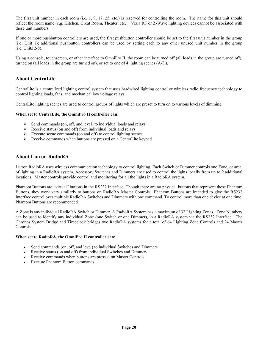The first unit number in each room (i.e. 1, 9, 17, 25, etc.) is reserved for controlling the room. The name for this unit should reflect the room name (e.g. Kitchen, Great Room, Theater, etc.). Vizia RF or Z-Wave lighting devices cannot be associated with these unit numbers.

If one or more pushbutton controllers are used, the first pushbutton controller should be set to the first unit number in the group (i.e. Unit 1); additional pushbutton controllers can be used by setting each to any other unused unit number in the group (i.e. Units 2-8).

Using a console, touchscreen, or other interface to OmniPro II, the room can be turned off (all loads in the group are turned off), turned on (all loads in the group are turned on), or set to one of 4 lighting scenes (A-D).

## <span id="page-27-0"></span>**About CentraLite**

CentraLite is a centralized lighting control system that uses hardwired lighting control or wireless radio frequency technology to control lighting loads, fans, and mechanical low voltage relays.

CentraLite lighting scenes are used to control groups of lights which are preset to turn on to various levels of dimming.

#### **When set to CentraLite, the OmniPro II controller can:**

- $\triangleright$  Send commands (on, off, and level) to individual loads and relays
- $\triangleright$  Receive status (on and off) from individual loads and relays
- $\triangleright$  Execute scene commands (on and off) to control lighting scenes
- $\triangleright$  Receive commands when buttons are pressed on a CentraLite keypad

## <span id="page-27-1"></span>**About Lutron RadioRA**

Lutron RadioRA uses wireless communication technology to control lighting. Each Switch or Dimmer controls one Zone, or area, of lighting in a RadioRA system. Accessory Switches and Dimmers are used to control the lights locally from up to 9 additional locations. Master controls provide control and monitoring for all the lights in a RadioRA system.

Phantom Buttons are "virtual" buttons in the RS232 Interface. Though there are no physical buttons that represent these Phantom Buttons, they work very similarly to buttons on RadioRA Master Controls. Phantom Buttons are intended to give the RS232 Interface control over multiple RadioRA Switches and Dimmers with one command. To control more than one device at one time, Phantom Buttons are recommended.

A Zone is any individual RadioRA Switch or Dimmer. A RadioRA System has a maximum of 32 Lighting Zones. Zone Numbers can be used to identify any individual Zone (one Switch or one Dimmer), in a RadioRA system via the RS232 Interface. The Chronos System Bridge and Timeclock bridges two RadioRA systems for a total of 64 Lighting Zone Controls and 24 Master Controls.

#### **When set to RadioRA, the OmniPro II controller can:**

- $\geq$  Send commands (on, off, and level) to individual Switches and Dimmers
- $\triangleright$  Receive status (on and off) from individual Switches and Dimmers
- Receive commands when buttons are pressed on Master Controls
- $\triangleright$  Execute Phantom Button commands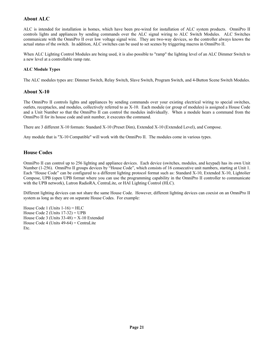## <span id="page-28-0"></span>**About ALC**

ALC is intended for installation in homes, which have been pre-wired for installation of ALC system products. OmniPro II controls lights and appliances by sending commands over the ALC signal wiring to ALC Switch Modules. ALC Switches communicate with the OmniPro II over low voltage signal wire. They are two-way devices, so the controller always knows the actual status of the switch. In addition, ALC switches can be used to set scenes by triggering macros in OmniPro II.

When ALC Lighting Control Modules are being used, it is also possible to "ramp" the lighting level of an ALC Dimmer Switch to a new level at a controllable ramp rate.

#### <span id="page-28-1"></span>**ALC Module Types**

The ALC modules types are: Dimmer Switch, Relay Switch, Slave Switch, Program Switch, and 4-Button Scene Switch Modules.

## <span id="page-28-2"></span>**About X-10**

The OmniPro II controls lights and appliances by sending commands over your existing electrical wiring to special switches, outlets, receptacles, and modules, collectively referred to as X-10. Each module (or group of modules) is assigned a House Code and a Unit Number so that the OmniPro II can control the modules individually. When a module hears a command from the OmniPro II for its house code and unit number, it executes the command.

There are 3 different X-10 formats: Standard X-10 (Preset Dim), Extended X-10 (Extended Level), and Compose.

Any module that is "X-10 Compatible" will work with the OmniPro II. The modules come in various types.

## <span id="page-28-3"></span>**House Codes**

OmniPro II can control up to 256 lighting and appliance devices. Each device (switches, modules, and keypad) has its own Unit Number (1-256). OmniPro II groups devices by "House Code", which consists of 16 consecutive unit numbers, starting at Unit 1. Each "House Code" can be configured to a different lighting protocol format such as: Standard X-10, Extended X-10, Lightolier Compose, UPB (open UPB format where you can use the programming capability in the OmniPro II controller to communicate with the UPB network), Lutron RadioRA, CentraLite, or HAI Lighting Control (HLC).

Different lighting devices can not share the same House Code. However, different lighting devices can coexist on an OmniPro II system as long as they are on separate House Codes. For example:

House Code 1 (Units  $1-16$ ) = HLC House Code 2 (Units 17-32) = UPB House Code 3 (Units  $33-48$ ) = X-10 Extended House Code 4 (Units 49-64) = CentraLite Etc.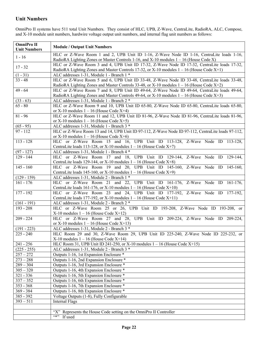# <span id="page-29-0"></span>**Unit Numbers**

OmniPro II systems have 511 total Unit Numbers. They consist of HLC, UPB, Z-Wave, CentraLite, RadioRA, ALC, Compose, and X-10 module unit numbers, hardwire voltage output unit numbers, and internal flag unit numbers as follows:

| OmniPro II<br><b>Unit Numbers</b> | <b>Module / Output Unit Numbers</b>                                                                                     |
|-----------------------------------|-------------------------------------------------------------------------------------------------------------------------|
|                                   | HLC or Z-Wave Room 1 and 2, UPB Unit ID 1-16, Z-Wave Node ID 1-16, CentraLite loads 1-16,                               |
| $1 - 16$                          | RadioRA Lighting Zones or Master Controls 1-16, and X-10 modules $1 - 16$ (House Code X)                                |
|                                   | HLC or Z-Wave Room 3 and 4, UPB Unit ID 17-32, Z-Wave Node ID 17-32, CentraLite loads 17-32,                            |
| $17 - 32$                         | RadioRA Lighting Zones and Master Controls 17-32, or X-10 modules $1 - 16$ (House Code X+1)                             |
| $(1 - 31)$                        | ALC addresses 1-31, Module 1 - Branch 1 *                                                                               |
| $33 - 48$                         | HLC or Z-Wave Room 5 and 6, UPB Unit ID 33-48, Z-Wave Node ID 33-48, CentraLite loads 33-48,                            |
|                                   | RadioRA Lighting Zones and Master Controls 33-48, or X-10 modules $1 - 16$ (House Code X+2)                             |
| $49 - 64$                         | HLC or Z-Wave Room 7 and 8, UPB Unit ID 49-64, Z-Wave Node ID 49-64, CentraLite loads 49-64,                            |
|                                   | RadioRA Lighting Zones and Master Controls 49-64, or X-10 modules $1 - 16$ (House Code X+3)                             |
| $(33 - 63)$                       | ALC addresses 1-31, Module 1 - Branch 2 *                                                                               |
| $65 - 80$                         | HLC or Z-Wave Room 9 and 10, UPB Unit ID 65-80, Z-Wave Node ID 65-80, CentraLite loads 65-80,                           |
|                                   | or X-10 modules $1 - 16$ (House Code X+4)                                                                               |
| $81 - 96$                         | HLC or Z-Wave Room 11 and 12, UPB Unit ID 81-96, Z-Wave Node ID 81-96, CentraLite loads 81-96,                          |
|                                   | or X-10 modules $1 - 16$ (House Code X+5)                                                                               |
| $(65 - 95)$                       | ALC addresses 1-31, Module 1 - Branch 3 *                                                                               |
| $97 - 112$                        | HLC or Z-Wave Room 13 and 14, UPB Unit ID 97-112, Z-Wave Node ID 97-112, CentraLite loads 97-112,                       |
|                                   | or X-10 modules $1 - 16$ (House Code X+6)                                                                               |
| $113 - 128$                       | HLC or Z-Wave Room 15 and 16, UPB Unit ID 113-128, Z-Wave Node ID 113-128,                                              |
|                                   | CentraLite loads 113-128, or X-10 modules $1 - 16$ (House Code X+7)                                                     |
| $(97 - 127)$<br>129 - 144         | ALC addresses 1-31, Module 1 - Branch 4 *<br>HLC or Z-Wave Room 17 and 18, UPB Unit ID 129-144, Z-Wave Node ID 129-144, |
|                                   | CentraLite loads 129-144, or X-10 modules $1 - 16$ (House Code X+8)                                                     |
| $145 - 160$                       | HLC or Z-Wave Room 19 and 20, UPB Unit ID 145-160, Z-Wave Node ID 145-160,                                              |
|                                   | CentraLite loads 145-160, or X-10 modules $1 - 16$ (House Code X+9)                                                     |
| $(129 - 159)$                     | ALC addresses 1-31, Module 2 - Branch 1 *                                                                               |
| $161 - 176$                       | HLC or Z-Wave Room 21 and 22, UPB Unit ID 161-176, Z-Wave Node ID<br>$161-176$ ,                                        |
|                                   | CentraLite loads 161-176, or X-10 modules $1 - 16$ (House Code X+10)                                                    |
| 177 - 192                         | HLC or Z-Wave Room 23 and 24, UPB Unit ID 177-192, Z-Wave Node ID 177-192,                                              |
|                                   | CentraLite loads 177-192, or X-10 modules $1 - 16$ (House Code X+11)                                                    |
| $(161 - 191)$                     | ALC addresses 1-31, Module 2 - Branch 2 *                                                                               |
| $193 - 208$                       | HLC or Z-Wave Room 25 or 26, UPB Unit ID 193-208, Z-Wave Node ID 193-208, or                                            |
|                                   | $X-10$ modules $1-16$ (House Code $X+12$ )                                                                              |
| $209 - 224$                       | HLC or Z-Wave Room 27 and 28, UPB Unit ID 209-224, Z-Wave Node ID 209-224,                                              |
|                                   | or X-10 modules $1 - 16$ (House Code X+13)                                                                              |
| $(191 - 223)$                     | ALC addresses 1-31, Module 2 - Branch 3 *                                                                               |
| $225 - 240$                       | HLC Room 29 and 30, Z-Wave Room 29, UPB Unit ID 225-240, Z-Wave Node ID 225-232, or                                     |
|                                   | $X-10$ modules $1-16$ (House Code $X+14$ )                                                                              |
| $241 - 256$                       | HLC Room 31, UPB Unit ID 241-250, or X-10 modules $1 - 16$ (House Code X+15)                                            |
| $(225 - 255)$                     | ALC addresses 1-31, Module 2 - Branch 3 *                                                                               |
| $257 - 272$                       | Outputs 1-16, 1st Expansion Enclosure *                                                                                 |
| $273 - 288$                       | Outputs 1-16, 2nd Expansion Enclosure *                                                                                 |
| $289 - 304$                       | Outputs 1-16, 3rd Expansion Enclosure *                                                                                 |
| $305 - 320$                       | Outputs 1-16, 4th Expansion Enclosure *                                                                                 |
| $321 - 336$                       | Outputs 1-16, 5th Expansion Enclosure *                                                                                 |
| $337 - 352$                       | Outputs 1-16, 6th Expansion Enclosure *                                                                                 |
| $353 - 368$                       | Outputs 1-16, 7th Expansion Enclosure *                                                                                 |
| $369 - 384$                       | Outputs 1-16, 8th Expansion Enclosure *                                                                                 |
| $385 - 392$                       | Voltage Outputs (1-8), Fully Configurable                                                                               |
| $393 - 511$                       | <b>Internal Flags</b>                                                                                                   |
|                                   |                                                                                                                         |
|                                   | Represents the House Code setting on the OmniPro II Controller<br>(4, 3)<br>If used                                     |
|                                   |                                                                                                                         |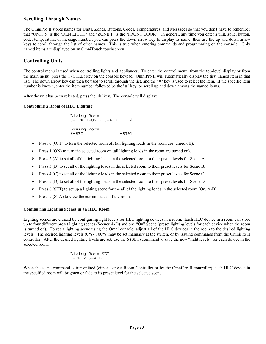## <span id="page-30-0"></span>**Scrolling Through Names**

The OmniPro II stores names for Units, Zones, Buttons, Codes, Temperatures, and Messages so that you don't have to remember that "UNIT 5" is the "DEN LIGHT" and "ZONE 1" is the "FRONT DOOR". In general, any time you enter a unit, zone, button, code, temperature, or message number, you can press the down arrow key to display its name, then use the up and down arrow keys to scroll through the list of other names. This is true when entering commands and programming on the console. Only named items are displayed on an OmniTouch touchscreen.

## <span id="page-30-1"></span>**Controlling Units**

The control menu is used when controlling lights and appliances. To enter the control menu, from the top-level display or from the main menu, press the 1 (CTRL) key on the console keypad. OmniPro II will automatically display the first named item in that list. The down arrow key can then be used to scroll through the list, and the '#' key is used to select the item. If the specific item number is known, enter the item number followed be the '#' key, or scroll up and down among the named items.

After the unit has been selected, press the  $'$  #  $'$  key. The console will display:

## <span id="page-30-2"></span>**Controlling a Room of HLC Lighting**

Living Room  $0=$ OFF $1=$ ON 2-5=A-D  $\downarrow$ Living Room 6=SET #=STA↑

- $\triangleright$  Press 0 (OFF) to turn the selected room off (all lighting loads in the room are turned off).
- $\triangleright$  Press 1 (ON) to turn the selected room on (all lighting loads in the room are turned on).
- $\triangleright$  Press 2 (A) to set all of the lighting loads in the selected room to their preset levels for Scene A.
- $\triangleright$  Press 3 (B) to set all of the lighting loads in the selected room to their preset levels for Scene B.
- $\triangleright$  Press 4 (C) to set all of the lighting loads in the selected room to their preset levels for Scene C.
- $\triangleright$  Press 5 (D) to set all of the lighting loads in the selected room to their preset levels for Scene D.
- $\triangleright$  Press 6 (SET) to set up a lighting scene for the all of the lighting loads in the selected room (On, A-D).
- $\triangleright$  Press # (STA) to view the current status of the room.

## <span id="page-30-3"></span>**Configuring Lighting Scenes in an HLC Room**

Lighting scenes are created by configuring light levels for HLC lighting devices in a room. Each HLC device in a room can store up to four different preset lighting scenes (Scenes A-D) and one "On" Scene (preset lighting levels for each device when the room is turned on). To set a lighting scene using the Omni console, adjust all of the HLC devices in the room to the desired lighting levels. The desired lighting levels (0% - 100%) may be set manually at the switch, or by issuing commands from the OmniPro II controller. After the desired lighting levels are set, use the 6 (SET) command to save the new "light levels" for each device in the selected room.

Living Room SET 1=ON 2-5=A-D

When the scene command is transmitted (either using a Room Controller or by the OmniPro II controller), each HLC device in the specified room will brighten or fade to its preset level for the selected scene.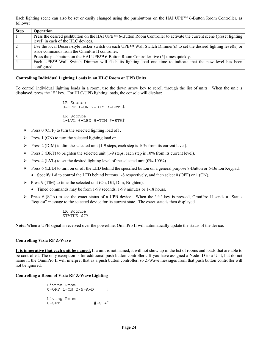Each lighting scene can also be set or easily changed using the pushbuttons on the HAI UPB™ 6-Button Room Controller, as follows:

| <b>Step</b>    | <b>Operation</b>                                                                                                                  |
|----------------|-----------------------------------------------------------------------------------------------------------------------------------|
| $\overline{1}$ | Press the desired pushbutton on the HAI UPB <sup>TM</sup> 6-Button Room Controller to activate the current scene (preset lighting |
|                | level) in each of the HLC devices.                                                                                                |
| 2              | Use the local Decora-style rocker switch on each UPB <sup>TM</sup> Wall Switch Dimmer(s) to set the desired lighting level(s) or  |
|                | issue commands from the OmniPro II controller.                                                                                    |
| 3              | Press the pushbutton on the HAI UPB <sup>TM</sup> 6-Button Room Controller five (5) times quickly.                                |
| $\overline{4}$ | Each UPB <sup>™</sup> Wall Switch Dimmer will flash its lighting load one time to indicate that the new level has been            |
|                | configured.                                                                                                                       |

#### <span id="page-31-0"></span>**Controlling Individual Lighting Loads in an HLC Room or UPB Units**

To control individual lighting loads in a room, use the down arrow key to scroll through the list of units. When the unit is displayed, press the '#' key. For HLC/UPB lighting loads, the console will display:

> LR Sconce  $0=$ OFF 1=ON 2=DIM 3=BRT  $\downarrow$ LR Sconce 4=LVL 6=LED 9=TIM #=STA↑

- $\triangleright$  Press 0 (OFF) to turn the selected lighting load off.
- $\triangleright$  Press 1 (ON) to turn the selected lighting load on.
- $\triangleright$  Press 2 (DIM) to dim the selected unit (1-9 steps, each step is 10% from its current level).
- $\triangleright$  Press 3 (BRT) to brighten the selected unit (1-9 steps, each step is 10% from its current level).
- $\triangleright$  Press 4 (LVL) to set the desired lighting level of the selected unit (0%-100%).
- $\triangleright$  Press 6 (LED) to turn on or off the LED behind the specified button on a general purpose 8-Button or 6-Button Keypad.
	- Specify 1-8 to control the LED behind buttons 1-8 respectively, and then select 0 (OFF) or 1 (ON).
- $\triangleright$  Press 9 (TIM) to time the selected unit (On, Off, Dim, Brighten).
	- Timed commands may be from 1-99 seconds, 1-99 minutes or 1-18 hours.
- $\triangleright$  Press # (STA) to see the exact status of a UPB device. When the '#' key is pressed, OmniPro II sends a "Status" Request" message to the selected device for its current state. The exact state is then displayed.

 LR Sconce STATUS 67%

**Note:** When a UPB signal is received over the powerline, OmniPro II will automatically update the status of the device.

#### <span id="page-31-1"></span>**Controlling Vizia RF Z-Wave**

**It is imperative that each unit be named.** If a unit is not named, it will not show up in the list of rooms and loads that are able to be controlled. The only exception is for additional push button controllers. If you have assigned a Node ID to a Unit, but do not name it, the OmniPro II will interpret that as a push button controller, so Z-Wave messages from that push button controller will not be ignored.

#### <span id="page-31-2"></span>**Controlling a Room of Vizia RF Z-Wave Lighting**

Living Room  $0=$ OFF  $1=$ ON  $2-5=$ A-D  $\downarrow$ Living Room<br>6=SET  $# = \text{STA}$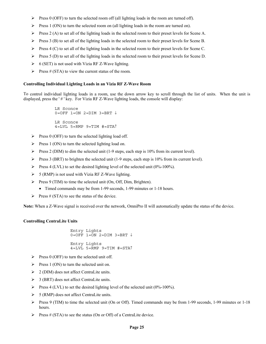- $\triangleright$  Press 0 (OFF) to turn the selected room off (all lighting loads in the room are turned off).
- ¾ Press 1 (ON) to turn the selected room on (all lighting loads in the room are turned on).
- $\triangleright$  Press 2 (A) to set all of the lighting loads in the selected room to their preset levels for Scene A.
- $\triangleright$  Press 3 (B) to set all of the lighting loads in the selected room to their preset levels for Scene B.
- $\triangleright$  Press 4 (C) to set all of the lighting loads in the selected room to their preset levels for Scene C.
- $\triangleright$  Press 5 (D) to set all of the lighting loads in the selected room to their preset levels for Scene D.
- $\triangleright$  6 (SET) is not used with Vizia RF Z-Wave lighting.
- $\triangleright$  Press # (STA) to view the current status of the room.

#### <span id="page-32-0"></span>**Controlling Individual Lighting Loads in an Vizia RF Z-Wave Room**

To control individual lighting loads in a room, use the down arrow key to scroll through the list of units. When the unit is displayed, press the '#' key. For Vizia RF Z-Wave lighting loads, the console will display:

> LR Sconce 0=OFF 1=ON 2=DIM 3=BRT ↓ LR Sconce 4=LVL 5=RMP 9=TIM #=STA↑

- $\triangleright$  Press 0 (OFF) to turn the selected lighting load off.
- $\triangleright$  Press 1 (ON) to turn the selected lighting load on.
- $\triangleright$  Press 2 (DIM) to dim the selected unit (1-9 steps, each step is 10% from its current level).
- $\triangleright$  Press 3 (BRT) to brighten the selected unit (1-9 steps, each step is 10% from its current level).
- $\triangleright$  Press 4 (LVL) to set the desired lighting level of the selected unit (0%-100%).
- $\triangleright$  5 (RMP) is not used with Vizia RF Z-Wave lighting.
- $\triangleright$  Press 9 (TIM) to time the selected unit (On, Off, Dim, Brighten).
	- Timed commands may be from 1-99 seconds, 1-99 minutes or 1-18 hours.
- $\triangleright$  Press # (STA) to see the status of the device.

**Note:** When a Z-Wave signal is received over the network, OmniPro II will automatically update the status of the device.

#### <span id="page-32-1"></span>**Controlling CentraLite Units**

```
Entry Lights 
0=OFF 1=ON 2=DIM 3=BRT \downarrowEntry Lights 
4=LVL 5=RMP 9=TIM #=STA↑
```
- $\triangleright$  Press 0 (OFF) to turn the selected unit off.
- $\triangleright$  Press 1 (ON) to turn the selected unit on.
- $\geq$  2 (DIM) does not affect CentraLite units.
- $\geq$  3 (BRT) does not affect CentraLite units.
- $\triangleright$  Press 4 (LVL) to set the desired lighting level of the selected unit (0%-100%).
- $\geq$  5 (RMP) does not affect CentraLite units.
- $\triangleright$  Press 9 (TIM) to time the selected unit (On or Off). Timed commands may be from 1-99 seconds, 1-99 minutes or 1-18 hours.
- $\triangleright$  Press # (STA) to see the status (On or Off) of a CentraLite device.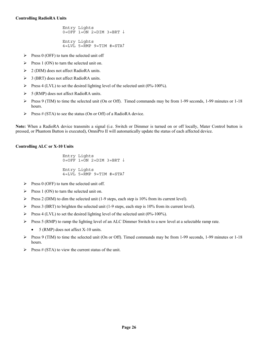Entry Lights 0=OFF 1=ON 2=DIM 3=BRT ↓ Entry Lights 4=LVL 5=RMP 9=TIM #=STA↑

- <span id="page-33-0"></span> $\triangleright$  Press 0 (OFF) to turn the selected unit off
- $\triangleright$  Press 1 (ON) to turn the selected unit on.
- $\geq$  2 (DIM) does not affect RadioRA units.
- $\triangleright$  3 (BRT) does not affect RadioRA units.
- $\triangleright$  Press 4 (LVL) to set the desired lighting level of the selected unit (0%-100%).
- $\triangleright$  5 (RMP) does not affect RadioRA units.
- $\triangleright$  Press 9 (TIM) to time the selected unit (On or Off). Timed commands may be from 1-99 seconds, 1-99 minutes or 1-18 hours.
- $\triangleright$  Press # (STA) to see the status (On or Off) of a RadioRA device.

**Note:** When a RadioRA device transmits a signal (i.e. Switch or Dimmer is turned on or off locally, Mater Control button is pressed, or Phantom Button is executed), OmniPro II will automatically update the status of each affected device.

#### <span id="page-33-1"></span>**Controlling ALC or X-10 Units**

```
 Entry Lights 
0=OFF 1=ON 2=DIM 3=BRT \downarrow Entry Lights 
 4=LVL 5=RMP 9=TIM #=STA↑
```
- $\triangleright$  Press 0 (OFF) to turn the selected unit off.
- $\triangleright$  Press 1 (ON) to turn the selected unit on.
- $\triangleright$  Press 2 (DIM) to dim the selected unit (1-9 steps, each step is 10% from its current level).
- $\triangleright$  Press 3 (BRT) to brighten the selected unit (1-9 steps, each step is 10% from its current level).
- $\triangleright$  Press 4 (LVL) to set the desired lighting level of the selected unit (0%-100%).
- $\triangleright$  Press 5 (RMP) to ramp the lighting level of an ALC Dimmer Switch to a new level at a selectable ramp rate.
	- 5 (RMP) does not affect X-10 units.
- $\triangleright$  Press 9 (TIM) to time the selected unit (On or Off). Timed commands may be from 1-99 seconds, 1-99 minutes or 1-18 hours.
- $\triangleright$  Press # (STA) to view the current status of the unit.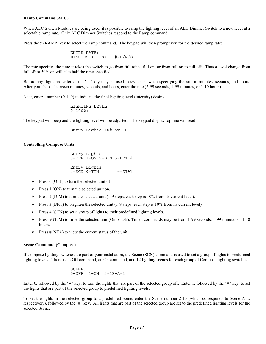#### <span id="page-34-0"></span>**Ramp Command (ALC)**

When ALC Switch Modules are being used, it is possible to ramp the lighting level of an ALC Dimmer Switch to a new level at a selectable ramp rate. Only ALC Dimmer Switches respond to the Ramp command.

Press the 5 (RAMP) key to select the ramp command. The keypad will then prompt you for the desired ramp rate:

 ENTER RATE:  $MINUTES (1-99)$   $\#=H/M/S$ 

The rate specifies the time it takes the switch to go from full off to full on, or from full on to full off. Thus a level change from full off to 50% on will take half the time specified.

Before any digits are entered, the '#' key may be used to switch between specifying the rate in minutes, seconds, and hours. After you choose between minutes, seconds, and hours, enter the rate (2-99 seconds, 1-99 minutes, or 1-10 hours).

Next, enter a number (0-100) to indicate the final lighting level (intensity) desired.

```
 LIGHTING LEVEL:
0 - 100 \frac{1}{2}:
```
The keypad will beep and the lighting level will be adjusted. The keypad display top line will read:

```
 Entry Lights 40% AT 1H
```
#### <span id="page-34-1"></span>**Controlling Compose Units**

```
 Entry Lights 
0=OFF 1=ON 2=DIM 3=BRT \downarrow Entry Lights 
4 = SCN 9=TIM # = STA<sup>↑</sup>
```
- $\triangleright$  Press 0 (OFF) to turn the selected unit off.
- $\triangleright$  Press 1 (ON) to turn the selected unit on.
- $\triangleright$  Press 2 (DIM) to dim the selected unit (1-9 steps, each step is 10% from its current level).
- $\triangleright$  Press 3 (BRT) to brighten the selected unit (1-9 steps, each step is 10% from its current level).
- $\triangleright$  Press 4 (SCN) to set a group of lights to their predefined lighting levels.
- $\triangleright$  Press 9 (TIM) to time the selected unit (On or Off). Timed commands may be from 1-99 seconds, 1-99 minutes or 1-18 hours.
- $\triangleright$  Press # (STA) to view the current status of the unit.

#### <span id="page-34-2"></span>**Scene Command (Compose)**

If Compose lighting switches are part of your installation, the Scene (SCN) command is used to set a group of lights to predefined lighting levels. There is an Off command, an On command, and 12 lighting scenes for each group of Compose lighting switches.

$$
\begin{array}{cc} {\rm SCENE:}\\ 0\!=\!{\rm OFF} & 1\!=\!{\rm ON} & 2\!-\!13\!=\!{\rm A}\!-\!{\rm L} \end{array}
$$

Enter 0, followed by the '#' key, to turn the lights that are part of the selected group off. Enter 1, followed by the '#' key, to set the lights that are part of the selected group to predefined lighting levels.

To set the lights in the selected group to a predefined scene, enter the Scene number 2-13 (which corresponds to Scene A-L, respectively), followed by the '#' key. All lights that are part of the selected group are set to the predefined lighting levels for the selected Scene.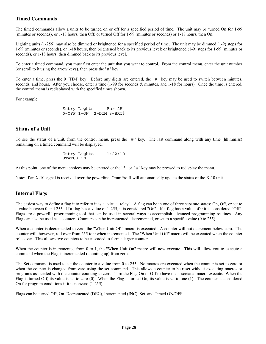## <span id="page-35-0"></span>**Timed Commands**

The timed commands allow a units to be turned on or off for a specified period of time. The unit may be turned On for 1-99 (minutes or seconds), or 1-18 hours, then Off; or turned Off for 1-99 (minutes or seconds) or 1-18 hours, then On.

Lighting units (1-256) may also be dimmed or brightened for a specified period of time. The unit may be dimmed (1-9) steps for 1-99 (minutes or seconds), or 1-18 hours, then brightened back to its previous level; or brightened (1-9) steps for 1-99 (minutes or seconds), or 1-18 hours, then dimmed back to its previous level.

To enter a timed command, you must first enter the unit that you want to control. From the control menu, enter the unit number (or scroll to it using the arrow keys), then press the ' # ' key.

To enter a time, press the 9 (TIM) key. Before any digits are entered, the ' # ' key may be used to switch between minutes, seconds, and hours. After you choose, enter a time (1-99 for seconds & minutes, and 1-18 for hours). Once the time is entered, the control menu is redisplayed with the specified times shown.

For example:

```
 Entry Lights For 2H
0=OFF 1=ON 2=DIM 3=BRT\downarrow
```
## <span id="page-35-1"></span>**Status of a Unit**

To see the status of a unit, from the control menu, press the '#' key. The last command along with any time (hh:mm:ss) remaining on a timed command will be displayed.

> Entry Lights 1:22:10 STATUS ON

At this point, one of the menu choices may be entered or the '\*' or '#' key may be pressed to redisplay the menu.

Note: If an X-10 signal is received over the powerline, OmniPro II will automatically update the status of the X-10 unit.

## <span id="page-35-2"></span>**Internal Flags**

The easiest way to define a flag it to refer to it as a "virtual relay". A flag can be in one of three separate states: On, Off, or set to a value between 0 and 255. If a flag has a value of 1-255, it is considered "On". If a flag has a value of 0 it is considered "Off". Flags are a powerful programming tool that can be used in several ways to accomplish advanced programming routines. Any Flag can also be used as a counter. Counters can be incremented, decremented, or set to a specific value (0 to 255).

When a counter is decremented to zero, the "When Unit Off" macro is executed. A counter will not decrement below zero. The counter will, however, roll over from 255 to 0 when incremented. The "When Unit Off" macro will be executed when the counter rolls over. This allows two counters to be cascaded to form a larger counter.

When the counter is incremented from 0 to 1, the "When Unit On" macro will now execute. This will allow you to execute a command when the Flag is incremented (counting up) from zero.

The Set command is used to set the counter to a value from 0 to 255. No macros are executed when the counter is set to zero or when the counter is changed from zero using the set command. This allows a counter to be reset without executing macros or programs associated with the counter counting to zero. Turn the Flag On or Off to have the associated macro execute. When the Flag is turned Off, its value is set to zero (0). When the Flag is turned On, its value is set to one (1). The counter is considered On for program conditions if it is nonzero (1-255).

Flags can be turned Off, On, Decremented (DEC), Incremented (INC), Set, and Timed ON/OFF.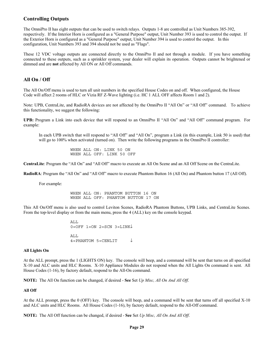## **Controlling Outputs**

The OmniPro II has eight outputs that can be used to switch relays. Outputs 1-8 are controlled as Unit Numbers 385-392, respectively. If the Interior Horn is configured as a "General Purpose" output, Unit Number 393 is used to control the output. If the Exterior Horn is configured as a "General Purpose" output, Unit Number 394 is used to control the output. In this configuration, Unit Numbers 393 and 394 should not be used as "Flags".

These 12 VDC voltage outputs are connected directly to the OmniPro II and not through a module. If you have something connected to these outputs, such as a sprinkler system, your dealer will explain its operation. Outputs cannot be brightened or dimmed and are **not** affected by All ON or All Off commands.

## **All On / Off**

The All On/Off menu is used to turn all unit numbers in the specified House Codes on and off. When configured, the House Code will affect 2 rooms of HLC or Vizia RF Z-Wave lighting (i.e. HC 1 ALL OFF affects Room 1 and 2).

Note: UPB, CentraLite, and RadioRA devices are not affected by the OmniPro II "All On" or "All Off" command. To achieve this functionality, we suggest the following:

**UPB:** Program a Link into each device that will respond to an OmniPro II "All On" and "All Off" command program. For example:

In each UPB switch that will respond to "All Off" and "All On", program a Link (in this example, Link 50 is used) that will go to 100% when activated (turned on). Then write the following programs in the OmniPro II controller:

> WHEN ALL ON: LINK 50 ON WHEN ALL OFF: LINK 50 OFF

**CentraLite**: Program the "All On" and "All Off" macro to execute an All On Scene and an All Off Scene on the CentraLite.

**RadioRA**: Program the "All On" and "All Off" macro to execute Phantom Button 16 (All On) and Phantom button 17 (All Off).

For example:

WHEN ALL ON: PHANTOM BUTTON 16 ON WHEN ALL OFF: PHANTOM BUTTON 17 ON

This All On/Off menu is also used to control Leviton Scenes, RadioRA Phantom Buttons, UPB Links, and CentraLite Scenes. From the top-level display or from the main menu, press the 4 (ALL) key on the console keypad.

 ALL  $0=$ OFF  $1=$ ON  $2=$ SCN  $3=$ LINK $\downarrow$  ALL  $4 = PHANTOM 5 = CENTIT 4$ 

#### **All Lights On**

At the ALL prompt, press the 1 (LIGHTS ON) key. The console will beep, and a command will be sent that turns on all specified X-10 and ALC units and HLC Rooms. X-10 Appliance Modules do not respond when the All Lights On command is sent. All House Codes (1-16), by factory default, respond to the All-On command.

**NOTE:** The All On function can be changed, if desired - **See** Set *Up Misc, All On And All Off*.

## **All Off**

At the ALL prompt, press the 0 (OFF) key. The console will beep, and a command will be sent that turns off all specified X-10 and ALC units and HLC Rooms. All House Codes (1-16), by factory default, respond to the All-Off command.

**NOTE:** The All Off function can be changed, if desired - **See** Set *Up Misc, All On And All Off*.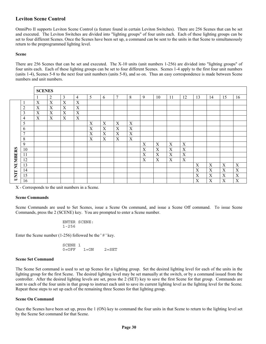## **Leviton Scene Control**

OmniPro II supports Leviton Scene Control (a feature found in certain Leviton Switches). There are 256 Scenes that can be set and executed. The Leviton Switches are divided into "lighting groups" of four units each. Each of these lighting groups can be set to four different Scenes. Once the Scenes have been set up, a command can be sent to the units in that Scene to simultaneously return to the preprogrammed lighting level.

### **Scene**

There are 256 Scenes that can be set and executed. The X-10 units (unit numbers 1-256) are divided into "lighting groups" of four units each. Each of these lighting groups can be set to four different Scenes. Scenes 1-4 apply to the first four unit numbers (units 1-4), Scenes 5-8 to the next four unit numbers (units 5-8), and so on. Thus an easy correspondence is made between Scene numbers and unit numbers.

|             |                | <b>SCENES</b> |   |                           |                |   |   |   |                  |                  |             |    |    |    |    |             |                  |
|-------------|----------------|---------------|---|---------------------------|----------------|---|---|---|------------------|------------------|-------------|----|----|----|----|-------------|------------------|
|             |                |               | 2 | 3                         | $\overline{4}$ | 5 | 6 | 7 | 8                | 9                | 10          | 11 | 12 | 13 | 14 | 15          | 16               |
|             |                | X             | X | X                         | X              |   |   |   |                  |                  |             |    |    |    |    |             |                  |
|             | $\overline{c}$ | X             | X | X                         | X              |   |   |   |                  |                  |             |    |    |    |    |             |                  |
|             | 3              | X             | X | $\boldsymbol{\mathrm{X}}$ | X              |   |   |   |                  |                  |             |    |    |    |    |             |                  |
|             | 4              | X             | X | X                         | X              |   |   |   |                  |                  |             |    |    |    |    |             |                  |
|             | 5              |               |   |                           |                | X | X | X | X                |                  |             |    |    |    |    |             |                  |
|             | $\sigma$       |               |   |                           |                | X | X | X | $\boldsymbol{X}$ |                  |             |    |    |    |    |             |                  |
|             | $\mathbf{7}$   |               |   |                           |                | X | X | X | X                |                  |             |    |    |    |    |             |                  |
|             | 8              |               |   |                           |                | X | X | X | X                |                  |             |    |    |    |    |             |                  |
|             | 9              |               |   |                           |                |   |   |   |                  | X                | X           | X  | X  |    |    |             |                  |
| NUMBERS     | 10             |               |   |                           |                |   |   |   |                  | $\mathbf X$      | $\mathbf X$ | X  | X  |    |    |             |                  |
|             | 11             |               |   |                           |                |   |   |   |                  | $\boldsymbol{X}$ | X           | X  | X  |    |    |             |                  |
|             | 12             |               |   |                           |                |   |   |   |                  | $\boldsymbol{X}$ | $\mathbf X$ | X  | X  |    |    |             |                  |
|             | 13             |               |   |                           |                |   |   |   |                  |                  |             |    |    | X  | X  | $\mathbf X$ | $\mathbf X$      |
|             | 14             |               |   |                           |                |   |   |   |                  |                  |             |    |    | X  | X  | X           | $\boldsymbol{X}$ |
| <b>UNIT</b> | 15             |               |   |                           |                |   |   |   |                  |                  |             |    |    | X  | X  | X           | $\mathbf X$      |
|             | 16             |               |   |                           |                |   |   |   |                  |                  |             |    |    | X  | X  | $\mathbf X$ | X                |

X - Corresponds to the unit numbers in a Scene.

#### **Scene Commands**

Scene Commands are used to Set Scenes, issue a Scene On command, and issue a Scene Off command. To issue Scene Commands, press the 2 (SCENE) key. You are prompted to enter a Scene number.

> ENTER SCENE: 1-256

Enter the Scene number  $(1-256)$  followed be the '#' key.

 SCENE 1 0=OFF 1=ON 2=SET

#### **Scene Set Command**

The Scene Set command is used to set up Scenes for a lighting group. Set the desired lighting level for each of the units in the lighting group for the first Scene. The desired lighting level may be set manually at the switch, or by a command issued from the controller. After the desired lighting levels are set, press the 2 (SET) key to save the first Scene for that group. Commands are sent to each of the four units in that group to instruct each unit to save its current lighting level as the lighting level for the Scene. Repeat these steps to set up each of the remaining three Scenes for that lighting group.

#### **Scene On Command**

Once the Scenes have been set up, press the 1 (ON) key to command the four units in that Scene to return to the lighting level set by the Scene Set command for that Scene.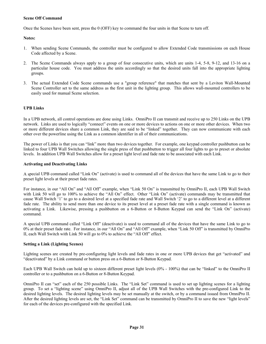## **Scene Off Command**

Once the Scenes have been sent, press the 0 (OFF) key to command the four units in that Scene to turn off.

**Notes:**

- 1. When sending Scene Commands, the controller must be configured to allow Extended Code transmissions on each House Code affected by a Scene.
- 2. The Scene Commands always apply to a group of four consecutive units, which are units 1-4, 5-8, 9-12, and 13-16 on a particular house code. You must address the units accordingly so that the desired units fall into the appropriate lighting groups.
- 3. The actual Extended Code Scene commands use a "group reference" that matches that sent by a Leviton Wall-Mounted Scene Controller set to the same address as the first unit in the lighting group. This allows wall-mounted controllers to be easily used for manual Scene selection.

## **UPB Links**

In a UPB network, all control operations are done using Links. OmniPro II can transmit and receive up to 250 Links on the UPB network. Links are used to logically "connect" events on one or more devices to actions on one or more other devices. When two or more different devices share a common Link, they are said to be "linked" together. They can now communicate with each other over the powerline using the Link as a common identifier in all of their communications.

The power of Links is that you can "link" more than two devices together. For example, one keypad controller pushbutton can be linked to four UPB Wall Switches allowing the single press of that pushbutton to trigger all four lights to go to preset or absolute levels. In addition UPB Wall Switches allow for a preset light level and fade rate to be associated with each Link.

#### **Activating and Deactivating Links**

A special UPB command called "Link On" (activate) is used to command all of the devices that have the same Link to go to their preset light levels at their preset fade rates.

For instance, in our "All On" and "All Off" example, when "Link 50 On" is transmitted by OmniPro II, each UPB Wall Switch with Link 50 will go to 100% to achieve the "All On" effect. Other "Link On" (activate) commands may be transmitted that cause Wall Switch '1' to go to a desired level at a specified fade rate and Wall Switch '2' to go to a different level at a different fade rate. The ability to send more than one device to its preset level at a preset fade rate with a single command is known as activating a Link. Likewise, pressing a pushbutton on a 6-Button or 8-Button Keypad can send the "Link On" (activate) command.

A special UPB command called "Link Off" (deactivate) is used to command all of the devices that have the same Link to go to 0% at their preset fade rate. For instance, in our "All On" and "All Off" example, when "Link 50 Off" is transmitted by OmniPro II, each Wall Switch with Link 50 will go to 0% to achieve the "All Off" effect.

#### **Setting a Link (Lighting Scenes)**

Lighting scenes are created by pre-configuring light levels and fade rates in one or more UPB devices that get "activated" and "deactivated" by a Link command or button press on a 6-Button or 8-Button Keypad.

Each UPB Wall Switch can hold up to sixteen different preset light levels (0% - 100%) that can be "linked" to the OmniPro II controller or to a pushbutton on a 6-Button or 8-Button Keypad.

OmniPro II can "set" each of the 250 possible Links. The "Link Set" command is used to set up lighting scenes for a lighting group. To set a "lighting scene" using OmniPro II, adjust all of the UPB Wall Switches with the pre-configured Link to the desired lighting levels. The desired lighting levels may be set manually at the switch, or by a command issued from OmniPro II. After the desired lighting levels are set, the "Link Set" command can be transmitted by OmniPro II to save the new "light levels" for each of the devices pre-configured with the specified Link.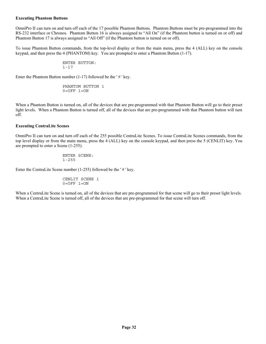### **Executing Phantom Buttons**

OmniPro II can turn on and turn off each of the 17 possible Phantom Buttons. Phantom Buttons must be pre-programmed into the RS-232 interface or Chronos. Phantom Button 16 is always assigned to "All On" (if the Phantom button is turned on or off) and Phantom Button 17 is always assigned to "All Off" (if the Phantom button is turned on or off).

To issue Phantom Button commands, from the top-level display or from the main menu, press the 4 (ALL) key on the console keypad, and then press the 4 (PHANTOM) key. You are prompted to enter a Phantom Button (1-17).

```
ENTER BUTTON: 
1 - 17
```
Enter the Phantom Button number  $(1-17)$  followed be the '#' key.

```
 PHANTOM BUTTON 1 
 0=OFF 1=ON
```
When a Phantom Button is turned on, all of the devices that are pre-programmed with that Phantom Button will go to their preset light levels. When a Phantom Button is turned off, all of the devices that are pre-programmed with that Phantom button will turn off.

### **Executing CentraLite Scenes**

OmniPro II can turn on and turn off each of the 255 possible CentraLite Scenes. To issue CentraLite Scenes commands, from the top level display or from the main menu, press the 4 (ALL) key on the console keypad, and then press the 5 (CENLIT) key. You are prompted to enter a Scene (1-255).

> ENTER SCENE: 1-255

Enter the CentraLite Scene number (1-255) followed be the '#' key.

CENLIT SCENE 1 0=OFF 1=ON

When a CentraLite Scene is turned on, all of the devices that are pre-programmed for that scene will go to their preset light levels. When a CentraLite Scene is turned off, all of the devices that are pre-programmed for that scene will turn off.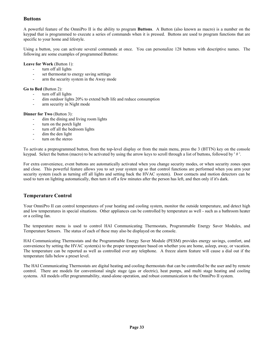## **Buttons**

A powerful feature of the OmniPro II is the ability to program **Buttons**. A Button (also known as macro) is a number on the keypad that is programmed to execute a series of commands when it is pressed. Buttons are used to program functions that are specific to your home and lifestyle.

Using a button, you can activate several commands at once. You can personalize 128 buttons with descriptive names. The following are some examples of programmed Buttons:

## **Leave for Work** (Button 1):

- turn off all lights
- set thermostat to energy saving settings
- arm the security system in the Away mode

## **Go to Bed** (Button 2):

- turn off all lights
- dim outdoor lights 20% to extend bulb life and reduce consumption
- arm security in Night mode

## **Dinner for Two** (Button 3):

- dim the dining and living room lights
- turn on the porch light
- turn off all the bedroom lights
- dim the den light
- turn on the stereo

To activate a preprogrammed button, from the top-level display or from the main menu, press the 3 (BTTN) key on the console keypad. Select the button (macro) to be activated by using the arrow keys to scroll through a list of buttons, followed by ' # '.

For extra convenience, event buttons are automatically activated when you change security modes, or when security zones open and close. This powerful feature allows you to set your system up so that control functions are performed when you arm your security system (such as turning off all lights and setting back the HVAC system). Door contacts and motion detectors can be used to turn on lighting automatically, then turn it off a few minutes after the person has left, and then only if it's dark.

## **Temperature Control**

Your OmniPro II can control temperatures of your heating and cooling system, monitor the outside temperature, and detect high and low temperatures in special situations. Other appliances can be controlled by temperature as well - such as a bathroom heater or a ceiling fan.

The temperature menu is used to control HAI Communicating Thermostats, Programmable Energy Saver Modules, and Temperature Sensors. The status of each of these may also be displayed on the console.

HAI Communicating Thermostats and the Programmable Energy Saver Module (PESM) provides energy savings, comfort, and convenience by setting the HVAC system(s) to the proper temperature based on whether you are home, asleep, away, or vacation. The temperature can be reported as well as controlled over any telephone. A freeze alarm feature will cause a dial out if the temperature falls below a preset level.

The HAI Communicating Thermostats are digital heating and cooling thermostats that can be controlled be the user and by remote control. There are models for conventional single stage (gas or electric), heat pumps, and multi stage heating and cooling systems. All models offer programmability, stand-alone operation, and robust communication to the OmniPro II system.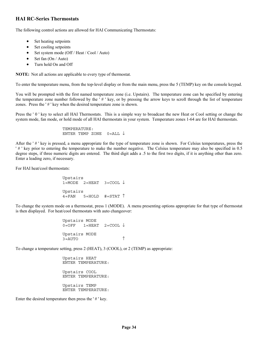## **HAI RC-Series Thermostats**

The following control actions are allowed for HAI Communicating Thermostats:

- Set heating setpoints
- Set cooling setpoints
- Set system mode (Off / Heat / Cool / Auto)
- Set fan (On / Auto)
- Turn hold On and Off

**NOTE:** Not all actions are applicable to every type of thermostat.

To enter the temperature menu, from the top-level display or from the main menu, press the 5 (TEMP) key on the console keypad.

You will be prompted with the first named temperature zone (i.e. Upstairs). The temperature zone can be specified by entering the temperature zone number followed by the ' # ' key, or by pressing the arrow keys to scroll through the list of temperature zones. Press the '#' key when the desired temperature zone is shown.

Press the '0' key to select all HAI Thermostats. This is a simple way to broadcast the new Heat or Cool setting or change the system mode, fan mode, or hold mode of all HAI thermostats in your system. Temperature zones 1-64 are for HAI thermostats.

> TEMPERATURE: ENTER TEMP ZONE  $0=ALL$   $\downarrow$

After the ' # ' key is pressed, a menu appropriate for the type of temperature zone is shown. For Celsius temperatures, press the ' # ' key prior to entering the temperature to make the number negative. The Celsius temperature may also be specified in 0.5 degree steps, if three numeric digits are entered. The third digit adds a .5 to the first two digits, if it is anything other than zero. Enter a leading zero, if necessary.

For HAI heat/cool thermostats:

 Upstairs  $1=$ MODE  $2=$ HEAT  $3=$ COOL  $\downarrow$  Upstairs  $4 = FAN$  5=HOLD #=STAT  $\uparrow$ 

To change the system mode on a thermostat, press 1 (MODE). A menu presenting options appropriate for that type of thermostat is then displayed. For heat/cool thermostats with auto changeover:

> Upstairs MODE  $0=$ OFF  $1=$ HEAT 2=COOL  $\downarrow$  Upstairs MODE 3=AUTO ↑

To change a temperature setting, press 2 (HEAT), 3 (COOL), or 2 (TEMP) as appropriate:

 Upstairs HEAT ENTER TEMPERATURE: Upstairs COOL ENTER TEMPERATURE: Upstairs TEMP ENTER TEMPERATURE:

Enter the desired temperature then press the '#' key.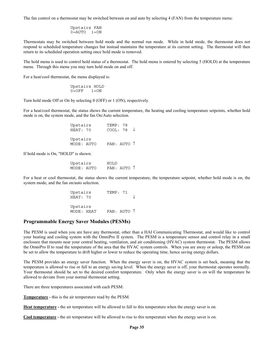The fan control on a thermostat may be switched between on and auto by selecting 4 (FAN) from the temperature menu:

 Upstairs FAN 0=AUTO 1=ON

Thermostats may be switched between hold mode and the normal run mode. While in hold mode, the thermostat does not respond to scheduled temperature changes but instead maintains the temperature at its current setting. The thermostat will then return to its scheduled operation setting once hold mode is removed.

The hold menu is used to control hold status of a thermostat. The hold menu is entered by selecting 5 (HOLD) at the temperature menu. Through this menu you may turn hold mode on and off.

For a heat/cool thermostat, the menu displayed is:

Upstairs HOLD<br>0=OFF 1=ON  $1 = ON$ 

Turn hold mode Off or On by selecting 0 (OFF) or 1 (ON), respectively.

For a heat/cool thermostat, the status shows the current temperature, the heating and cooling temperature setpoints, whether hold mode is on, the system mode, and the fan On/Auto selection.

| Upstairs<br>HEAT: 70   | TEMP: 78<br>COOL: 78 $\downarrow$ |  |
|------------------------|-----------------------------------|--|
| Upstairs<br>MODE: AUTO | FAN: AUTO $\uparrow$              |  |

If hold mode is On, "HOLD" is shown:

| Upstairs   | HOLD |             |  |
|------------|------|-------------|--|
| MODE: AUTO |      | FAN: AUTO ↑ |  |

For a heat or cool thermostat, the status shows the current temperature, the temperature setpoint, whether hold mode is on, the system mode, and the fan on/auto selection.

| Upstairs<br>HEAT: 70   | TEMP: 71 |                      |  |
|------------------------|----------|----------------------|--|
| Upstairs<br>MODE: HEAT |          | FAN: AUTO $\uparrow$ |  |

## **Programmable Energy Saver Modules (PESMs)**

The PESM is used when you are have any thermostat, other than a HAI Communicating Thermostat, and would like to control your heating and cooling system with the OmniPro II system. The PESM is a temperature sensor and control relay in a small enclosure that mounts near your central heating, ventilation, and air conditioning (HVAC) system thermostat. The PESM allows the OmniPro II to read the temperature of the area that the HVAC system controls. When you are away or asleep, the PESM can be set to allow the temperature to drift higher or lower to reduce the operating time, hence saving energy dollars.

The PESM provides an energy saver function. When the energy saver is on, the HVAC system is set back, meaning that the temperature is allowed to rise or fall to an energy saving level. When the energy saver is off, your thermostat operates normally. Your thermostat should be set to the desired comfort temperature. Only when the energy saver is on will the temperature be allowed to deviate from your normal thermostat setting.

There are three temperatures associated with each PESM:

**Temperature -** this is the air temperature read by the PESM.

**Heat temperature -** the air temperature will be allowed to fall to this temperature when the energy saver is on.

**Cool temperature -** the air temperature will be allowed to rise to this temperature when the energy saver is on.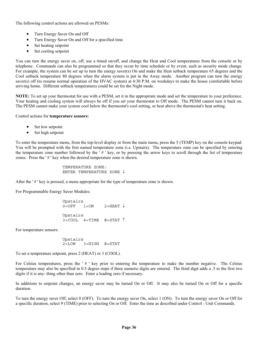The following control actions are allowed on PESMs:

- Turn Energy Saver On and Off
- Turn Energy Saver On and Off for a specified time
- Set heating setpoint
- Set cooling setpoint

You can turn the energy saver on, off, use a timed on/off, and change the Heat and Cool temperatures from the console or by telephone. Commands can also be programmed so that they occur by time schedule or by event, such as security mode change. For example, the system can be set up to turn the energy saver(s) On and make the Heat setback temperature 65 degrees and the Cool setback temperature 80 degrees when the alarm system is put in the Away mode. Another program can turn the energy saver(s) off (to resume normal operation of the HVAC system) at 4:30 P.M. on weekdays to make the house comfortable before arriving home. Different setback temperatures could be set for the Night mode.

**NOTE:** To set up your thermostat for use with a PESM, set it in the appropriate mode and set the temperature to your preference. Your heating and cooling system will always be off if you set your thermostat to Off mode. The PESM cannot turn it back on. The PESM cannot make your system cool below the thermostat's cool setting, or heat above the thermostat's heat setting.

### Control actions for **temperature sensors:**

- Set low setpoint
- Set high setpoint

To enter the temperature menu, from the top-level display or from the main menu, press the 5 (TEMP) key on the console keypad. You will be prompted with the first named temperature zone (i.e. Upstairs). The temperature zone can be specified by entering the temperature zone number followed by the ' # ' key, or by pressing the arrow keys to scroll through the list of temperature zones. Press the '#' key when the desired temperature zone is shown.

> TEMPERATURE ZONE: ENTER TEMPERATURE ZONE ↓

After the '#' key is pressed, a menu appropriate for the type of temperature zone is shown.

For Programmable Energy Saver Modules:

 Upstairs  $0=$ OFF  $1=$ ON  $2=$ HEAT  $\downarrow$  Upstairs  $3 = COOL$   $4 = TIME$   $\# = STATE$   $\uparrow$ 

For temperature sensors:

 Upstairs 2=LOW 3=HIGH #=STAT

To set a temperature setpoint, press 2 (HEAT) or 3 (COOL).

For Celsius temperatures, press the ' # ' key prior to entering the temperature to make the number negative. The Celsius temperature may also be specified in 0.5 degree steps if three numeric digits are entered. The third digit adds a .5 to the first two digits if it is any- thing other than zero. Enter a leading zero if necessary.

In additions to setpoint changes, an energy saver may be turned On or Off. It may also be turned On or Off for a specific duration.

To turn the energy saver Off, select 0 (OFF). To turn the energy saver On, select 1 (ON). To turn the energy saver On or Off for a specific duration, select 9 (TIME) prior to selecting On or Off. Enter the time as described under Control - Unit Commands.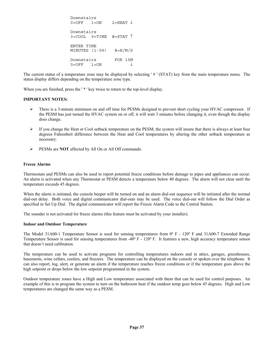| Downstairs<br>$0 = OFF$ $1 = ON$ |                | $2 = HEAT \downarrow$               |
|----------------------------------|----------------|-------------------------------------|
| Downstairs                       |                | $3 = COOL$ 9=TIME #=STAT $\uparrow$ |
| ENTER TIME                       | MINUTES (1-99) | $\#$ =H/M/S                         |
| Downstairs<br>$0 = OFF$ $1 = ON$ |                | FOR 15M                             |

The current status of a temperature zone may be displayed by selecting '#' (STAT) key from the main temperature menu. The status display differs depending on the temperature zone type.

When you are finished, press the '\*' key twice to return to the top-level display.

## **IMPORTANT NOTES:**

- ¾ There is a 3-minute minimum on and off time for PESMs designed to prevent short cycling your HVAC compressor. If the PESM has just turned the HVAC system on or off, it will wait 3 minutes before changing it, even though the display does change.
- $\blacktriangleright$  If you change the Heat or Cool setback temperature on the PESM, the system will insure that there is always at least four degrees Fahrenheit difference between the Heat and Cool temperatures by altering the other setback temperature as necessary.
- ¾ PESMs are **NOT** affected by All On or All Off commands.

### **Freeze Alarms**

Thermostats and PESMs can also be used to report potential freeze conditions before damage to pipes and appliances can occur. An alarm is activated when any Thermostat or PESM detects a temperature below 40 degrees. The alarm will not clear until the temperature exceeds 45 degrees.

When the alarm is initiated, the console beeper will be turned on and an alarm dial-out sequence will be initiated after the normal dial-out delay. Both voice and digital communicator dial-outs may be used. The voice dial-out will follow the Dial Order as specified in Set Up Dial. The digital communicator will report the Freeze Alarm Code to the Central Station.

The sounder is not activated for freeze alarms (this feature must be activated by your installer).

#### **Indoor and Outdoor Temperature**

The Model 31A00-1 Temperature Sensor is used for sensing temperatures from 0º F - 120º F and 31A00-7 Extended Range Temperature Sensor is used for sensing temperatures from -40º F - 120º F. It features a new, high accuracy temperature sensor that doesn't need calibration.

The temperature can be used to activate programs for controlling temperatures indoors and in attics, garages, greenhouses, basements, wine cellars, coolers, and freezers. The temperature can be displayed on the console or spoken over the telephone. It can also report, log, alert, or generate an alarm if the temperature reaches freeze conditions or if the temperature goes above the high setpoint or drops below the low setpoint programmed in the system.

Outdoor temperature zones have a High and Low temperature associated with them that can be used for control purposes. An example of this is to program the system to turn on the bathroom heat if the outdoor temp goes below 45 degrees. High and Low temperatures are changed the same way as a PESM.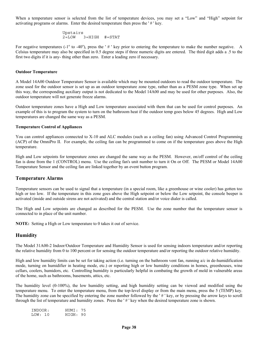When a temperature sensor is selected from the list of temperature devices, you may set a "Low" and "High" setpoint for activating programs or alarms. Enter the desired temperature then press the ' # ' key.

> Upstairs<br> $2 = I_0OW$  $3=$ HTGH  $\#$ =STAT

For negative temperatures ( $-1^{\circ}$  to  $-40^{\circ}$ ), press the '#' key prior to entering the temperature to make the number negative. A Celsius temperature may also be specified in 0.5 degree steps if three numeric digits are entered. The third digit adds a .5 to the first two digits if it is any- thing other than zero. Enter a leading zero if necessary.

### **Outdoor Temperature**

A Model 14A00 Outdoor Temperature Sensor is available which may be mounted outdoors to read the outdoor temperature. The zone used for the outdoor sensor is set up as an outdoor temperature zone type, rather than as a PESM zone type. When set up this way, the corresponding auxiliary output is not dedicated to the Model 14A00 and may be used for other purposes. Also, the outdoor temperature will not generate freeze alarms.

Outdoor temperature zones have a High and Low temperature associated with them that can be used for control purposes. An example of this is to program the system to turn on the bathroom heat if the outdoor temp goes below 45 degrees. High and Low temperatures are changed the same way as a PESM.

### **Temperature Control of Appliances**

You can control appliances connected to X-10 and ALC modules (such as a ceiling fan) using Advanced Control Programming (ACP) of the OmniPro II. For example, the ceiling fan can be programmed to come on if the temperature goes above the High temperature.

High and Low setpoints for temperature zones are changed the same way as the PESM. However, on/off control of the ceiling fan is done from the 1 (CONTROL) menu. Use the ceiling fan's unit number to turn it On or Off. The PESM or Model 14A00 Temperature Sensor and the ceiling fan are linked together by an event button program.

## **Temperature Alarms**

Temperature sensors can be used to signal that a temperature (in a special room, like a greenhouse or wine cooler) has gotten too high or too low. If the temperature in this zone goes above the High setpoint or below the Low setpoint, the console beeper is activated (inside and outside sirens are not activated) and the central station and/or voice dialer is called.

The High and Low setpoints are changed as described for the PESM. Use the zone number that the temperature sensor is connected to in place of the unit number.

**NOTE:** Setting a High or Low temperature to 0 takes it out of service.

## **Humidity**

The Model 31A00-2 Indoor/Outdoor Temperature and Humidity Sensor is used for sensing indoors temperature and/or reporting the relative humidity from 0 to 100 percent or for sensing the outdoor temperature and/or reporting the outdoor relative humidity.

High and low humidity limits can be set for taking action (i.e. turning on the bathroom vent fan, running a/c in de-humidification mode, turning on humidifier in heating mode, etc.) or reporting high or low humidity conditions in homes, greenhouses, wine cellars, coolers, humidors, etc. Controlling humidity is particularly helpful in combating the growth of mold in vulnerable areas of the home, such as bathrooms, basements, attics, etc.

The humidity level (0-100%), the low humidity setting, and high humidity setting can be viewed and modified using the temperature menu. To enter the temperature menu, from the top-level display or from the main menu, press the 5 (TEMP) key. The humidity zone can be specified by entering the zone number followed by the '#' key, or by pressing the arrow keys to scroll through the list of temperature and humidity zones. Press the ' # ' key when the desired temperature zone is shown.

| INDOOR: | HUMI: 75 |
|---------|----------|
| LOW: 10 | HIGH: 90 |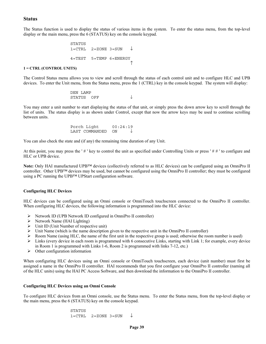## **Status**

The Status function is used to display the status of various items in the system. To enter the status menu, from the top-level display or the main menu, press the 6 (STATUS) key on the console keypad.

```
STATUS
              1 = \text{CTR} 2=ZONE 3=SUN \downarrow 4=TEST 5=TEMP 6=ENERGY
\uparrow
```
#### **1 = CTRL (CONTROL UNITS)**

The Control Status menu allows you to view and scroll through the status of each control unit and to configure HLC and UPB devices. To enter the Unit menu, from the Status menu, press the 1 (CTRL) key in the console keypad. The system will display:

> DEN LAMP STATUS OFF  $\downarrow$

You may enter a unit number to start displaying the status of that unit, or simply press the down arrow key to scroll through the list of units. The status display is as shown under Control, except that now the arrow keys may be used to continue scrolling between units.

> Porch Light 00:24:19 LAST COMMANDED ON

You can also check the state and (if any) the remaining time duration of any Unit.

At this point, you may press the ' # ' key to control the unit as specified under Controlling Units or press ' # # ' to configure and HLC or UPB device.

**Note:** Only HAI manufactured UPB™ devices (collectively referred to as HLC devices) can be configured using an OmniPro II controller. Other UPB™ devices may be used, but cannot be configured using the OmniPro II controller; they must be configured using a PC running the UPB™ UPStart configuration software.

#### **Configuring HLC Devices**

HLC devices can be configured using an Omni console or OmniTouch touchscreen connected to the OmniPro II controller. When configuring HLC devices, the following information is programmed into the HLC device:

- ¾ Network ID (UPB Network ID configured in OmniPro II controller)
- $\triangleright$  Network Name (HAI Lighting)
- $\triangleright$  Unit ID (Unit Number of respective unit)
- $\triangleright$  Unit Name (which is the name description given to the respective unit in the OmniPro II controller)
- $\triangleright$  Room Name (using HLC, the name of the first unit in the respective group is used; otherwise the room number is used)
- $\triangleright$  Links (every device in each room is programmed with 6 consecutive Links, starting with Link 1; for example, every device in Room 1 is programmed with Links 1-6, Room 2 is programmed with links 7-12, etc.)
- $\triangleright$  Other configuration information

When configuring HLC devices using an Omni console or OmniTouch touchscreen, each device (unit number) must first be assigned a name in the OmniPro II controller. HAI recommends that you first configure your OmniPro II controller (naming all of the HLC units) using the HAI PC Access Software, and then download the information to the OmniPro II controller.

#### **Configuring HLC Devices using an Omni Console**

To configure HLC devices from an Omni console, use the Status menu. To enter the Status menu, from the top-level display or the main menu, press the 6 (STATUS) key on the console keypad.

> **STATUS**  $1 = \text{CTR}$  2=ZONE 3=SUN  $\downarrow$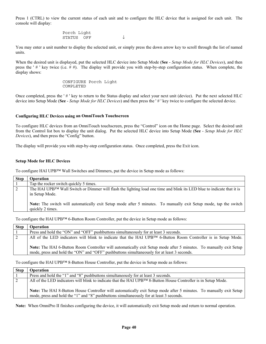Press 1 (CTRL) to view the current status of each unit and to configure the HLC device that is assigned for each unit. The console will display:

> Porch Light STATUS OFF  $\downarrow$

You may enter a unit number to display the selected unit, or simply press the down arrow key to scroll through the list of named units.

When the desired unit is displayed, put the selected HLC device into Setup Mode (**See** - *Setup Mode for HLC Devices*), and then press the  $'$  # ' key twice (i.e.  $#$  #). The display will provide you with step-by-step configuration status. When complete, the display shows:

> CONFIGURE Porch Light COMPLETED

Once completed, press the '#' key to return to the Status display and select your next unit (device). Put the next selected HLC device into Setup Mode (**See** - *Setup Mode for HLC Devices*) and then press the ' # ' key twice to configure the selected device.

### **Configuring HLC Devices using an OmniTouch Touchscreen**

To configure HLC devices from an OmniTouch touchscreen, press the "Control" icon on the Home page. Select the desired unit from the Control list box to display the unit dialog. Put the selected HLC device into Setup Mode (**See** - *Setup Mode for HLC Devices*), and then press the "Config" button.

The display will provide you with step-by-step configuration status. Once completed, press the Exit icon.

### **Setup Mode for HLC Devices**

To configure HAI UPB™ Wall Switches and Dimmers, put the device in Setup mode as follows:

| Tap the rocker switch quickly 5 times.<br>2<br>The HAI UPB <sup>™</sup> Wall Switch or Dimmer will flash the lighting load one time and blink its LED blue to indicate that it is<br>in Setup Mode. |  |
|-----------------------------------------------------------------------------------------------------------------------------------------------------------------------------------------------------|--|
|                                                                                                                                                                                                     |  |
|                                                                                                                                                                                                     |  |
|                                                                                                                                                                                                     |  |
| Note: The switch will automatically exit Setup mode after 5 minutes. To manually exit Setup mode, tap the switch<br>quickly 2 times.                                                                |  |

To configure the HAI UPB™ 6-Button Room Controller, put the device in Setup mode as follows:

| <b>Step</b> | <b>Operation</b>                                                                                                                                                                                                                                                                                                                   |
|-------------|------------------------------------------------------------------------------------------------------------------------------------------------------------------------------------------------------------------------------------------------------------------------------------------------------------------------------------|
|             | Press and hold the "ON" and "OFF" pushbuttons simultaneously for at least 3 seconds.                                                                                                                                                                                                                                               |
| $\sqrt{2}$  | All of the LED indicators will blink to indicate that the HAI UPB™ 6-Button Room Controller is in Setup Mode.<br>Note: The HAI 6-Button Room Controller will automatically exit Setup mode after 5 minutes. To manually exit Setup  <br>mode, press and hold the "ON" and "OFF" pushbuttons simultaneously for at least 3 seconds. |
|             |                                                                                                                                                                                                                                                                                                                                    |

To configure the HAI UPB™ 8-Button House Controller, put the device in Setup mode as follows:

| <b>Step</b> | <b>Operation</b>                                                                                                                                                                                                     |
|-------------|----------------------------------------------------------------------------------------------------------------------------------------------------------------------------------------------------------------------|
|             | Press and hold the "1" and "8" pushbuttons simultaneously for at least 3 seconds.                                                                                                                                    |
| 2           | All of the LED indicators will blink to indicate that the HAI UPB <sup>TM</sup> 8-Button House Controller is in Setup Mode.                                                                                          |
|             | <b>Note:</b> The HAI 8-Button House Controller will automatically exit Setup mode after 5 minutes. To manually exit Setup<br>mode, press and hold the "1" and "8" pushbuttons simultaneously for at least 3 seconds. |

**Note:** When OmniPro II finishes configuring the device, it will automatically exit Setup mode and return to normal operation.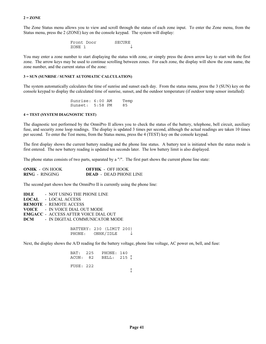The Zone Status menu allows you to view and scroll through the status of each zone input. To enter the Zone menu, from the Status menu, press the 2 (ZONE) key on the console keypad. The system will display:

> Front Door SECURE  $ZONE$  1  $\downarrow$

You may enter a zone number to start displaying the status with zone, or simply press the down arrow key to start with the first zone. The arrow keys may be used to continue scrolling between zones. For each zone, the display will show the zone name, the zone number, and the current status of the zone:

#### **3 = SUN (SUNRISE / SUNSET AUTOMATIC CALCULATION)**

The system automatically calculates the time of sunrise and sunset each day. From the status menu, press the 3 (SUN) key on the console keypad to display the calculated time of sunrise, sunset, and the outdoor temperature (if outdoor temp sensor installed):

> Sunrise: 6:00 AM Temp Sunset: 5:58 PM 85

#### **4 = TEST (SYSTEM DIAGNOSTIC TEST)**

The diagnostic test performed by the OmniPro II allows you to check the status of the battery, telephone, bell circuit, auxiliary fuse, and security zone loop readings. The display is updated 3 times per second, although the actual readings are taken 10 times per second. To enter the Test menu, from the Status menu, press the 4 (TEST) key on the console keypad.

The first display shows the current battery reading and the phone line status. A battery test is initiated when the status mode is first entered. The new battery reading is updated ten seconds later. The low battery limit is also displayed.

The phone status consists of two parts, separated by a "/". The first part shows the current phone line state:

| <b>ONHK - ON HOOK</b> | <b>OFFHK - OFF HOOK</b>       |
|-----------------------|-------------------------------|
| RING - RINGING        | <b>DEAD</b> - DEAD PHONE LINE |

The second part shows how the OmniPro II is currently using the phone line:

|  | <b>IDLE - NOT USING THE PHONE LINE</b>      |
|--|---------------------------------------------|
|  | LOCAL - LOCAL ACCESS                        |
|  | <b>REMOTE - REMOTE ACCESS</b>               |
|  | <b>VOICE - IN VOICE DIAL OUT MODE</b>       |
|  | <b>EMGACC - ACCESS AFTER VOICE DIAL OUT</b> |
|  | <b>DCM - IN DIGITAL COMMUNICATOR MODE</b>   |
|  |                                             |

 BATTERY: 230 (LIMIT 200) PHONE: ONHK/IDLE ↓

Next, the display shows the A/D reading for the battery voltage, phone line voltage, AC power on, bell, and fuse:

|           | BAT: 225 PHONE: 140<br>ACON: 82 BELL: 215 $\downarrow$ |  |
|-----------|--------------------------------------------------------|--|
| FUSE: 222 |                                                        |  |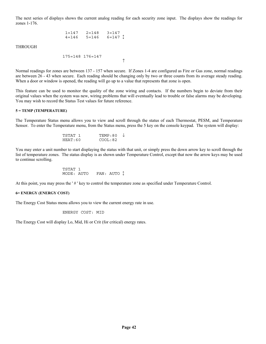The next series of displays shows the current analog reading for each security zone input. The displays show the readings for zones 1-176.

> 1=147 2=148 3=147 4=146 5=146 6=147 ¦

THROUGH

 175=148 176=147  $\uparrow$ 

Normal readings for zones are between 137 - 157 when secure. If Zones 1-4 are configured as Fire or Gas zone, normal readings are between 26 - 43 when secure. Each reading should be changing only by two or three counts from its average steady reading. When a door or window is opened, the reading will go up to a value that represents that zone is open.

This feature can be used to monitor the quality of the zone wiring and contacts. If the numbers begin to deviate from their original values when the system was new, wiring problems that will eventually lead to trouble or false alarms may be developing. You may wish to record the Status Test values for future reference.

### **5 = TEMP (TEMPERATURE)**

The Temperature Status menu allows you to view and scroll through the status of each Thermostat, PESM, and Temperature Sensor. To enter the Temperature menu, from the Status menu, press the 5 key on the console keypad. The system will display:

| TSTAT 1 | TEMP:80 | ↓ |
|---------|---------|---|
| HEAT:60 | COOL:82 |   |

You may enter a unit number to start displaying the status with that unit, or simply press the down arrow key to scroll through the list of temperature zones. The status display is as shown under Temperature Control, except that now the arrow keys may be used to continue scrolling.

> TSTAT 1 MODE: AUTO FAN: AUTO ¦

At this point, you may press the '#' key to control the temperature zone as specified under Temperature Control.

#### **6= ENERGY (ENERGY COST)**

The Energy Cost Status menu allows you to view the current energy rate in use.

```
 ENERGY COST: MID
```
The Energy Cost will display Lo, Mid, Hi or Crit (for critical) energy rates.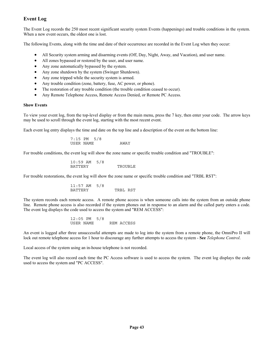## **Event Log**

The Event Log records the 250 most recent significant security system Events (happenings) and trouble conditions in the system. When a new event occurs, the oldest one is lost.

The following Events, along with the time and date of their occurrence are recorded in the Event Log when they occur:

- All Security system arming and disarming events (Off, Day, Night, Away, and Vacation), and user name.
- All zones bypassed or restored by the user, and user name.
- Any zone automatically bypassed by the system.
- Any zone shutdown by the system (Swinger Shutdown).
- Any zone tripped while the security system is armed.
- Any trouble condition (zone, battery, fuse, AC power, or phone).
- The restoration of any trouble condition (the trouble condition ceased to occur).
- Any Remote Telephone Access, Remote Access Denied, or Remote PC Access.

### **Show Events**

To view your event log, from the top-level display or from the main menu, press the 7 key, then enter your code. The arrow keys may be used to scroll through the event log, starting with the most recent event.

Each event log entry displays the time and date on the top line and a description of the event on the bottom line:

$$
\begin{array}{ccc} 7:15 & \texttt{PM} & 5/8 \\ \texttt{USER NAME} & & & \texttt{AWAY} \end{array}
$$

For trouble conditions, the event log will show the zone name or specific trouble condition and "TROUBLE":

$$
\begin{array}{ccccc}\n10:59 & AM & 5/8 \\
\hline\nBATTERY & & TROUBLE\n\end{array}
$$

For trouble restorations, the event log will show the zone name or specific trouble condition and "TRBL RST":

$$
\begin{matrix} 11:57\ \text{AM} & 5/8 \\ \text{BATTERY} & \text{TRBL RST} \end{matrix}
$$

The system records each remote access. A remote phone access is when someone calls into the system from an outside phone line. Remote phone access is also recorded if the system phones out in response to an alarm and the called party enters a code. The event log displays the code used to access the system and "REM ACCESS":

$$
\begin{array}{ccccc}\n 12:05 & PM & 5/8 \\
 \hline\n \text{USER NAME} & \text{REM Access}\n \end{array}
$$

An event is logged after three unsuccessful attempts are made to log into the system from a remote phone, the OmniPro II will lock out remote telephone access for 1 hour to discourage any further attempts to access the system - **See** *Telephone Control*.

Local access of the system using an in-house telephone is not recorded.

The event log will also record each time the PC Access software is used to access the system. The event log displays the code used to access the system and "PC ACCESS".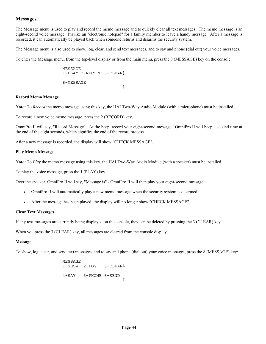## **Messages**

The Message menu is used to play and record the memo message and to quickly clear all text messages. The memo message is an eight-second voice message. It's like an "electronic notepad" for a family member to leave a handy message. After a message is recorded, it can automatically be played back when someone returns and disarms the security system.

The Message menu is also used to show, log, clear, and send text messages, and to say and phone (dial out) your voice messages.

To enter the Message menu, from the top-level display or from the main menu, press the 8 (MESSAGE) key on the console.

 MESSAGE 1=PLAY 2=RECORD 3=CLEAR¦ 8=MESSAGE  $\uparrow$ 

### **Record Memo Message**

**Note:** To *Record* the memo message using this key, the HAI Two-Way Audio Module (with a microphone) must be installed.

To record a new voice memo message, press the 2 (RECORD) key.

OmniPro II will say, "Record Message". At the beep, record your eight-second message. OmniPro II will beep a second time at the end of the eight seconds, which signifies the end of the record process.

After a new message is recorded, the display will show "CHECK MESSAGE".

#### **Play Memo Message**

**Note:** To *Play* the memo message using this key, the HAI Two-Way Audio Module (with a speaker) must be installed.

To play the voice message, press the 1 (PLAY) key.

Over the speaker, OmniPro II will say, "Message is" - OmniPro II will then play your eight-second message.

- OmniPro II will automatically play a new memo message when the security system is disarmed.
- After the message has been played, the display will no longer show "CHECK MESSAGE".

#### **Clear Text Messages**

If any text messages are currently being displayed on the console, they can be deleted by pressing the 3 (CLEAR) key.

When you press the 3 (CLEAR) key, all messages are cleared from the console display.

#### **Message**

To show, log, clear, and send text messages, and to say and phone (dial out) your voice messages, press the 8 (MESSAGE) key:

 MESSAGE 1=SHOW 2=LOG 3=CLEAR↓  $4 = SAY$  5=PHONE 6=SEND  $\uparrow$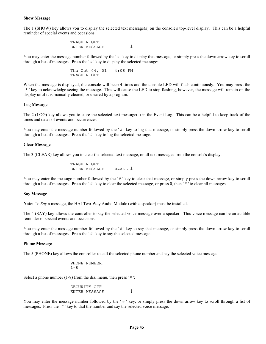#### **Show Message**

The 1 (SHOW) key allows you to display the selected text message(s) on the console's top-level display. This can be a helpful reminder of special events and occasions.

> TRASH NIGHT ENTER MESSAGE ↓

You may enter the message number followed by the '#' key to display that message, or simply press the down arrow key to scroll through a list of messages. Press the ' # ' key to display the selected message:

> Thu Oct 04, 01 4:06 PM TRASH NIGHT

When the message is displayed, the console will beep 4 times and the console LED will flash continuously. You may press the ' \* ' key to acknowledge seeing the message. This will cause the LED to stop flashing, however, the message will remain on the display until it is manually cleared, or cleared by a program.

### **Log Message**

The 2 (LOG) key allows you to store the selected text message(s) in the Event Log. This can be a helpful to keep track of the times and dates of events and occurrences.

You may enter the message number followed by the '#' key to log that message, or simply press the down arrow key to scroll through a list of messages. Press the ' # ' key to log the selected message.

#### **Clear Message**

The 3 (CLEAR) key allows you to clear the selected text message, or all text messages from the console's display.

 TRASH NIGHT ENTER MESSAGE  $0=ALL$   $\downarrow$ 

You may enter the message number followed by the '#' key to clear that message, or simply press the down arrow key to scroll through a list of messages. Press the '#' key to clear the selected message, or press 0, then '#' to clear all messages.

#### **Say Message**

**Note:** To *Say* a message, the HAI Two-Way Audio Module (with a speaker) must be installed.

The 4 (SAY) key allows the controller to say the selected voice message over a speaker. This voice message can be an audible reminder of special events and occasions.

You may enter the message number followed by the '#' key to say that message, or simply press the down arrow key to scroll through a list of messages. Press the ' # ' key to say the selected message.

#### **Phone Message**

The 5 (PHONE) key allows the controller to call the selected phone number and say the selected voice message.

```
 PHONE NUMBER:
1 - 8
```
Select a phone number  $(1-8)$  from the dial menu, then press ' $#$ ':

| SECURITY OFF  |  |
|---------------|--|
| ENTER MESSAGE |  |

You may enter the message number followed by the '#' key, or simply press the down arrow key to scroll through a list of messages. Press the '#' key to dial the number and say the selected voice message.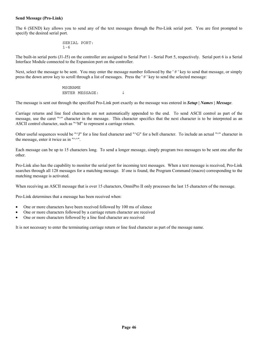### **Send Message (Pro-Link)**

The 6 (SEND) key allows you to send any of the text messages through the Pro-Link serial port. You are first prompted to specify the desired serial port.

> SERIAL PORT:  $1 - 6$

The built-in serial ports (J1-J5) on the controller are assigned to Serial Port 1 - Serial Port 5, respectively. Serial port 6 is a Serial Interface Module connected to the Expansion port on the controller.

Next, select the message to be sent. You may enter the message number followed by the '#' key to send that message, or simply press the down arrow key to scroll through a list of messages. Press the ' # ' key to send the selected message:

> MSGNAME ENTER MESSAGE: ↓

The message is sent out through the specified Pro-Link port exactly as the message was entered in *Setup | Names | Message*.

Carriage returns and line feed characters are not automatically appended to the end. To send ASCII control as part of the message, use the caret "<sup>^</sup>" character in the message. This character specifics that the next character is to be interpreted as an ASCII control character, such as "^M" to represent a carriage return.

Other useful sequences would be "^J" for a line feed character and "^G" for a bell character. To include an actual "^" character in the message, enter it twice as in " $\wedge$ ".

Each message can be up to 15 characters long. To send a longer message, simply program two messages to be sent one after the other.

Pro-Link also has the capability to monitor the serial port for incoming text messages. When a text message is received, Pro-Link searches through all 128 messages for a matching message. If one is found, the Program Command (macro) corresponding to the matching message is activated.

When receiving an ASCII message that is over 15 characters, OmniPro II only processes the last 15 characters of the message.

Pro-Link determines that a message has been received when:

- One or more characters have been received followed by 100 ms of silence
- One or more characters followed by a carriage return character are received
- One or more characters followed by a line feed character are received

It is not necessary to enter the terminating carriage return or line feed character as part of the message name.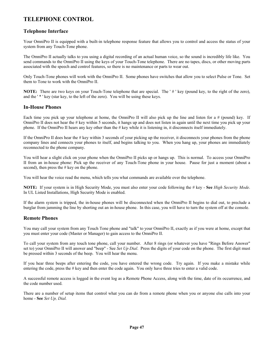# **TELEPHONE CONTROL**

## **Telephone Interface**

Your OmniPro II is equipped with a built-in telephone response feature that allows you to control and access the status of your system from any Touch-Tone phone.

The OmniPro II actually talks to you using a digital recording of an actual human voice, so the sound is incredibly life like. You send commands to the OmniPro II using the keys of your Touch-Tone telephone. There are no tapes, discs, or other moving parts associated with the speech and control features, so there is no maintenance or parts to wear out.

Only Touch-Tone phones will work with the OmniPro II. Some phones have switches that allow you to select Pulse or Tone. Set them to Tone to work with the OmniPro II.

**NOTE:** There are two keys on your Touch-Tone telephone that are special. The '#' key (pound key, to the right of the zero), and the '<sup>\*</sup>' key (star key, to the left of the zero). You will be using these keys.

## **In-House Phones**

Each time you pick up your telephone at home, the OmniPro II will also pick up the line and listen for a # (pound) key. If OmniPro II does not hear the # key within 5 seconds, it hangs up and does not listen in again until the next time you pick up your phone. If the OmniPro II hears any key other than the # key while it is listening in, it disconnects itself immediately.

If the OmniPro II does hear the # key within 3 seconds of your picking up the receiver, it disconnects your phones from the phone company lines and connects your phones to itself, and begins talking to you. When you hang up, your phones are immediately reconnected to the phone company.

You will hear a slight click on your phone when the OmniPro II picks up or hangs up. This is normal. To access your OmniPro II from an in-house phone: Pick up the receiver of any Touch-Tone phone in your house. Pause for just a moment (about a second), then press the  $#$  key on the phone.

You will hear the voice read the menu, which tells you what commands are available over the telephone.

**NOTE:** If your system is in High Security Mode, you must also enter your code following the # key - **See** *High Security Mode*. In UL Listed Installations, High Security Mode is enabled.

If the alarm system is tripped, the in-house phones will be disconnected when the OmniPro II begins to dial out, to preclude a burglar from jamming the line by shorting out an in-house phone. In this case, you will have to turn the system off at the console.

## **Remote Phones**

You may call your system from any Touch Tone phone and "talk" to your OmniPro II, exactly as if you were at home, except that you must enter your code (Master or Manager) to gain access to the OmniPro II.

To call your system from any touch tone phone, call your number. After 8 rings (or whatever you have "Rings Before Answer" set to) your OmniPro II will answer and "beep" - See *Set Up Dial*. Press the digits of your code on the phone. The first digit must be pressed within 3 seconds of the beep. You will hear the menu.

If you hear three beeps after entering the code, you have entered the wrong code. Try again. If you make a mistake while entering the code, press the  $\#$  key and then enter the code again. You only have three tries to enter a valid code.

A successful remote access is logged in the event log as a Remote Phone Access, along with the time, date of its occurrence, and the code number used.

There are a number of setup items that control what you can do from a remote phone when you or anyone else calls into your home - **See** *Set Up, Dial.*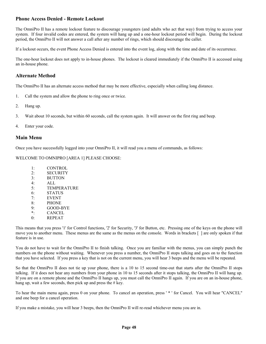## **Phone Access Denied - Remote Lockout**

The OmniPro II has a remote lockout feature to discourage youngsters (and adults who act that way) from trying to access your system. If four invalid codes are entered, the system will hang up and a one-hour lockout period will begin. During the lockout period, the OmniPro II will not answer a call after any number of rings, which should discourage the caller.

If a lockout occurs, the event Phone Access Denied is entered into the event log, along with the time and date of its occurrence.

The one-hour lockout does not apply to in-house phones. The lockout is cleared immediately if the OmniPro II is accessed using an in-house phone.

## **Alternate Method**

The OmniPro II has an alternate access method that may be more effective, especially when calling long distance.

- 1. Call the system and allow the phone to ring once or twice.
- 2. Hang up.
- 3. Wait about 10 seconds, but within 60 seconds, call the system again. It will answer on the first ring and beep.
- 4. Enter your code.

## **Main Menu**

Once you have successfully logged into your OmniPro II, it will read you a menu of commands, as follows:

WELCOME TO OMNIPRO [AREA 1] PLEASE CHOOSE:

- 1: CONTROL 2: SECURITY 3: BUTTON 4: ALL 5: TEMPERATURE 6: STATUS 7: EVENT 8: PHONE 9: GOOD-BYE<br>\*: CANCEL CANCEL
- 0: REPEAT

This means that you press '1' for Control functions, '2' for Security, '3' for Button, etc. Pressing one of the keys on the phone will move you to another menu. These menus are the same as the menus on the console. Words in brackets [ ] are only spoken if that feature is in use.

You do not have to wait for the OmniPro II to finish talking. Once you are familiar with the menus, you can simply punch the numbers on the phone without waiting. Whenever you press a number, the OmniPro II stops talking and goes on to the function that you have selected. If you press a key that is not on the current menu, you will hear 3 beeps and the menu will be repeated.

So that the OmniPro II does not tie up your phone, there is a 10 to 15 second time-out that starts after the OmniPro II stops talking. If it does not hear any numbers from your phone in 10 to 15 seconds after it stops talking, the OmniPro II will hang up. If you are on a remote phone and the OmniPro II hangs up, you must call the OmniPro II again. If you are on an in-house phone, hang up, wait a few seconds, then pick up and press the  $\#$  key.

To hear the main menu again, press 0 on your phone. To cancel an operation, press ' \* ' for Cancel. You will hear "CANCEL" and one beep for a cancel operation.

If you make a mistake, you will hear 3 beeps, then the OmniPro II will re-read whichever menu you are in.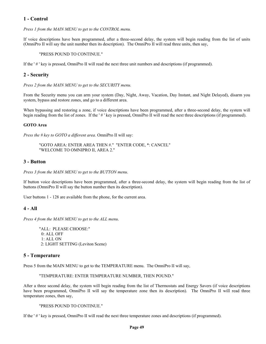## **1 - Control**

*Press 1 from the MAIN MENU to get to the CONTROL menu.* 

If voice descriptions have been programmed, after a three-second delay, the system will begin reading from the list of units (OmniPro II will say the unit number then its description). The OmniPro II will read three units, then say,

"PRESS POUND TO CONTINUE."

If the ' # ' key is pressed, OmniPro II will read the next three unit numbers and descriptions (if programmed).

## **2 - Security**

*Press 2 from the MAIN MENU to get to the SECURITY menu.*

From the Security menu you can arm your system (Day, Night, Away, Vacation, Day Instant, and Night Delayed), disarm you system, bypass and restore zones, and go to a different area.

When bypassing and restoring a zone, if voice descriptions have been programmed, after a three-second delay, the system will begin reading from the list of zones. If the '#' key is pressed, OmniPro II will read the next three descriptions (if programmed).

## **GOTO Area**

*Press the # key to GOTO a different area.* OmniPro II will say:

 "GOTO AREA: ENTER AREA THEN #." "ENTER CODE, \*: CANCEL" "WELCOME TO OMNIPRO II, AREA 2."

## **3 - Button**

*Press 3 from the MAIN MENU to get to the BUTTON menu*.

If button voice descriptions have been programmed, after a three-second delay, the system will begin reading from the list of buttons (OmniPro II will say the button number then its description).

User buttons 1 - 128 are available from the phone, for the current area.

## **4 - All**

*Press 4 from the MAIN MENU to get to the ALL menu*.

 "ALL: PLEASE CHOOSE:" 0: ALL OFF 1: ALL ON 2: LIGHT SETTING (Leviton Scene)

## **5 - Temperature**

Press 5 from the MAIN MENU to get to the TEMPERATURE menu. The OmniPro II will say,

"TEMPERATURE: ENTER TEMPERATURE NUMBER, THEN POUND."

After a three second delay, the system will begin reading from the list of Thermostats and Energy Savers (if voice descriptions have been programmed, OmniPro II will say the temperature zone then its description). The OmniPro II will read three temperature zones, then say,

"PRESS POUND TO CONTINUE."

If the ' # ' key is pressed, OmniPro II will read the next three temperature zones and descriptions (if programmed).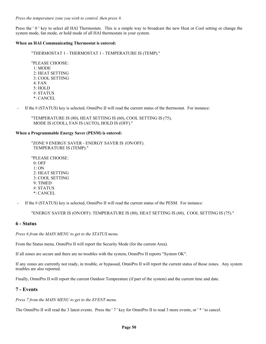*Press the temperature zone you wish to control, then press #.* 

Press the '0' key to select all HAI Thermostats. This is a simple way to broadcast the new Heat or Cool setting or change the system mode, fan mode, or hold mode of all HAI thermostats in your system.

## **When an HAI Communicating Thermostat is entered:**

"THERMOSTAT 1 - THERMOSTAT 1 - TEMPERATURE IS (TEMP)."

 "PLEASE CHOOSE: 1: MODE 2: HEAT SETTING 3: COOL SETTING 4: FAN 5: HOLD #: STATUS \*: CANCEL

If the # (STATUS) key is selected, OmniPro II will read the current status of the thermostat. For instance:

 "TEMPERATURE IS (80), HEAT SETTING IS (60), COOL SETTING IS (75), MODE IS (COOL), FAN IS (AUTO), HOLD IS (OFF)."

## **When a Programmable Energy Saver (PESM) is entered:**

"ZONE 9 ENERGY SAVER - ENERGY SAVER IS (ON/OFF). TEMPERATURE IS (TEMP)."

 "PLEASE CHOOSE: 0: OFF 1: ON 2: HEAT SETTING 3: COOL SETTING 9: TIMED #: STATUS \*: CANCEL

If the # (STATUS) key is selected, OmniPro II will read the current status of the PESM. For instance:

"ENERGY SAVER IS (ON/OFF): TEMPERATURE IS (80), HEAT SETTING IS (60), COOL SETTING IS (75)."

## **6 - Status**

*Press 6 from the MAIN MENU to get to the STATUS menu*.

From the Status menu, OmniPro II will report the Security Mode (for the current Area).

If all zones are secure and there are no troubles with the system, OmniPro II reports "System OK".

If any zones are currently not ready, in trouble, or bypassed, OmniPro II will report the current status of those zones. Any system troubles are also reported.

Finally, OmniPro II will report the current Outdoor Temperature (if part of the system) and the current time and date.

## **7 - Events**

*Press 7 from the MAIN MENU to get to the EVENT menu*.

The OmniPro II will read the 3 latest events. Press the '7' key for OmniPro II to read 3 more events, or ' \*' to cancel.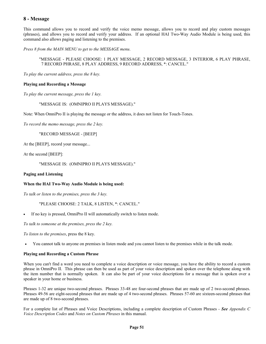## **8 - Message**

This command allows you to record and verify the voice memo message, allows you to record and play custom messages (phrases), and allows you to record and verify your address. If an optional HAI Two-Way Audio Module is being used, this command also allows paging and listening to the premises.

*Press 8 from the MAIN MENU to get to the MESSAGE menu*.

"MESSAGE - PLEASE CHOOSE: 1 PLAY MESSAGE, 2 RECORD MESSAGE, 3 INTERIOR, 6 PLAY PHRASE, 7 RECORD PHRASE, 8 PLAY ADDRESS, 9 RECORD ADDRESS, \*: CANCEL."

*To play the current address, press the 8 key.* 

### **Playing and Recording a Message**

*To play the current message, press the 1 key.* 

"MESSAGE IS: (OMNIPRO II PLAYS MESSAGE)."

Note: When OmniPro II is playing the message or the address, it does not listen for Touch-Tones.

*To record the memo message, press the 2 key.*

"RECORD MESSAGE - [BEEP]

At the [BEEP], record your message...

At the second [BEEP]:

"MESSAGE IS: (OMNIPRO II PLAYS MESSAGE)."

#### **Paging and Listening**

### **When the HAI Two-Way Audio Module is being used:**

*To talk or listen to the premises, press the 3 key.*

"PLEASE CHOOSE: 2 TALK, 8 LISTEN, \*: CANCEL."

If no key is pressed, OmniPro II will automatically switch to listen mode.

*To talk to someone at the premises, press the 2 key.*

*To listen to the premises*, press the 8 key.

• You cannot talk to anyone on premises in listen mode and you cannot listen to the premises while in the talk mode.

## **Playing and Recording a Custom Phrase**

When you can't find a word you need to complete a voice description or voice message, you have the ability to record a custom phrase in OmniPro II. This phrase can then be used as part of your voice description and spoken over the telephone along with the item number that is normally spoken. It can also be part of your voice descriptions for a message that is spoken over a speaker in your home or business.

Phrases 1-32 are unique two-second phrases. Phrases 33-48 are four-second phrases that are made up of 2 two-second phrases. Phrases 49-56 are eight-second phrases that are made up of 4 two-second phrases. Phrases 57-60 are sixteen-second phrases that are made up of 8 two-second phrases.

For a complete list of Phrases and Voice Descriptions, including a complete description of Custom Phrases *- See Appendix C Voice Description Codes* and *Notes on Custom Phrases* in this manual.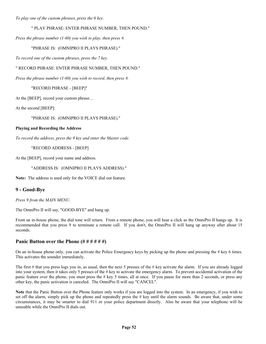*To play one of the custom phrases, press the 6 key.* 

## " PLAY PHRASE: ENTER PHRASE NUMBER, THEN POUND."

*Press the phrase number (1-60) you wish to play, then press #.* 

## "PHRASE IS: (OMNIPRO II PLAYS PHRASE)."

*To record one of the custom phrases, press the 7 key.* 

" RECORD PHRASE: ENTER PHRASE NUMBER, THEN POUND."

*Press the phrase number (1-60) you wish to record, then press #.* 

"RECORD PHRASE - [BEEP]"

At the [BEEP], record your custom phrase…

At the second [BEEP]:

"PHRASE IS: (OMNIPRO II PLAYS PHRASE)."

## **Playing and Recording the Address**

*To record the address, press the 9 key and enter the Master code.*

"RECORD ADDRESS - [BEEP]

At the [BEEP], record your name and address.

"ADDRESS IS: (OMNIPRO II PLAYS ADDRESS)."

**Note:** The address is used only for the VOICE dial out feature.

## **9 - Good-Bye**

*Press 9 from the MAIN MENU*.

The OmniPro II will say, "GOOD-BYE" and hang up.

From an in-house phone, the dial tone will return. From a remote phone, you will hear a click as the OmniPro II hangs up. It is recommended that you press 9 to terminate a remote call. If you don't, the OmniPro II will hang up anyway after about 15 seconds.

## **Panic Button over the Phone (# # # # # #)**

On an in-house phone only, you can activate the Police Emergency keys by picking up the phone and pressing the # key 6 times. This activates the sounder immediately.

The first # that you press logs you in, as usual, then the next 5 presses of the # key activate the alarm. If you are already logged into your system, then it takes only 5 presses of the # key to activate the emergency alarm. To prevent accidental activation of the panic feature over the phone, you must press the # key 5 times, all at once. If you pause for more than 2 seconds, or press any other key, the panic activation is canceled. The OmniPro II will say "CANCEL".

**Note** that the Panic Button over the Phone feature only works if you are logged into the system. In an emergency, if you wish to set off the alarm, simply pick up the phone and repeatedly press the # key until the alarm sounds. Be aware that, under some circumstances, it may be smarter to dial 911 or your police department directly. Also be aware that your telephone will be unusable while the OmniPro II dials out.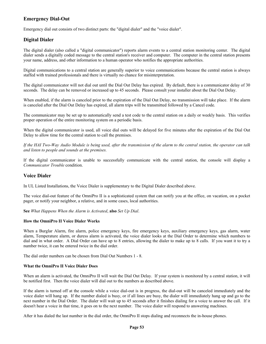## **Emergency Dial-Out**

Emergency dial out consists of two distinct parts: the "digital dialer" and the "voice dialer".

## **Digital Dialer**

The digital dialer (also called a "digital communicator") reports alarm events to a central station monitoring center. The digital dialer sends a digitally coded message to the central station's receiver and computer. The computer in the central station presents your name, address, and other information to a human operator who notifies the appropriate authorities.

Digital communications to a central station are generally superior to voice communications because the central station is always staffed with trained professionals and there is virtually no chance for misinterpretation.

The digital communicator will not dial out until the Dial Out Delay has expired. By default, there is a communicator delay of 30 seconds. The delay can be removed or increased up to 45 seconds. Please consult your installer about the Dial Out Delay.

When enabled, if the alarm is canceled prior to the expiration of the Dial Out Delay, no transmission will take place. If the alarm is canceled after the Dial Out Delay has expired, all alarm trips will be transmitted followed by a Cancel code.

The communicator may be set up to automatically send a test code to the central station on a daily or weekly basis. This verifies proper operation of the entire monitoring system on a periodic basis.

When the digital communicator is used, all voice dial outs will be delayed for five minutes after the expiration of the Dial Out Delay to allow time for the central station to call the premises.

*If the HAI Two-Way Audio Module is being used, after the transmission of the alarm to the central station, the operator can talk and listen to people and sounds at the premises.*

If the digital communicator is unable to successfully communicate with the central station, the console will display a *Communicator Trouble* condition.

## **Voice Dialer**

In UL Listed Installations, the Voice Dialer is supplementary to the Digital Dialer described above.

The voice dial-out feature of the OmniPro II is a sophisticated system that can notify you at the office, on vacation, on a pocket pager, or notify your neighbor, a relative, and in some cases, local authorities.

**See** *What Happens When the Alarm is Activated*, **also** *Set Up Dial*.

## **How the OmniPro II Voice Dialer Works**

When a Burglar Alarm, fire alarm, police emergency keys, fire emergency keys, auxiliary emergency keys, gas alarm, water alarm, Temperature alarm, or duress alarm is activated, the voice dialer looks at the Dial Order to determine which numbers to dial and in what order. A Dial Order can have up to 8 entries, allowing the dialer to make up to 8 calls. If you want it to try a number twice, it can be entered twice in the dial order.

The dial order numbers can be chosen from Dial Out Numbers 1 - 8.

## **What the OmniPro II Voice Dialer Does**

When an alarm is activated, the OmniPro II will wait the Dial Out Delay. If your system is monitored by a central station, it will be notified first. Then the voice dialer will dial out to the numbers as described above.

If the alarm is turned off at the console while a voice dial-out is in progress, the dial-out will be canceled immediately and the voice dialer will hang up. If the number dialed is busy, or if all lines are busy, the dialer will immediately hang up and go to the next number in the Dial Order. The dialer will wait up to 45 seconds after it finishes dialing for a voice to answer the call. If it doesn't hear a voice in that time, it goes on to the next number. The voice dialer will respond to answering machines.

After it has dialed the last number in the dial order, the OmniPro II stops dialing and reconnects the in-house phones.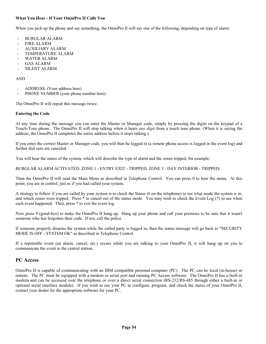## **What You Hear - If Your OmniPro II Calls You**

When you pick up the phone and say something, the OmniPro II will say one of the following, depending on type of alarm:

- BURGLAR ALARM
- FIRE ALARM
- AUXILIARY ALARM
- TEMPERATURE ALARM
- WATER ALARM
- GAS ALARM
- SILENT ALARM

## AND

- ADDRESS: (Your address here)
- PHONE NUMBER (your phone number here)

The OmniPro II will repeat this message twice.

## **Entering the Code**

At any time during the message you can enter the Master or Manager code, simply by pressing the digits on the keypad of a Touch-Tone phone. The OmniPro II will stop talking when it hears *any digit* from a touch tone phone. (When it is saying the address, the OmniPro II completes the entire address before it stops talking.)

If you enter the correct Master or Manager code, you will then be logged in (a remote phone access is logged in the event log) and further dial outs are canceled.

You will hear the status of the system, which will describe the type of alarm and the zones tripped, for example:

BURGLAR ALARM ACTIVATED: ZONE 1 - ENTRY EXIT - TRIPPED; ZONE 3 - DAY INTERIOR - TRIPPED:

Then the OmniPro II will read the Main Menu as described in Telephone Control. You can press 0 to hear the menu. At this point, you are in control, just as if you had called your system.

A strategy to follow if you are called by your system is to check the Status (6 on the telephone) to see what mode the system is in, and which zones were tripped. Press \* to cancel out of the status mode. You may wish to check the Event Log (7) to see when each event happened. Then, press \* to exit the event log.

Now press 9 (good-bye) to make the OmniPro II hang up. Hang up your phone and call your premises to be sure that it wasn't someone who has forgotten their code. If not, call the police.

If someone properly disarms the system while the called party is logged in, then the status message will go back to "SECURITY MODE IS OFF - SYSTEM OK" as described in Telephone Control.

If a reportable event (an alarm, cancel, etc.) occurs while you are talking to your OmniPro II, it will hang up on you to communicate the event to the central station.

## **PC Access**

OmniPro II is capable of communicating with an IBM compatible personal computer (PC). The PC can be local (in-house) or remote. The PC must be equipped with a modem or serial port and running PC Access software. The OmniPro II has a built-in modem and can be accessed over the telephone or over a direct serial connection (RS-232/RS-485 through either a built-in or optional serial interface module). If you wish to use your PC to configure, program, and check the status of your OmniPro II, contact your dealer for the appropriate software for your PC.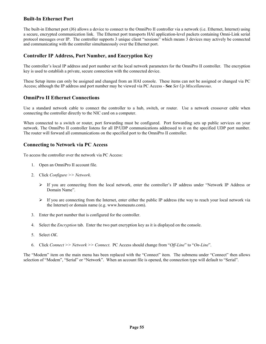## **Built-In Ethernet Port**

The built-in Ethernet port (J6) allows a device to connect to the OmniPro II controller via a network (i.e. Ethernet, Internet) using a secure, encrypted communication link. The Ethernet port transports HAI application-level packets containing Omni-Link serial protocol messages over IP. The controller supports 3 unique client "sessions" which means 3 devices may actively be connected and communicating with the controller simultaneously over the Ethernet port.

## **Controller IP Address, Port Number, and Encryption Key**

The controller's local IP address and port number set the local network parameters for the OmniPro II controller. The encryption key is used to establish a private, secure connection with the connected device.

These Setup items can only be assigned and changed from an HAI console. These items can not be assigned or changed via PC Access; although the IP address and port number may be viewed via PC Access - **See** *Set Up Miscellaneous*.

## **OmniPro II Ethernet Connections**

Use a standard network cable to connect the controller to a hub, switch, or router. Use a network crossover cable when connecting the controller directly to the NIC card on a computer.

When connected to a switch or router, port forwarding must be configured. Port forwarding sets up public services on your network. The OmniPro II controller listens for all IP/UDP communications addressed to it on the specified UDP port number. The router will forward all communications on the specified port to the OmniPro II controller.

## **Connecting to Network via PC Access**

To access the controller over the network via PC Access:

- 1. Open an OmniPro II account file.
- 2. Click *Configure >> Network*.
	- $\triangleright$  If you are connecting from the local network, enter the controller's IP address under "Network IP Address or Domain Name".
	- $\triangleright$  If you are connecting from the Internet, enter either the public IP address (the way to reach your local network via the Internet) or domain name (e.g. www.homeauto.com).
- 3. Enter the port number that is configured for the controller.
- 4. Select the *Encryption* tab. Enter the two part encryption key as it is displayed on the console.
- 5. Select *OK*.
- 6. Click *Connect >> Network >> Connect*. PC Access should change from "*Off-Line*" to "*On-Line*".

The "Modem" item on the main menu has been replaced with the "Connect" item. The submenu under "Connect" then allows selection of "Modem", "Serial" or "Network". When an account file is opened, the connection type will default to "Serial".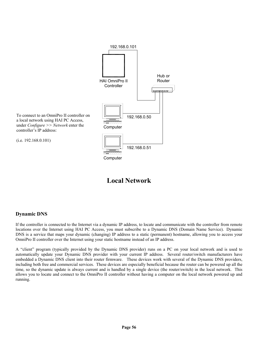

# **Local Network**

## **Dynamic DNS**

If the controller is connected to the Internet via a dynamic IP address, to locate and communicate with the controller from remote locations over the Internet using HAI PC Access, you must subscribe to a Dynamic DNS (Domain Name Service). Dynamic DNS is a service that maps your dynamic (changing) IP address to a static (permanent) hostname, allowing you to access your OmniPro II controller over the Internet using your static hostname instead of an IP address.

A "client" program (typically provided by the Dynamic DNS provider) runs on a PC on your local network and is used to automatically update your Dynamic DNS provider with your current IP address. Several router/switch manufacturers have embedded a Dynamic DNS client into their router firmware. These devices work with several of the Dynamic DNS providers, including both free and commercial services. These devices are especially beneficial because the router can be powered up all the time, so the dynamic update is always current and is handled by a single device (the router/switch) in the local network. This allows you to locate and connect to the OmniPro II controller without having a computer on the local network powered up and running.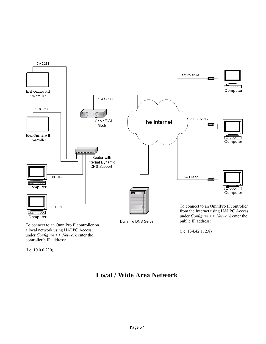

(i.e. 10.0.0.230)

# **Local / Wide Area Network**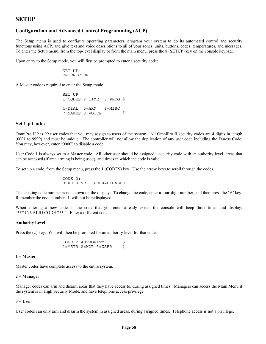## **SETUP**

## **Configuration and Advanced Control Programming (ACP)**

The Setup menu is used to configure operating parameters, program your system to do its automated control and security functions using ACP, and give text and voice descriptions to all of your zones, units, buttons, codes, temperatures, and messages. To enter the Setup menu, from the top-level display or from the main menu, press the 8 (SETUP) key on the console keypad.

Upon entry to the Setup mode, you will first be prompted to enter a security code:

 SET UP ENTER CODE:

A Master code is required to enter the Setup mode.

 SET UP  $1=$ CODES 2=TIME 3=PROG  $\downarrow$  4=DIAL 5=ARM 6=MISC  $7 = \text{NAMES}$  8=VOICE 1

## **Set Up Codes**

OmniPro II has 99 user codes that you may assign to users of the system. All OmniPro II security codes are 4 digits in length (0001 to 9999) and must be unique. The controller will not allow the duplication of any user code including the Duress Code. You may, however, enter "0000" to disable a code.

User Code 1 is always set to a Master code. All other user should be assigned a security code with an authority level, areas that can be accessed (if area arming is being used), and times in which the code is valid.

To set up a code, from the Setup menu, press the 1 (CODES) key. Use the arrow keys to scroll through the codes.

 $CONF 2 \cdot$ 0000-9999 0000=DISABLE

The existing code number is not shown on the display. To change the code, enter a four-digit number, and then press the '#' key. Remember the code number. It will not be redisplayed.

When entering a new code, if the code that you enter already exists, the console will beep three times and display: "\*\*\* INVALID CODE \*\*\* ". Enter a different code.

## **Authority Level**

Press the  $(\downarrow)$  key. You will then be prompted for an authority level for that code:

CODE 2 AUTHORITY: 3<br>1=MSTR 2=MGR 3=USER 1 1=MSTR 2=MGR 3=USER ¦

### **1 = Master**

Master codes have complete access to the entire system.

## **2 = Manager**

Manager codes can arm and disarm areas that they have access to, during assigned times. Managers can access the Main Menu if the system is in High Security Mode, and have telephone access privilege.

## **3 = User**

User codes can only arm and disarm the system in assigned areas, during assigned times. Telephone access is not a privilege.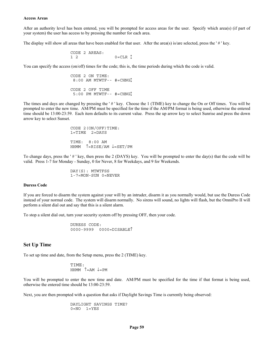#### **Access Areas**

After an authority level has been entered, you will be prompted for access areas for the user. Specify which area(s) (if part of your system) the user has access to by pressing the number for each area.

The display will show all areas that have been enabled for that user. After the area(s) is/are selected, press the '#' key.

 CODE 2 AREAS:  $1 2 0 = CLR$ 

You can specify the access (on/off) times for the code; this is, the time periods during which the code is valid.

 CODE 2 ON TIME: 8:00 AM MTWTF-- #=CHNG¦ CODE 2 OFF TIME 5:00 PM MTWTF-- #=CHNG¦

The times and days are changed by pressing the '#' key. Choose the 1 (TIME) key to change the On or Off times. You will be prompted to enter the new time. AM/PM must be specified for the time if the AM/PM format is being used, otherwise the entered time should be 13:00-23:59. Each item defaults to its current value. Press the up arrow key to select Sunrise and press the down arrow key to select Sunset.

> CODE 2(ON/OFF)TIME: 1=TIME 2=DAYS TIME: 8:00 AM HHMM ↑=RISE/AM ↓=SET/PM

To change days, press the '#' key, then press the 2 (DAYS) key. You will be prompted to enter the day(s) that the code will be valid. Press 1-7 for Monday - Sunday, 0 for Never, 8 for Weekdays, and 9 for Weekends.

> DAY(S): MTWTFSS 1-7=MON-SUN 0=NEVER

### **Duress Code**

If you are forced to disarm the system against your will by an intruder, disarm it as you normally would, but use the Duress Code instead of your normal code. The system will disarm normally. No sirens will sound, no lights will flash, but the OmniPro II will perform a silent dial out and say that this is a silent alarm.

To stop a silent dial out, turn your security system off by pressing OFF, then your code.

 DURESS CODE: 0000-9999 0000=DISABLE↑

## **Set Up Time**

To set up time and date, from the Setup menu, press the 2 (TIME) key.

 TIME: HHMM  $\uparrow$ =AM  $\downarrow$ =PM

You will be prompted to enter the new time and date. AM/PM must be specified for the time if that format is being used, otherwise the entered time should be 13:00-23:59.

Next, you are then prompted with a question that asks if Daylight Savings Time is currently being observed:

 DAYLIGHT SAVINGS TIME?  $0=NO$   $1=YES$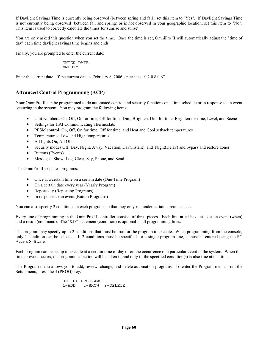If Daylight Savings Time is currently being observed (between spring and fall), set this item to "Yes". If Daylight Savings Time is not currently being observed (between fall and spring) or is not observed in your geographic location, set this item to "No". This item is used to correctly calculate the times for sunrise and sunset.

You are only asked this question when you set the time. Once the time is set, OmniPro II will automatically adjust the "time of day" each time daylight savings time begins and ends.

Finally, you are prompted to enter the current date:

 ENTER DATE: MMDDYY

Enter the current date. If the current date is February 8, 2006, enter it as "0 2 0 8 0 6".

## **Advanced Control Programming (ACP)**

Your OmniPro II can be programmed to do automated control and security functions on a time schedule or in response to an event occurring in the system. You may program the following items:

- Unit Numbers: On, Off, On for time, Off for time, Dim, Brighten, Dim for time, Brighten for time, Level, and Scene
- Settings for HAI Communicating Thermostats
- PESM control: On, Off, On for time, Off for time, and Heat and Cool setback temperatures
- Temperatures: Low and High temperatures
- All lights On, All Off
- Security modes Off, Day, Night, Away, Vacation, Day(Instant), and Night(Delay) and bypass and restore zones
- Buttons (Events)
- Messages: Show, Log, Clear, Say, Phone, and Send

The OmniPro II executes programs:

- Once at a certain time on a certain date (One-Time Program)
- On a certain date every year (Yearly Program)
- Repeatedly (Repeating Programs)
- In response to an event (Button Programs)

You can also specify 2 conditions in each program, so that they only run under certain circumstances.

Every line of programming in the OmniPro II controller consists of three pieces. Each line **must** have at least an event (when) and a result (command). The "&IF" statement (condition) is optional in all programming lines.

The program may specify up to 2 conditions that must be true for the program to execute. When programming from the console, only 1 condition can be selected. If 2 conditions must be specified for a single program line, it must be entered using the PC Access Software.

Each program can be set up to execute at a certain time of day or on the occurrence of a particular event in the system. When this time or event occurs, the programmed action will be taken if, and only if, the specified condition(s) is also true at that time.

The Program menu allows you to add, review, change, and delete automation programs. To enter the Program menu, from the Setup menu, press the 3 (PROG) key.

> SET UP PROGRAMS 1=ADD 2=SHOW 3=DELETE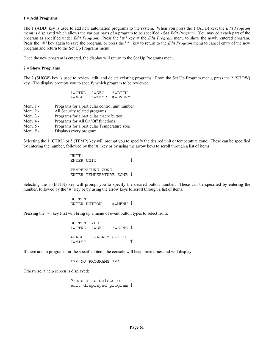### **1 = Add Programs**

The 1 (ADD) key is used to add new automation programs to the system. When you press the 1 (ADD) key, the *Edit Program* menu is displayed which allows the various parts of a program to be specified - **See** *Edit Program*. You may edit each part of the program as specified under *Edit Program*. Press the ' # ' key at the *Edit Program* menu to show the newly entered program. Press the '#' key again to save the program, or press the '\*' key to return to the *Edit Program* menu to cancel entry of the new program and return to the Set Up Programs menu.

Once the new program is entered, the display will return to the Set Up Programs menu.

#### **2 = Show Programs**

The 2 (SHOW) key is used to review, edit, and delete existing programs. From the Set Up Program menu, press the 2 (SHOW) key. The display prompts you to specify which program to be reviewed.

|  | $1 = CTRL$ $2 = SEC$ $3 = BTTN$ |                                   |
|--|---------------------------------|-----------------------------------|
|  |                                 | $4 = ALL$ $5 = TEMP$ $\# = EVERY$ |

| Menu $1 -$ | Programs for a particular control unit number |
|------------|-----------------------------------------------|
| Menu $2 -$ | All Security related programs                 |
| Menu $3 -$ | Programs for a particular macro button        |
| Menu $4 -$ | Programs for All On/Off functions             |
| Menu $5 -$ | Programs for a particular Temperature zone    |
| Menu $# -$ | Displays every program                        |

Selecting the 1 (CTRL) or 5 (TEMP) key will prompt you to specify the desired unit or temperature zone. These can be specified by entering the number, followed by the '#' key or by using the arrow keys to scroll through a list of items.

> UNIT: ENTER UNIT  $\downarrow$  TEMPERATURE ZONE ENTER TEMPERATURE ZONE ↓

Selecting the 3 (BTTN) key will prompt you to specify the desired button number. These can be specified by entering the number, followed by the '#' key or by using the arrow keys to scroll through a list of items.

> BUTTON: ENTER BUTTON  $#=MENU \downarrow$

Pressing the '#' key first will bring up a menu of event button types to select from:

 BUTTON TYPE  $1=$ CTRL  $2=$ SEC  $3=$ ZONE  $\downarrow$  4=ALL 5=ALARM 6=X-10  $7 = MISC$  ↑

If there are no programs for the specified item, the console will beep three times and will display:

\*\*\* NO PROGRAMS \*\*\*

Otherwise, a help screen is displayed:

```
 Press # to delete or
 edit displayed program.↓
```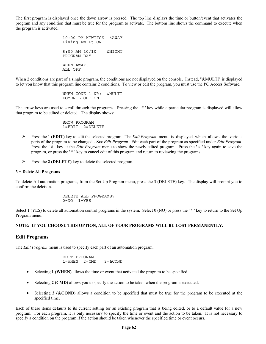The first program is displayed once the down arrow is pressed. The top line displays the time or button/event that activates the program and any condition that must be true for the program to activate. The bottom line shows the command to execute when the program is activated.

> 10:00 PM MTWTFSS &AWAY Living Rm Lt ON 6:00 AM 10/10 &NIGHT PROGRAM DAY WHEN AWAY: ALL OFF

When 2 conditions are part of a single program, the conditions are not displayed on the console. Instead, "&MULTI" is displayed to let you know that this program line contains 2 conditions. To view or edit the program, you must use the PC Access Software.

> WHEN ZONE 1 NR: &MULTI FOYER LIGHT ON

The arrow keys are used to scroll through the programs. Pressing the '#' key while a particular program is displayed will allow that program to be edited or deleted. The display shows:

> SHOW PROGRAM 1=EDIT 2=DELETE

- ¾ Press the **1 (EDIT)** key to edit the selected program. The *Edit Program* menu is displayed which allows the various parts of the program to be changed - **See** *Edit Program*. Edit each part of the program as specified under *Edit Program*. Press the ' # ' key at the *Edit Program* menu to show the newly edited program. Press the ' # ' key again to save the program, or press the '\*' key to cancel edit of this program and return to reviewing the programs.
- ¾ Press the **2 (DELETE)** key to delete the selected program.

### **3 = Delete All Programs**

To delete All automation programs, from the Set Up Program menu, press the 3 (DELETE) key. The display will prompt you to confirm the deletion.

> DELETE ALL PROGRAMS?  $0=NO$   $1=YES$

Select 1 (YES) to delete all automation control programs in the system. Select 0 (NO) or press the '\*' key to return to the Set Up Program menu.

#### **NOTE: IF YOU CHOOSE THIS OPTION, ALL OF YOUR PROGRAMS WILL BE LOST PERMANENTLY.**

## **Edit Programs**

The *Edit Program* menu is used to specify each part of an automation program.

 EDIT PROGRAM  $1=WHEN$   $2=CMD$   $3=&COND$ 

- Selecting **1 (WHEN)** allows the time or event that activated the program to be specified.
- Selecting **2 (CMD)** allows you to specify the action to be taken when the program is executed.
- Selecting **3 (&COND)** allows a condition to be specified that must be true for the program to be executed at the specified time.

Each of these items defaults to its current setting for an existing program that is being edited, or to a default value for a new program. For each program, it is only necessary to specify the time or event and the action to be taken. It is not necessary to specify a condition on the program if the action should be taken whenever the specified time or event occurs.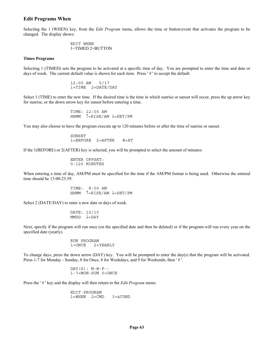## **Edit Programs When**

Selecting the 1 (WHEN) key, from the *Edit Program* menu, allows the time or button/event that activates the program to be changed. The display shows:

> EDIT WHEN 1=TIMED 2=BUTTON

#### **Times Programs**

Selecting 1 (TIMED) sets the program to be activated at a specific time of day. You are prompted to enter the time and date or days of week. The current default value is shown for each item. Press '#' to accept the default.

> 12:00 AM 5/17 1=TIME 2=DATE/DAY

Select 1 (TIME) to enter the new time. If the desired time is the time in which sunrise or sunset will occur, press the up arrow key for sunrise, or the down arrow key for sunset before entering a time.

> TIME: 12:00 AM HHMM  $\uparrow$ =RISE/AM  $\downarrow$ =SET/PM

You may also choose to have the program execute up to 120 minutes before or after the time of sunrise or sunset.

**SUNSET** 1=BEFORE 2=AFTER #=AT

If the 1(BEFORE) or 2(AFTER) key is selected, you will be prompted to select the amount of minutes:

 ENTER OFFSET: 0-120 MINUTES

When entering a time of day, AM/PM must be specified for the time if the AM/PM format is being used. Otherwise the entered time should be 13:00-23:59.

> TIME: 8:00 AM HHMM  $\uparrow$ =RISE/AM  $\downarrow$ =SET/PM

Select 2 (DATE/DAY) to enter a new date or days of week.

 DATE: 10/15 MMDD ↓=DAY

Next, specify if the program will run once (on the specified date and then be deleted) or if the program will run every year on the specified date (yearly).

> RUN PROGRAM 1=ONCE 2=YEARLY

To change days, press the down arrow (DAY) key. You will be prompted to enter the day(s) that the program will be activated. Press 1-7 for Monday - Sunday, 0 for Once, 8 for Weekdays, and 9 for Weekends, then ' # '.

> $DAY(S): M-W-F--$ 1-7=MON-SUN 0=ONCE

Press the '#' key and the display will then return to the *Edit Program* menu:

 EDIT PROGRAM 1=WHEN 2=CMD 3=&COND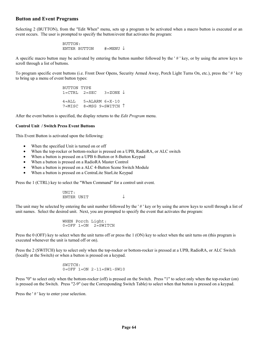## **Button and Event Programs**

Selecting 2 (BUTTON), from the "Edit When" menu, sets up a program to be activated when a macro button is executed or an event occurs. The user is prompted to specify the button/event that activates the program:

> BUTTON: ENTER BUTTON  $#=MENU \downarrow$

A specific macro button may be activated by entering the button number followed by the ' # ' key, or by using the arrow keys to scroll through a list of buttons.

To program specific event buttons (i.e. Front Door Opens, Security Armed Away, Porch Light Turns On, etc.), press the ' # ' key to bring up a menu of event button types:

> BUTTON TYPE  $1=CTRL$   $2=SEC$   $3=ZONE \downarrow$  4=ALL 5=ALARM 6=X-10 7=MISC 8=MSG 9=SWITCH ↑

After the event button is specified, the display returns to the *Edit Program* menu.

### **Control Unit / Switch Press Event Buttons**

This Event Button is activated upon the following:

- When the specified Unit is turned on or off
- When the top-rocker or bottom-rocker is pressed on a UPB, RadioRA, or ALC switch
- When a button is pressed on a UPB 6-Button or 8-Button Keypad
- When a button is pressed on a RadioRA Master Control
- When a button is pressed on a ALC 4-Button Scene Switch Module
- When a button is pressed on a CentraLite StarLite Keypad

Press the 1 (CTRL) key to select the "When Command" for a control unit event.

 UNIT: ENTER UNIT  $\downarrow$ 

The unit may be selected by entering the unit number followed by the '#' key or by using the arrow keys to scroll through a list of unit names. Select the desired unit. Next, you are prompted to specify the event that activates the program:

> WHEN Porch Light: 0=OFF 1=ON 2=SWITCH

Press the 0 (OFF) key to select when the unit turns off or press the 1 (ON) key to select when the unit turns on (this program is executed whenever the unit is turned off or on).

Press the 2 (SWITCH) key to select only when the top-rocker or bottom-rocker is pressed at a UPB, RadioRA, or ALC Switch (locally at the Switch) or when a button is pressed on a keypad.

> SWITCH: 0=OFF 1=ON 2-11=SW1-SW10

Press "0" to select only when the bottom-rocker (off) is pressed on the Switch. Press "1" to select only when the top-rocker (on) is pressed on the Switch. Press "2-9" (see the Corresponding Switch Table) to select when that button is pressed on a keypad.

Press the '#' key to enter your selection.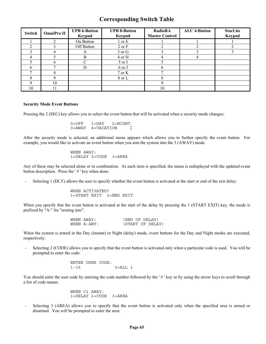# **Corresponding Switch Table**

| Switch | OmniPro II | <b>UPB 6-Button</b><br>Keypad | <b>UPB 8-Button</b><br>Keypad | <b>RadioRA</b><br><b>Master Control</b> | <b>ALC</b> 4-Button | <b>StarLite</b><br>Keypad |
|--------|------------|-------------------------------|-------------------------------|-----------------------------------------|---------------------|---------------------------|
|        |            | On Button                     | 1 or E                        |                                         |                     |                           |
|        |            | Off Button                    | $2$ or $F$                    |                                         |                     |                           |
|        |            | A                             | 3 or G                        |                                         |                     |                           |
| 4      |            | B                             | 4 or H                        |                                         |                     |                           |
|        |            |                               | $5$ or I                      |                                         |                     |                           |
|        |            |                               | 6 or J                        |                                         |                     |                           |
|        |            |                               | $7$ or K                      |                                         |                     |                           |
| 8      |            |                               | 8 or L                        |                                         |                     |                           |
|        | 10         |                               |                               |                                         |                     |                           |
| 10     |            |                               |                               | 10                                      |                     |                           |

#### **Security Mode Event Buttons**

Pressing the 2 (SEC) key allows you to select the event button that will be activated when a security mode changes:

 0=OFF 1=DAY 2=NIGHT 3=AWAY 4=VACATION ¦

After the security mode is selected, an additional menu appears which allows you to further specify the event button. For example, you would like to activate an event button when you arm the system into the 3 (AWAY) mode:

> WHEN AWAY: 1=DELAY 2=CODE 3=AREA

Any of these may be selected alone or in combination. As each item is specified, the menu is redisplayed with the updated event button description. Press the '#' key when done.

Selecting 1 (DLY) allows the user to specify whether the event button is activated at the start or end of the exit delay:

 WHEN ACTIVATED? 1=START EXIT 2=END EXIT

When you specify that the event button is activated at the start of the delay by pressing the 1 (START EXIT) key, the mode is prefixed by "A-" for "arming into".

| WHEN AWAY:  | (END OF DELAY)   |
|-------------|------------------|
| WHEN A-AWY: | (START OF DELAY) |

When the system is armed in the Day (instant) or Night (delay) mode, event buttons for the Day and Night modes are executed, respectively.

Selecting 2 (CODE) allows you to specify that the event button is activated only when a particular code is used. You will be prompted to enter the code:

> ENTER USER CODE:  $1-16$  0=ALL  $\downarrow$

You should enter the user code by entering the code number followed by the '#' key or by using the arrow keys to scroll through a list of code names.

> WHEN C1 AWAY: 1=DELAY 2=CODE 3=AREA

Selecting 3 (AREA) allows you to specify that the event button is activated only when the specified area is armed or disarmed. You will be prompted to enter the area: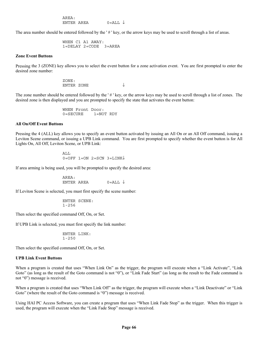AREA: ENTER AREA  $0=$ ALL  $\downarrow$ 

The area number should be entered followed by the '#' key, or the arrow keys may be used to scroll through a list of areas.

 WHEN C1 A1 AWAY: 1=DELAY 2=CODE 3=AREA

## **Zone Event Buttons**

Pressing the 3 (ZONE) key allows you to select the event button for a zone activation event. You are first prompted to enter the desired zone number:

> ZONE: ENTER ZONE ↓

The zone number should be entered followed by the '#' key, or the arrow keys may be used to scroll through a list of zones. The desired zone is then displayed and you are prompted to specify the state that activates the event button:

> WHEN Front Door:<br>0=SECURE 1=NO 1=NOT RDY

## **All On/Off Event Buttons**

Pressing the 4 (ALL) key allows you to specify an event button activated by issuing an All On or an All Off command, issuing a Leviton Scene command, or issuing a UPB Link command. You are first prompted to specify whether the event button is for All Lights On, All Off, Leviton Scene, or UPB Link:

> ALL  $0=$ OFF  $1=$ ON  $2=$ SCN  $3=$ LINK $\downarrow$

If area arming is being used, you will be prompted to specify the desired area:

 AREA: ENTER AREA  $0=$ ALL  $\downarrow$ 

If Leviton Scene is selected, you must first specify the scene number:

 ENTER SCENE: 1-256

Then select the specified command Off, On, or Set.

If UPB Link is selected, you must first specify the link number:

 ENTER LINK: 1-250

Then select the specified command Off, On, or Set.

#### **UPB Link Event Buttons**

When a program is created that uses "When Link On" as the trigger, the program will execute when a "Link Activate", "Link" Goto" (as long as the result of the Goto command is not "0"), or "Link Fade Start" (as long as the result to the Fade command is not "0") message is received.

When a program is created that uses "When Link Off" as the trigger, the program will execute when a "Link Deactivate" or "Link" Goto" (where the result of the Goto command is "0") message is received.

Using HAI PC Access Software, you can create a program that uses "When Link Fade Stop" as the trigger. When this trigger is used, the program will execute when the "Link Fade Stop" message is received.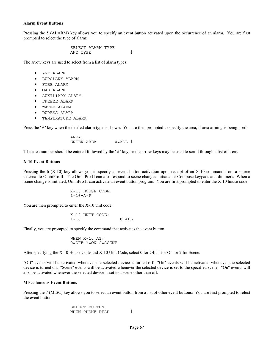#### **Alarm Event Buttons**

Pressing the 5 (ALARM) key allows you to specify an event button activated upon the occurrence of an alarm. You are first prompted to select the type of alarm:

> SELECT ALARM TYPE ANY TYPE  $\downarrow$

The arrow keys are used to select from a list of alarm types:

- ANY ALARM
- BURGLARY ALARM
- FIRE ALARM
- GAS ALARM
- AUXILIARY ALARM
- FREEZE ALARM
- WATER ALARM
- DURESS ALARM
- TEMPERATURE ALARM

Press the '#' key when the desired alarm type is shown. You are then prompted to specify the area, if area arming is being used:

$$
\begin{matrix} \text{AREA}: \\ \text{ENTER} & \text{AREA} \\ \end{matrix} \hspace{.5in} \begin{matrix} 0 = \text{ALL} \end{matrix} \downarrow
$$

T he area number should be entered followed by the '#' key, or the arrow keys may be used to scroll through a list of areas.

### **X-10 Event Buttons**

Pressing the 6 (X-10) key allows you to specify an event button activation upon receipt of an X-10 command from a source external to OmniPro II. The OmniPro II can also respond to scene changes initiated at Compose keypads and dimmers. When a scene change is initiated, OmniPro II can activate an event button program. You are first prompted to enter the X-10 house code:

$$
\begin{array}{rr}\nX-10 & \text{HOUSE } \text{CODE:} \\
1-16=A-P\n\end{array}
$$

You are then prompted to enter the X-10 unit code:

$$
\begin{array}{c} \tt X-10 \quad \tt UNIT \quad \tt CODE: \\ \tt 1-16 \qquad \qquad 0=ALL \end{array}
$$

Finally, you are prompted to specify the command that activates the event button:

WHEN X-10 A1:

\n
$$
0 = \text{OFF} \quad 1 = \text{ON} \quad 2 = \text{SCENE}
$$

After specifying the X-10 House Code and X-10 Unit Code, select 0 for Off, 1 for On, or 2 for Scene.

"Off" events will be activated whenever the selected device is turned off. "On" events will be activated whenever the selected device is turned on. "Scene" events will be activated whenever the selected device is set to the specified scene. "On" events will also be activated whenever the selected device is set to a scene other than off.

#### **Miscellaneous Event Buttons**

Pressing the 7 (MISC) key allows you to select an event button from a list of other event buttons. You are first prompted to select the event button:

> SELECT BUTTON: WHEN PHONE DEAD  $\downarrow$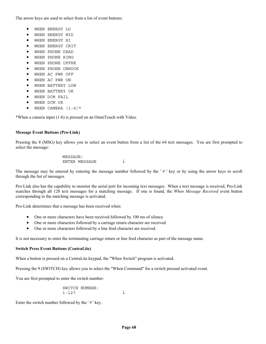The arrow keys are used to select from a list of event buttons:

- WHEN ENERGY LO
- WHEN ENERGY MID
- WHEN ENERGY HI
- WHEN ENERGY CRIT
- WHEN PHONE DEAD
- WHEN PHONE RING
- WHEN PHONE OFFHK
- WHEN PHONE ONHOOK
- WHEN AC PWR OFF
- WHEN AC PWR ON
- WHEN BATTERY LOW
- WHEN BATTERY OK
- WHEN DCM FAIL
- WHEN DCM OK
- $\bullet$  WHEN CAMERA  $(1-6)*$

\*When a camera input (1-6) is pressed on an OmniTouch with Video.

## **Message Event Buttons (Pro-Link)**

Pressing the 8 (MSG) key allows you to select an event button from a list of the 64 text messages. You are first prompted to select the message:

> MESSAGE: ENTER MESSAGE ↓

The message may be entered by entering the message number followed by the ' # ' key or by using the arrow keys to scroll through the list of messages.

Pro-Link also has the capability to monitor the serial port for incoming text messages. When a text message is received, Pro-Link searches through all 128 text messages for a matching message. If one is found, the *When Message Received* event button corresponding to the matching message is activated.

Pro-Link determines that a message has been received when:

- One or more characters have been received followed by 100 ms of silence
- One or more characters followed by a carriage return character are received
- One or more characters followed by a line feed character are received

It is not necessary to enter the terminating carriage return or line feed character as part of the message name.

## **Switch Press Event Buttons (CentraLite)**

When a button is pressed on a CentraLite keypad, the "When Switch" program is activated.

Pressing the 9 (SWITCH) key allows you to select the "When Command" for a switch pressed activated event.

You are first prompted to enter the switch number:

$$
\begin{array}{ll}\texttt{SWITCH NUMBER:} \\ 1-127 & \downarrow \end{array}
$$

Enter the switch number followed by the  $'$  # ' key.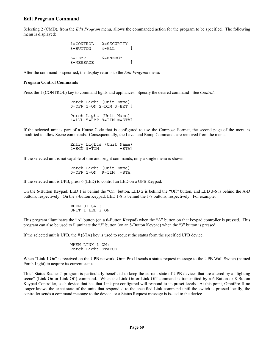# **Edit Program Command**

Selecting 2 (CMD), from the *Edit Program* menu, allows the commanded action for the program to be specified. The following menu is displayed:

```
 1=CONTROL 2=SECURITY
3 = BUTTON 4 = ALL ↓
5=TEMP 6=ENERGY 
8=MESSAGE ↑
```
After the command is specified, the display returns to the *Edit Program* menu:

#### **Program Control Commands**

Press the 1 (CONTROL) key to command lights and appliances. Specify the desired command - See *Control*.

```
 Porch Light (Unit Name) 
0=OFF 1=ON 2=DIM 3=BRT \downarrow Porch Light (Unit Name)
 4=LVL 5=RMP 9=TIM #=STA↑
```
If the selected unit is part of a House Code that is configured to use the Compose Format, the second page of the menu is modified to allow Scene commands. Consequentially, the Level and Ramp Commands are removed from the menu.

> Entry Lights (Unit Name)  $4 = SCN$  9=TIM  $# = STA$ <sup>↑</sup>

If the selected unit is not capable of dim and bright commands, only a single menu is shown.

 Porch Light (Unit Name) 0=OFF 1=ON 9=TIM #=STA

If the selected unit is UPB, press 6 (LED) to control an LED on a UPB Keypad.

On the 6-Button Keypad: LED 1 is behind the "On" button, LED 2 is behind the "Off" button, and LED 3-6 is behind the A-D buttons, respectively. On the 8-button Keypad: LED 1-8 is behind the 1-8 buttons, respectively. For example:

> WHEN U1 SW 3: UNIT 1 LED 3 ON

This program illuminates the "A" button (on a 6-Button Keypad) when the "A" button on that keypad controller is pressed. This program can also be used to illuminate the "3" button (on an 8-Button Keypad) when the "3" button is pressed.

If the selected unit is UPB, the # (STA) key is used to request the status form the specified UPB device.

 WHEN LINK 1 ON: Porch Light STATUS

When "Link 1 On" is received on the UPB network, OmniPro II sends a status request message to the UPB Wall Switch (named Porch Light) to acquire its current status.

This "Status Request" program is particularly beneficial to keep the current state of UPB devices that are altered by a "lighting scene" (Link On or Link Off) command. When the Link On or Link Off command is transmitted by a 6-Button or 8-Button Keypad Controller, each device that has that Link pre-configured will respond to its preset levels. At this point, OmniPro II no longer knows the exact state of the units that responded to the specified Link command until the switch is pressed locally, the controller sends a command message to the device, or a Status Request message is issued to the device.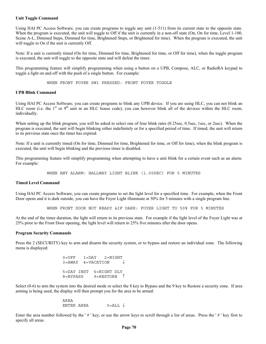## **Unit Toggle Command**

Using HAI PC Access Software, you can create programs to toggle any unit (1-511) from its current state to the opposite state. When the program is executed, the unit will toggle to Off if the unit is currently in a non-off state (On, On for time, Level 1-100, Scene A-L, Dimmed Steps, Dimmed for time, Brightened Steps, or Brightened for time). When the program is executed, the unit will toggle to On if the unit is currently Off.

Note: If a unit is currently timed (On for time, Dimmed for time, Brightened for time, or Off for time), when the toggle program is executed, the unit will toggle to the opposite state and will defeat the timer.

This programming feature will simplify programming when using a button on a UPB, Compose, ALC, or RadioRA keypad to toggle a light on and off with the push of a single button. For example:

WHEN FRONT FOYER SW1 PRESSED: FRONT FOYER TOGGLE

#### **UPB Blink Command**

Using HAI PC Access Software, you can create programs to blink any UPB device. If you are using HLC, you can not blink an HLC room (i.e. the 1<sup>st</sup> or 9<sup>th</sup> unit in an HLC house code); you can however blink all of the devices within the HLC room, individually.

When setting up the blink program, you will be asked to select one of four blink rates (0.25sec, 0.5sec, 1sec, or 2sec). When the program is executed, the unit will begin blinking either indefinitely or for a specified period of time. If timed, the unit will return to its previous state once the timer has expired.

Note: If a unit is currently timed (On for time, Dimmed for time, Brightened for time, or Off for time), when the blink program is executed, the unit will begin blinking and the previous timer is disabled.

This programming feature will simplify programming when attempting to have a unit blink for a certain event such as an alarm. For example:

WHEN ANY ALARM: HALLWAY LIGHT BLINK (1.00SEC) FOR 5 MINUTES

#### **Timed Level Command**

Using HAI PC Access Software, you can create programs to set the light level for a specified time. For example, when the Front Door opens and it is dark outside, you can have the Foyer Light illuminate at 50% for 5 minutes with a single program line.

WHEN FRONT DOOR NOT READY &IF DARK: FOYER LIGHT TO 50% FOR 5 MINUTES

At the end of the timer duration, the light will return to its previous state. For example if the light level of the Foyer Light was at 25% prior to the Front Door opening, the light level will return to 25% five minutes after the door opens.

#### **Program Security Commands**

Press the 2 (SECURITY) key to arm and disarm the security system, or to bypass and restore an individual zone. The following menu is displayed:

> 0=OFF 1=DAY 2=NIGHT  $3 = AMAY$   $4 = VACATION$  ↓ 5=DAY INST 6=NIGHT DLY 8=BYPASS 9=RESTORE

Select (0-6) to arm the system into the desired mode or select the 8 key to Bypass and the 9 key to Restore a security zone. If area arming is being used, the display will then prompt you for the area to be armed:

> AREA ENTER AREA  $0=$ ALL  $\downarrow$

Enter the area number followed by the '#' key, or use the arrow keys to scroll through a list of areas. Press the '#' key first to specify all areas.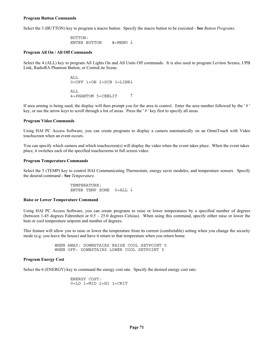#### **Program Button Commands**

Select the 3 (BUTTON) key to program a macro button. Specify the macro button to be executed - **See** *Button Programs*.

 BUTTON: ENTER BUTTON  $#=MENU \downarrow$ 

#### **Program All On / All Off Commands**

Select the 4 (ALL) key to program All Lights On and All Units Off commands. It is also used to program Leviton Scenes, UPB Link, RadioRA Phantom Button, or CentraLite Scene.

 ALL  $0=$ OFF 1=ON 2=SCN 3=LINK $\downarrow$  ALL  $4 = PHANTOM 5 = CENTIT 7$ 

If area arming is being used, the display will then prompt you for the area to control. Enter the area number followed by the '#' key, or use the arrow keys to scroll through a list of areas. Press the '#' key first to specify all areas.

#### **Program Video Commands**

Using HAI PC Access Software, you can create programs to display a camera automatically on an OmniTouch with Video touchscreen when an event occurs.

You can specify which camera and which touchscreen(s) will display the video when the event takes place. When the event takes place, it switches each of the specified touchscreens to full screen video.

#### **Program Temperature Commands**

Select the 5 (TEMP) key to control HAI Communicating Thermostats, energy saver modules, and temperature sensors. Specify the desired command - **See** *Temperature.* 

> TEMPERATURE: ENTER TEMP ZONE  $0=$ ALL  $\downarrow$

#### **Raise or Lower Temperature Command**

Using HAI PC Access Software, you can create programs to raise or lower temperatures by a specified number of degrees (between 1-45 degrees Fahrenheit or 0.5 – 25.0 degrees Celsius). When using this command, specify either raise or lower the heat or cool temperature setpoint and number of degrees.

This feature will allow you to raise or lower the temperature from its current (comfortable) setting when you change the security mode (e.g. you leave the house) and have it return to that temperature when you return home.

> WHEN AWAY: DOWNSTAIRS RAISE COOL SETPOINT 5 WHEN OFF: DOWNSTAIRS LOWER COOL SETPOINT 5

#### **Program Energy Cost**

Select the 6 (ENERGY) key to command the energy cost rate. Specify the desired energy cost rate:

ENERGY COST: 0=LO 1=MID 2=HI 3=CRIT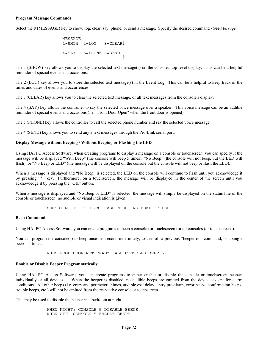#### **Program Message Commands**

Select the 8 (MESSAGE) key to show, log, clear, say, phone, or send a message. Specify the desired command - **See** *Message.*

```
 MESSAGE
           1 =SHOW 2 =LOG 3 =CLEAR↓
            4=SAY 5=PHONE 6=SEND
\uparrow
```
The 1 (SHOW) key allows you to display the selected text message(s) on the console's top-level display. This can be a helpful reminder of special events and occasions.

The 2 (LOG) key allows you to store the selected text message(s) in the Event Log. This can be a helpful to keep track of the times and dates of events and occurrences.

The 3 (CLEAR) key allows you to clear the selected text message, or all text messages from the console's display.

The 4 (SAY) key allows the controller to say the selected voice message over a speaker. This voice message can be an audible reminder of special events and occasions (i.e. "Front Door Open" when the front door is opened).

The 5 (PHONE) key allows the controller to call the selected phone number and say the selected voice message.

The 4 (SEND) key allows you to send any a text messages through the Pro-Link serial port.

#### **Display Message without Beeping / Without Beeping or Flashing the LED**

Using HAI PC Access Software, when creating programs to display a message on a console or touchscreen, you can specify if the message will be displayed "With Beep" (the console will beep 5 times), "No Beep" (the console will not beep, but the LED will flash), or "No Beep or LED" (the message will be displayed on the console but the console will not beep or flash the LED).

When a message is displayed and "No Beep" is selected, the LED on the console will continue to flash until you acknowledge it by pressing "\*" key. Furthermore, on a touchscreen, the message will be displayed in the center of the screen until you acknowledge it by pressing the "OK" button.

When a message is displayed and "No Beep or LED" is selected, the message will simply be displayed on the status line of the console or touchscreen; no audible or visual indication is given.

SUNSET M--T---: SHOW TRASH NIGHT NO BEEP OR LED

#### **Beep Command**

Using HAI PC Access Software, you can create programs to beep a console (or touchscreen) or all consoles (or touchscreens).

You can program the console(s) to beep once per second indefinitely, to turn off a previous "beeper on" command, or a single beep 1-5 times.

WHEN POOL DOOR NOT READY: ALL CONSOLES BEEP 5

#### **Enable or Disable Beeper Programmatically**

Using HAI PC Access Software, you can create programs to either enable or disable the console or touchscreen beeper; individually or all devices. When the beeper is disabled, no audible beeps are emitted from the device, except for alarm conditions. All other beeps (i.e. entry and perimeter chimes, audible exit delay, entry pre-alarm, error beeps, confirmation beeps, trouble beeps, etc.) will not be emitted from the respective console or touchscreen.

This may be used to disable the beeper in a bedroom at night.

WHEN NIGHT: CONSOLE 5 DISABLE BEEPS WHEN OFF: CONSOLE 5 ENABLE BEEPS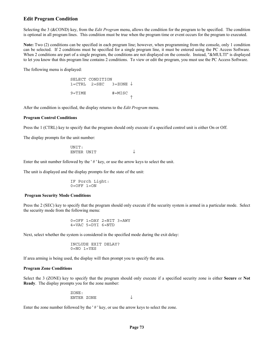# **Edit Program Condition**

Selecting the 3 (&COND) key, from the *Edit Program* menu, allows the condition for the program to be specified. The condition is optional in all program lines. This condition must be true when the program time or event occurs for the program to executed.

**Note:** Two (2) conditions can be specified in each program line; however, when programming from the console, only 1 condition can be selected. If 2 conditions must be specified for a single program line, it must be entered using the PC Access Software. When 2 conditions are part of a single program, the conditions are not displayed on the console. Instead, "&MULTI" is displayed to let you know that this program line contains 2 conditions. To view or edit the program, you must use the PC Access Software.

The following menu is displayed:

 SELECT CONDITION  $1=CTRL$   $2=SEC$   $3=ZONE \downarrow$  $9 = TIME$   $\qquad$   $\qquad$   $\qquad$   $\qquad$   $\qquad$   $\qquad$   $\qquad$   $\qquad$   $\qquad$   $\qquad$   $\qquad$   $\qquad$   $\qquad$   $\qquad$   $\qquad$   $\qquad$   $\qquad$   $\qquad$   $\qquad$   $\qquad$   $\qquad$   $\qquad$   $\qquad$   $\qquad$   $\qquad$   $\qquad$   $\qquad$   $\qquad$   $\qquad$   $\qquad$   $\qquad$   $\qquad$   $\qquad$   $\qquad$   $\qquad$   $\qquad$  $\uparrow$ 

After the condition is specified, the display returns to the *Edit Program* menu.

### **Program Control Conditions**

Press the 1 (CTRL) key to specify that the program should only execute if a specified control unit is either On or Off.

The display prompts for the unit number:

 UNIT: ENTER UNIT  $\downarrow$ 

Enter the unit number followed by the '#' key, or use the arrow keys to select the unit.

The unit is displayed and the display prompts for the state of the unit:

 IF Porch Light:  $0=$ OFF  $1=$ ON

### **Program Security Mode Conditions**

Press the 2 (SEC) key to specify that the program should only execute if the security system is armed in a particular mode. Select the security mode from the following menu:

> 0=OFF 1=DAY 2=NIT 3=AWY 4=VAC 5=DYI 6=NTD

Next, select whether the system is considered in the specified mode during the exit delay:

$$
\begin{array}{cl}\texttt{INCLUDE} & \texttt{EXIT} & \texttt{DELAY?}\\ \texttt{0=NO} & \texttt{1=YES} \end{array}
$$

If area arming is being used, the display will then prompt you to specify the area.

#### **Program Zone Conditions**

Select the 3 (ZONE) key to specify that the program should only execute if a specified security zone is either **Secure** or **Not Ready**. The display prompts you for the zone number:

> ZONE: ENTER ZONE  $\downarrow$

Enter the zone number followed by the '#' key, or use the arrow keys to select the zone.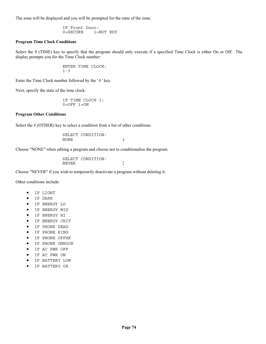The zone will be displayed and you will be prompted for the state of the zone:

 IF Front Door: 0=SECURE 1=NOT RDY

## **Program Time Clock Conditions**

Select the 9 (TIME) key to specify that the program should only execute if a specified Time Clock is either On or Off. The display prompts you for the Time Clock number:

> ENTER TIME CLOCK: 1-3

Enter the Time Clock number followed by the '#' key.

Next, specify the state of the time clock:

 IF TIME CLOCK 1: 0=OFF 1=ON

## **Program Other Conditions**

Select the # (OTHER) key to select a condition from a list of other conditions.

 SELECT CONDITION: NONE  $\downarrow$ 

Choose "NONE" when editing a program and choose not to conditionalize the program.

 SELECT CONDITION: NEVER  $\updownarrow$ 

Choose "NEVER" if you wish to temporarily deactivate a program without deleting it.

Other conditions include:

- IF LIGHT
- IF DARK
- IF ENERGY LO
- IF ENERGY MID
- IF ENERGY HI
- IF ENERGY CRIT
- IF PHONE DEAD
- IF PHONE RING
- IF PHONE OFFHK
- IF PHONE ONHOOK
- IF AC PWR OFF
- IF AC PWR ON
- IF BATTERY LOW
- IF BATTERY OK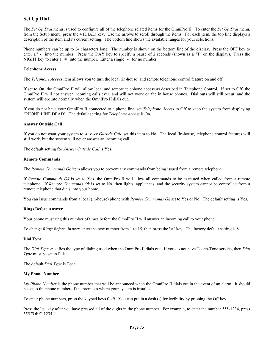# **Set Up Dial**

The *Set Up Dial* menu is used to configure all of the telephone related items for the OmniPro II. To enter the *Set Up Dial* menu, from the Setup menu, press the 4 (DIAL) key. Use the arrows to scroll through the items. For each item, the top line displays a description of the item and its current setting. The bottom line shows the available ranges for your selections.

Phone numbers can be up to 24 characters long. The number is shown on the bottom line of the display. Press the OFF key to enter a ' - ' into the number. Press the DAY key to specify a pause of 2 seconds (shown as a "T" on the display). Press the NIGHT key to enter a ' $\#$ ' into the number. Enter a single ' - ' for no number.

## **Telephone Access**

The *Telephone Access* item allows you to turn the local (in-house) and remote telephone control feature on and off.

If set to On, the OmniPro II will allow local and remote telephone access as described in Telephone Control. If set to Off, the OmniPro II will not answer incoming calls ever, and will not work on the in house phones. Dial outs will still occur, and the system will operate normally when the OmniPro II dials out.

If you do not have your OmniPro II connected to a phone line, set *Telephone Access* to Off to keep the system from displaying "PHONE LINE DEAD". The default setting for *Telephone Access* is On.

### **Answer Outside Call**

If you do not want your system to *Answer Outside Call*, set this item to No. The local (in-house) telephone control features will still work, but the system will never answer an incoming call.

The default setting for *Answer Outside Call* is Yes.

#### **Remote Commands**

The *Remote Commands Ok* item allows you to prevent any commands from being issued from a remote telephone.

If *Remote Commands Ok* is set to Yes, the OmniPro II will allow all commands to be executed when called from a remote telephone. If *Remote Commands Ok* is set to No, then lights, appliances, and the security system cannot be controlled from a remote telephone that dials into your home.

You can issue commands from a local (in-house) phone with *Remote Commands Ok* set to Yes or No. The default setting is Yes.

#### **Rings Before Answer**

Your phone must ring this number of times before the OmniPro II will answer an incoming call to your phone.

To change *Rings Before Answer*, enter the new number from 1 to 15, then press the '#' key. The factory default setting is 8.

## **Dial Type**

The *Dial Type* specifies the type of dialing used when the OmniPro II dials out. If you do not have Touch-Tone service, then *Dial Type* must be set to Pulse.

The default *Dial Type* is Tone.

#### **My Phone Number**

*My Phone Number* is the phone number that will be announced when the OmniPro II dials out in the event of an alarm. It should be set to the phone number of the premises where your system is installed.

To enter phone numbers, press the keypad keys 0 - 9. You can put in a dash (-) for legibility by pressing the Off key.

Press the '#' key after you have pressed all of the digits in the phone number. For example, to enter the number 555-1234, press 555 "OFF" 1234 #.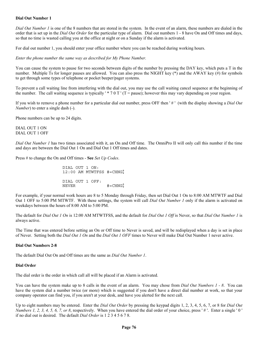## **Dial Out Number 1**

*Dial Out Number 1* is one of the 8 numbers that are stored in the system. In the event of an alarm, these numbers are dialed in the order that is set up in the *Dial Out Order* for the particular type of alarm. Dial out numbers 1 - 8 have On and Off times and days, so that no time is wasted calling you at the office at night or on a Sunday if the alarm is activated.

For dial out number 1, you should enter your office number where you can be reached during working hours.

*Enter the phone number the same way as described for My Phone Number.*

You can cause the system to pause for two seconds between digits of the number by pressing the DAY key, which puts a T in the number. Multiple Ts for longer pauses are allowed. You can also press the NIGHT key (\*) and the AWAY key (#) for symbols to get through some types of telephone or pocket beeper/pager systems.

To prevent a call waiting line from interfering with the dial out, you may use the call waiting cancel sequence at the beginning of the number. The call waiting sequence is typically '  $*$  7 0 T ' (T = pause); however this may vary depending on your region.

If you wish to remove a phone number for a particular dial out number, press OFF then ' # ' (with the display showing a *Dial Out Number*) to enter a single dash (-).

Phone numbers can be up to 24 digits.

DIAL OUT 1 ON DIAL OUT 1 OFF

*Dial Out Number 1* has two times associated with it, an On and Off time. The OmniPro II will only call this number if the time and days are between the Dial Out 1 On and Dial Out 1 Off times and dates.

Press # to change the On and Off times - **See** *Set Up Codes*.

 DIAL OUT 1 ON: 12:00 AM MTWTFSS #=CHNG¦ DIAL OUT 1 OFF:  $# = CHNG$ 

For example, if your normal work hours are 8 to 5 Monday through Friday, then set Dial Out 1 On to 8:00 AM MTWTF and Dial Out 1 OFF to 5:00 PM MTWTF. With these settings, the system will call *Dial Out Number 1* only if the alarm is activated on weekdays between the hours of 8:00 AM to 5:00 PM.

The default for *Dial Out 1 On* is 12:00 AM MTWTFSS, and the default for *Dial Out 1 Off* is Never, so that *Dial Out Number 1* is always active.

The Time that was entered before setting an On or Off time to Never is saved, and will be redisplayed when a day is set in place of Never. Setting both the *Dial Out 1 On* and the *Dial Out 1 OFF* times to Never will make Dial Out Number 1 never active.

## **Dial Out Numbers 2-8**

The default Dial Out On and Off times are the same as *Dial Out Number 1*.

## **Dial Order**

The dial order is the order in which call all will be placed if an Alarm is activated.

You can have the system make up to 8 calls in the event of an alarm. You may chose from *Dial Out Numbers 1 - 8*. You can have the system dial a number twice (or more) which is suggested if you don't have a direct dial number at work, so that your company operator can find you, if you aren't at your desk, and have you alerted for the next call.

Up to eight numbers may be entered. Enter the *Dial Out Order* by pressing the keypad digits 1, 2, 3, 4, 5, 6, 7, or 8 for *Dial Out Numbers 1, 2, 3, 4, 5, 6, 7, or 8,* respectively. When you have entered the dial order of your choice, press '#'. Enter a single '0' if no dial out is desired. The default *Dial Order* is 1 2 3 4 5 6 7 8.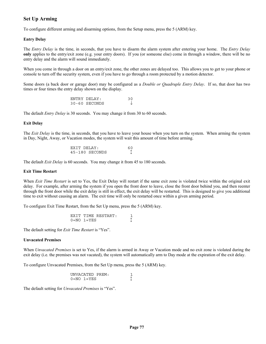# **Set Up Arming**

To configure different arming and disarming options, from the Setup menu, press the 5 (ARM) key.

### **Entry Delay**

The *Entry Delay* is the time, in seconds, that you have to disarm the alarm system after entering your home. The *Entry Delay* **only** applies to the entry/exit zone (e.g. your entry doors). If you (or someone else) come in through a window, there will be no entry delay and the alarm will sound immediately.

When you come in through a door on an entry/exit zone, the other zones are delayed too. This allows you to get to your phone or console to turn off the security system, even if you have to go through a room protected by a motion detector.

Some doors (a back door or garage door) may be configured as a *Double or Quadruple Entry Delay*. If so, that door has two times or four times the entry delay shown on the display.

> ENTRY DELAY: 30  $30-60$  SECONDS  $\downarrow$

The default *Entry Delay* is 30 seconds. You may change it from 30 to 60 seconds.

#### **Exit Delay**

The *Exit Delay* is the time, in seconds, that you have to leave your house when you turn on the system. When arming the system in Day, Night, Away, or Vacation modes, the system will wait this amount of time before arming.

| EXIT DELAY:    |  |
|----------------|--|
| 45-180 SECONDS |  |

The default *Exit Delay* is 60 seconds. You may change it from 45 to 180 seconds.

#### **Exit Time Restart**

When *Exit Time Restart* is set to Yes, the Exit Delay will restart if the same exit zone is violated twice within the original exit delay. For example, after arming the system if you open the front door to leave, close the front door behind you, and then reenter through the front door while the exit delay is still in effect, the exit delay will be restarted. This is designed to give you additional time to exit without causing an alarm. The exit time will only be restarted once within a given arming period.

To configure Exit Time Restart, from the Set Up menu, press the 5 (ARM) key.

EXIT TIME RESTART: 1<br>0=NO 1=YES 1  $0=NO 1=YES$ 

The default setting for *Exit Time Restart* is "Yes".

#### **Unvacated Premises**

When *Unvacated Premises* is set to Yes, if the alarm is armed in Away or Vacation mode and no exit zone is violated during the exit delay (i.e. the premises was not vacated), the system will automatically arm to Day mode at the expiration of the exit delay.

To configure Unvacated Premises, from the Set Up menu, press the 5 (ARM) key.

| UNVACATED PREM:    |  |
|--------------------|--|
| $0 = NO$ $1 = YES$ |  |

The default setting for *Unvacated Premises* is "Yes".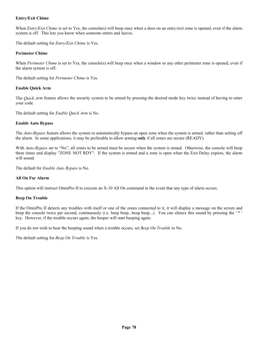# **Entry/Exit Chime**

When *Entry/Exit Chime* is set to Yes, the console(s) will beep once when a door on an entry/exit zone is opened, even if the alarm system is off. This lets you know when someone enters and leaves.

The default setting for *Entry/Exit Chime* is Yes.

### **Perimeter Chime**

When *Perimeter Chime* is set to Yes, the console(s) will beep once when a window or any other perimeter zone is opened, even if the alarm system is off.

The default setting for *Perimeter Chime* is Yes.

## **Enable Quick Arm**

The *Quick Arm* feature allows the security system to be armed by pressing the desired mode key twice instead of having to enter your code.

The default setting for *Enable Quick Arm* is No.

### **Enable Auto Bypass**

The *Auto-Bypass* feature allows the system to automatically bypass an open zone when the system is armed, rather than setting off the alarm. In some applications, it may be preferable to allow arming **only** if all zones are secure (READY).

With *Auto-Bypass* set to "No", all zones to be armed must be secure when the system is armed. Otherwise, the console will beep three times and display "ZONE NOT RDY". If the system is armed and a zone is open when the Exit Delay expires, the alarm will sound.

The default for *Enable Auto Bypass* is No.

#### **All On For Alarm**

This option will instruct OmniPro II to execute an X-10 All On command in the event that any type of alarm occurs.

## **Beep On Trouble**

If the OmniPro II detects any troubles with itself or one of the zones connected to it, it will display a message on the screen and beep the console twice per second, continuously (i.e. beep beep...beep beep...). You can silence this sound by pressing the '\*' key. However, if the trouble occurs again, the beeper will start beeping again.

If you do not wish to hear the beeping sound when a trouble occurs, set *Beep On Trouble* to No.

The default setting for *Beep On Trouble* is Yes.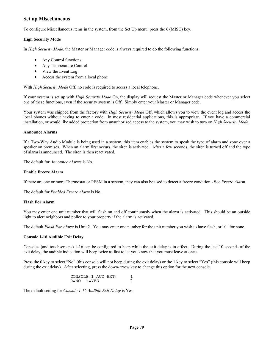# **Set up Miscellaneous**

To configure Miscellaneous items in the system, from the Set Up menu, press the 6 (MISC) key.

## **High Security Mode**

In *High Security Mode*, the Master or Manager code is always required to do the following functions:

- Any Control functions
- Any Temperature Control
- View the Event Log
- Access the system from a local phone

With *High Security Mode* Off, no code is required to access a local telephone.

If your system is set up with *High Security Mode* On, the display will request the Master or Manager code whenever you select one of these functions, even if the security system is Off. Simply enter your Master or Manager code.

Your system was shipped from the factory with *High Security Mode* Off, which allows you to view the event log and access the local phones without having to enter a code. In most residential applications, this is appropriate. If you have a commercial installation, or would like added protection from unauthorized access to the system, you may wish to turn on *High Security Mode*.

### **Announce Alarms**

If a Two-Way Audio Module is being used in a system, this item enables the system to speak the type of alarm and zone over a speaker on premises. When an alarm first occurs, the siren is activated. After a few seconds, the siren is turned off and the type of alarm is announced. The siren is then reactivated.

The default for *Announce Alarms* is No.

## **Enable Freeze Alarm**

If there are one or more Thermostat or PESM in a system, they can also be used to detect a freeze condition - **See** *Freeze Alarm*.

The default for *Enabled Freeze Alarm* is No.

## **Flash For Alarm**

You may enter one unit number that will flash on and off continuously when the alarm is activated. This should be an outside light to alert neighbors and police to your property if the alarm is activated.

The default *Flash For Alarm* is Unit 2. You may enter one number for the unit number you wish to have flash, or ' 0 ' for none.

## **Console 1-16 Audible Exit Delay**

Consoles (and touchscreens) 1-16 can be configured to beep while the exit delay is in effect. During the last 10 seconds of the exit delay, the audible indication will beep twice as fast to let you know that you must leave at once.

Press the 0 key to select "No" (this console will not beep during the exit delay) or the 1 key to select "Yes" (this console will beep during the exit delay). After selecting, press the down-arrow key to change this option for the next console.

> CONSOLE 1 AUD EXT:  $1 \atop 0=NQ$   $1=YES$  $0=NO$   $1=YES$

The default setting for *Console 1-16 Audible Exit Delay* is Yes.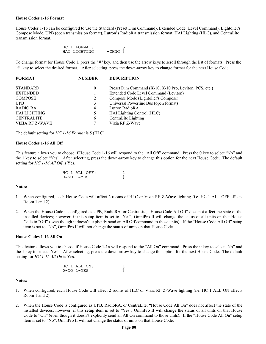#### **House Codes 1-16 Format**

House Codes 1-16 can be configured to use the Standard (Preset Dim Command), Extended Code (Level Command), Lightolier's Compose Mode, UPB (open transmission format), Lutron's RadioRA transmission format, HAI Lighting (HLC), and CentraLite transmission format.

> HC 1 FORMAT: 5<br>HAI LIGHTING #=CHNG Î HAI LIGHTING

To change format for House Code 1, press the '#' key, and then use the arrow keys to scroll through the list of formats. Press the ' # ' key to select the desired format. After selecting, press the down-arrow key to change format for the next House Code.

| <b>FORMAT</b>       | <b>NUMBER</b> | <b>DESCRIPTION</b>                                      |
|---------------------|---------------|---------------------------------------------------------|
| <b>STANDARD</b>     | $\theta$      | Preset Dim Command (X-10, X-10 Pro, Leviton, PCS, etc.) |
| <b>EXTENDED</b>     |               | Extended Code Level Command (Leviton)                   |
| <b>COMPOSE</b>      | 2             | Compose Mode (Lightolier's Compose)                     |
| <b>UPB</b>          | 3             | Universal Powerline Bus (open format)                   |
| <b>RADIO RA</b>     | 4             | Lutron RadioRA                                          |
| <b>HAI LIGHTING</b> | 5.            | HAI Lighting Control (HLC)                              |
| <b>CENTRALITE</b>   | 6             | CentraLite Lighting                                     |
| VIZIA RF Z-WAVE     |               | Vizia RF Z-Wave                                         |

The default setting for *HC 1-16 Format* is 5 (HLC).

#### **House Codes 1-16 All Off**

This feature allows you to choose if House Code 1-16 will respond to the "All Off" command. Press the 0 key to select "No" and the 1 key to select "Yes". After selecting, press the down-arrow key to change this option for the next House Code. The default setting for *HC 1-16 All Off* is Yes.

| HC 1 ALL OFF:      |  |
|--------------------|--|
| $0 = NO$ $1 = YES$ |  |

#### **Notes:**

- 1. When configured, each House Code will affect 2 rooms of HLC or Vizia RF Z-Wave lighting (i.e. HC 1 ALL OFF affects Room 1 and 2).
- 2. When the House Code is configured as UPB, RadioRA, or CentraLite, "House Code All Off" does not affect the state of the installed devices; however, if this setup item is set to "Yes", OmniPro II will change the status of all units on that House Code to "Off" (even though it doesn't explicitly send an All Off command to those units). If the "House Code All Off" setup item is set to "No", OmniPro II will not change the status of units on that House Code.

## **House Codes 1-16 All On**

This feature allows you to choose if House Code 1-16 will respond to the "All On" command. Press the 0 key to select "No" and the 1 key to select "Yes". After selecting, press the down-arrow key to change this option for the next House Code. The default setting for *HC 1-16 All On* is Yes.

| HC 1 ALL ON:       |  |
|--------------------|--|
| $0 = NO$ $1 = YES$ |  |

#### **Notes:**

- 1. When configured, each House Code will affect 2 rooms of HLC or Vizia RF Z-Wave lighting (i.e. HC 1 ALL ON affects Room 1 and 2).
- 2. When the House Code is configured as UPB, RadioRA, or CentraLite, "House Code All On" does not affect the state of the installed devices; however, if this setup item is set to "Yes", OmniPro II will change the status of all units on that House Code to "On" (even though it doesn't explicitly send an All On command to those units). If the "House Code All On" setup item is set to "No", OmniPro II will not change the status of units on that House Code.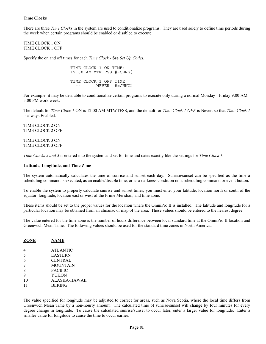## **Time Clocks**

There are three *Time Clocks* in the system are used to conditionalize programs. They are used solely to define time periods during the week when certain programs should be enabled or disabled to execute.

## TIME CLOCK 1 ON TIME CLOCK 1 OFF

Specify the on and off times for each *Time Clock* - **See** *Set Up Codes.* 

 TIME CLOCK 1 ON TIME: 12:00 AM MTWTFSS #=CHNG¦ TIME CLOCK 1 OFF TIME -- NEVER #=CHNG¦

For example, it may be desirable to conditionalize certain programs to execute only during a normal Monday - Friday 9:00 AM - 5:00 PM work week.

The default for *Time Clock 1* ON is 12:00 AM MTWTFSS, and the default for *Time Clock 1 OFF* is Never, so that *Time Clock 1* is always Enabled.

TIME CLOCK 2 ON TIME CLOCK 2 OFF

TIME CLOCK 3 ON TIME CLOCK 3 OFF

*Time Clocks 2 and 3* is entered into the system and set for time and dates exactly like the settings for *Time Clock 1*.

#### **Latitude, Longitude, and Time Zone**

The system automatically calculates the time of sunrise and sunset each day. Sunrise/sunset can be specified as the time a scheduling command is executed, as an enable/disable time, or as a darkness condition on a scheduling command or event button.

To enable the system to properly calculate sunrise and sunset times, you must enter your latitude, location north or south of the equator, longitude, location east or west of the Prime Meridian, and time zone.

These items should be set to the proper values for the location where the OmniPro II is installed. The latitude and longitude for a particular location may be obtained from an almanac or map of the area. These values should be entered to the nearest degree.

The value entered for the time zone is the number of hours difference between local standard time at the OmniPro II location and Greenwich Mean Time. The following values should be used for the standard time zones in North America:

| <b>ZONE</b>    | NAME            |
|----------------|-----------------|
|                | <b>ATLANTIC</b> |
| $\overline{5}$ | <b>EASTERN</b>  |
| 6              | <b>CENTRAL</b>  |
| 7              | <b>MOUNTAIN</b> |
| 8              | <b>PACIFIC</b>  |
| 9              | YUKON           |
| 10             | ALASKA-HAWAII   |
| 11             | <b>BERING</b>   |

The value specified for longitude may be adjusted to correct for areas, such as Nova Scotia, where the local time differs from Greenwich Mean Time by a non-hourly amount. The calculated time of sunrise/sunset will change by four minutes for every degree change in longitude. To cause the calculated sunrise/sunset to occur later, enter a larger value for longitude. Enter a smaller value for longitude to cause the time to occur earlier.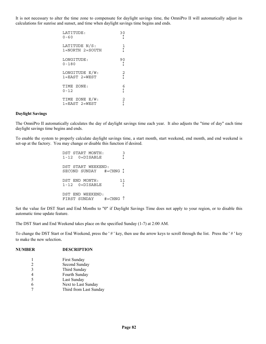It is not necessary to alter the time zone to compensate for daylight savings time, the OmniPro II will automatically adjust its calculations for sunrise and sunset, and time when daylight savings time begins and ends.

| LATITUDE:<br>$0 - 60$                       | 30                 |
|---------------------------------------------|--------------------|
| LATITUDE N/S:<br>$1 = \text{NORTH}$ 2=SOUTH |                    |
| LONGITUDE:<br>$0 - 180$                     | 90                 |
| LONGITUDE E/W:<br>$1 = EAST 2 = WEST$       | $\frac{2}{1}$      |
| TIME ZONE:<br>$0 - 12$                      | $6$ $\updownarrow$ |
| TIME ZONE E/W:<br>$1 = EAST 2 = WEST$       |                    |

#### **Daylight Savings**

The OmniPro II automatically calculates the day of daylight savings time each year. It also adjusts the "time of day" each time daylight savings time begins and ends.

To enable the system to properly calculate daylight savings time, a start month, start weekend, end month, and end weekend is set-up at the factory. You may change or disable this function if desired.

> DST START MONTH: 3<br>1-12 0=DISABLE 1 1-12 0=DISABLE ¦ DST START WEEKEND: SECOND SUNDAY #=CHNG ¦ DST END MONTH: 11<br>1-12 0=DISABLE 1 1-12 0=DISABLE ¦ DST END WEEKEND:<br>FIRST SUNDAY #=CHNG ^ FIRST SUNDAY

Set the value for DST Start and End Months to "0" if Daylight Savings Time does not apply to your region, or to disable this automatic time update feature.

The DST Start and End Weekend takes place on the specified Sunday (1-7) at 2:00 AM.

To change the DST Start or End Weekend, press the '#' key, then use the arrow keys to scroll through the list. Press the '#' key to make the new selection.

| <b>NUMBER</b> | <b>DESCRIPTION</b>     |
|---------------|------------------------|
|               | <b>First Sunday</b>    |
| 2             | Second Sunday          |
| 3             | Third Sunday           |
| 4             | Fourth Sunday          |
| 5             | Last Sunday            |
| 6             | Next to Last Sunday    |
|               | Third from Last Sunday |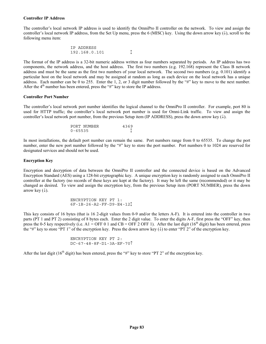## **Controller IP Address**

The controller's local network IP address is used to identify the OmniPro II controller on the network. To view and assign the controller's local network IP address, from the Set Up menu, press the 6 (MISC) key. Using the down arrow key  $(\downarrow)$ , scroll to the following menu item:

$$
\begin{matrix} \text{IP ADDRESS} \\ 192.168.0.101 \end{matrix}
$$

The format of the IP address is a 32-bit numeric address written as four numbers separated by periods. An IP address has two components, the network address, and the host address. The first two numbers (e.g. 192.168) represent the Class B network address and must be the same as the first two numbers of your local network. The second two numbers (e.g. 0.101) identify a particular host on the local network and may be assigned at random as long as each device on the local network has a unique address. Each number can be 0 to 255. Enter the 1, 2, or 3 digit number followed by the "#" key to move to the next number. After the  $4<sup>th</sup>$  number has been entered, press the "#" key to store the IP address.

### **Controller Port Number**

The controller's local network port number identifies the logical channel to the OmniPro II controller. For example, port 80 is used for HTTP traffic; the controller's local network port number is used for Omni-Link traffic. To view and assign the controller's local network port number, from the previous Setup item (IP ADDRESS), press the down arrow key  $(\downarrow)$ .

> PORT NUMBER 4369<br>0-65535  $0 - 65535$

In most installations, the default port number can remain the same. Port numbers range from 0 to 65535. To change the port number, enter the new port number followed by the "#" key to store the port number. Port numbers 0 to 1024 are reserved for designated services and should not be used.

### **Encryption Key**

Encryption and decryption of data between the OmniPro II controller and the connected device is based on the Advanced Encryption Standard (AES) using a 128-bit cryptographic key. A unique encryption key is randomly assigned to each OmniPro II controller at the factory (no records of these keys are kept at the factory). It may be left the same (recommended) or it may be changed as desired. To view and assign the encryption key, from the previous Setup item (PORT NUMBER), press the down arrow key  $(\downarrow)$ .

> ENCRYPTION KEY PT 1: 6F-1B-26-A2-FF-D9-E4-12¦

This key consists of 16 bytes (that is 16 2-digit values from 0-9 and/or the letters A-F). It is entered into the controller in two parts (PT 1 and PT 2) consisting of 8 bytes each. Enter the 2 digit value. To enter the digits A-F, first press the "OFF" key, then press the 0-5 key respectively (i.e. A1 = OFF 0 1 and CB = OFF 2 OFF 1). After the last digit (16<sup>th</sup> digit) has been entered, press the "#" key to store "PT 1" of the encryption key. Press the down arrow key  $(\downarrow)$  to enter "PT 2" of the encryption key.

> ENCRYPTION KEY PT 2: DC-67-48-8F-D1-3A-EF-70↑

After the last digit ( $16<sup>th</sup>$  digit) has been entered, press the "#" key to store "PT 2" of the encryption key.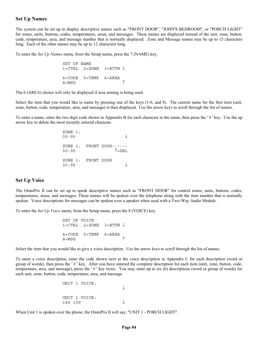# **Set Up Names**

The system can be set up to display descriptive names such as "FRONT DOOR", "JOHN'S BEDROOM", or "PORCH LIGHT" for zones, units, buttons, codes, temperatures, areas, and messages. These names are displayed instead of the unit, zone, button, code, temperature, area, and message number that is normally displayed. Zone and Message names may be up to 15 characters long. Each of the other names may be up to 12 characters long.

To enter the *Set Up Names* menu, from the Setup menu, press the 7 (NAME) key.

 SET UP NAME  $1=$ CTRL  $2=$ ZONE  $3=$ BTTN  $\downarrow$  4=CODE 5=TEMP 6=AREA 8=MSG ↑

The 6 (AREA) choice will only be displayed if area arming is being used.

Select the item that you would like to name by pressing one of the keys (1-6, and 8). The current name for the first item (unit, zone, button, code, temperature, area, and message) is then displayed. Use the arrow keys to scroll through the list of names.

To enter a name, enter the two digit code shown in Appendix B for each character in the name, then press the '#' key. Use the up arrow key to delete the most recently entered character.

 ZONE 1:  $00-95$  ZONE 1: FRONT DOOR------  $00 - 95$  ZONE 1: FRONT DOOR  $00-95$ 

## **Set Up Voice**

The OmniPro II can be set up to speak descriptive names such as "FRONT DOOR" for control zones, units, buttons, codes, temperatures, areas, and messages. These names will be spoken over the telephone along with the item number that is normally spoken. Voice descriptions for messages can be spoken over a speaker when used with a Two-Way Audio Module.

To enter the *Set Up Voice* menu, from the Setup menu, press the 8 (VOICE) key.

```
 SET UP VOICE
1=CTRL 2=ZONE 3=BTTN \downarrow 4=CODE 5=TEMP 6=AREA
 8=MSG ↑
```
Select the item that you would like to give a voice description. Use the arrow keys to scroll through the list of names.

To enter a voice description, enter the code shown next to the voice description in Appendix C for each description (word or group of words), then press the ' # ' key. After you have entered the complete description for each item (unit, zone, button, code, temperature, area, and message), press the ' # ' key twice. You may enter up to six (6) descriptions (word or group of words) for each unit, zone, button, code, temperature, area, and message.

| UNIT 1 VOICE:            |  |
|--------------------------|--|
| UNIT 1 VOICE:<br>144 109 |  |

When Unit 1 is spoken over the phone, the OmniPro II will say, "UNIT 1 - PORCH LIGHT".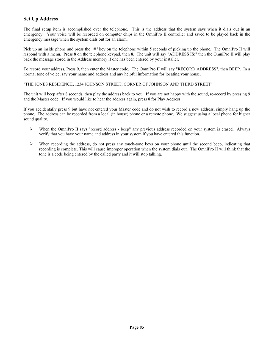# **Set Up Address**

The final setup item is accomplished over the telephone. This is the address that the system says when it dials out in an emergency. Your voice will be recorded on computer chips in the OmniPro II controller and saved to be played back in the emergency message when the system dials out for an alarm.

Pick up an inside phone and press the '#' key on the telephone within 5 seconds of picking up the phone. The OmniPro II will respond with a menu. Press 8 on the telephone keypad, then 8. The unit will say "ADDRESS IS:" then the OmniPro II will play back the message stored in the Address memory if one has been entered by your installer.

To record your address, Press 9, then enter the Master code. The OmniPro II will say "RECORD ADDRESS", then BEEP. In a normal tone of voice, say your name and address and any helpful information for locating your house.

"THE JONES RESIDENCE, 1234 JOHNSON STREET, CORNER OF JOHNSON AND THIRD STREET"

The unit will beep after 8 seconds, then play the address back to you. If you are not happy with the sound, re-record by pressing 9 and the Master code. If you would like to hear the address again, press 8 for Play Address.

If you accidentally press 9 but have not entered your Master code and do not wish to record a new address, simply hang up the phone. The address can be recorded from a local (in house) phone or a remote phone. We suggest using a local phone for higher sound quality.

- ¾ When the OmniPro II says "record address beep" any previous address recorded on your system is erased. Always verify that you have your name and address in your system if you have entered this function.
- $\triangleright$  When recording the address, do not press any touch-tone keys on your phone until the second beep, indicating that recording is complete. This will cause improper operation when the system dials out. The OmniPro II will think that the tone is a code being entered by the called party and it will stop talking.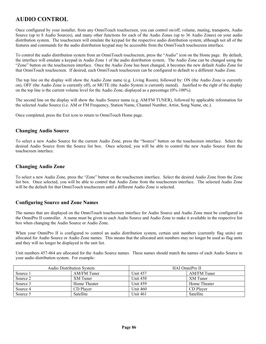# **AUDIO CONTROL**

Once configured by your installer, from any OmniTouch touchscreen, you can control on/off, volume, muting, transports, Audio Source (up to 8 Audio Sources), and many other functions for each of the Audio Zones (up to 36 Audio Zones) on your audio distribution system. The touchscreen will emulate the keypad for the respective audio distribution system; although not all of the features and commands for the audio distribution keypad may be accessible from the OmniTouch touchscreen interface.

To control the audio distribution system from an OmniTouch touchscreen, press the "Audio" icon on the Home page. By default, the interface will emulate a keypad in Audio Zone 1 of the audio distribution system. The Audio Zone can be changed using the "Zone" button on the touchscreen interface. Once the Audio Zone has been changed, it becomes the new default Audio Zone for that OmniTouch touchscreen. If desired, each OmniTouch touchscreen can be configured to default to a different Audio Zone.

The top line on the display will show the Audio Zone name (e.g. Living Room), followed by: ON (the Audio Zone is currently on), OFF (the Audio Zone is currently off), or MUTE (the Audio System is currently muted). Justified to the right of the display on the top line is the current volume level for the Audio Zone, displayed as a percentage (0%-100%).

The second line on the display will show the Audio Source name (e.g. AM/FM TUNER), followed by applicable information for the selected Audio Source (i.e. AM or FM Frequency, Station Name, Channel Number, Artist, Song Name, etc.).

Once completed, press the Exit icon to return to OmniTouch Home page.

# **Changing Audio Source**

To select a new Audio Source for the current Audio Zone, press the "Source" button on the touchscreen interface. Select the desired Audio Source from the Source list box. Once selected, you will be able to control the new Audio Source from the touchscreen interface.

# **Changing Audio Zone**

To select a new Audio Zone, press the "Zone" button on the touchscreen interface. Select the desired Audio Zone from the Zone list box. Once selected, you will be able to control that Audio Zone from the touchscreen interface. The selected Audio Zone will be the default for that OmniTouch touchscreen until a different Audio Zone is selected.

# **Configuring Source and Zone Names**

The names that are displayed on the OmniTouch touchscreen interface for Audio Source and Audio Zone must be configured in the OmniPro II controller. A name must be given to each Audio Source and Audio Zone to make it available in the respective list box when changing the Audio Source or Audio Zone.

When your OmniPro II is configured to control an audio distribution system, certain unit numbers (currently flag units) are allocated for Audio Source or Audio Zone names. This means that the allocated unit numbers may no longer be used as flag units and they will no longer be displayed in the unit list.

Unit numbers 457-464 are allocated for the Audio Source names. These names should match the names of each Audio Source in your audio distribution system. For example:

| <b>Audio Distribution System</b> |                    | HAI OmniPro II  |                  |  |
|----------------------------------|--------------------|-----------------|------------------|--|
| Source 1                         | <b>AM/FM Tuner</b> | Unit 457        | AM/FM Tuner      |  |
| Source 2                         | XM Tuner           | Unit 458        | XM Tuner         |  |
| Source 3                         | Home Theater       | <b>Unit 459</b> | Home Theater     |  |
| Source 4                         | CD Plaver          | Unit 460        | CD Player        |  |
| Source 5                         | <b>Satellite</b>   | Unit 461        | <b>Satellite</b> |  |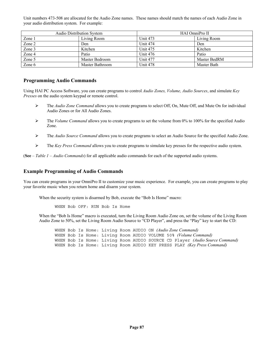Unit numbers 473-508 are allocated for the Audio Zone names. These names should match the names of each Audio Zone in your audio distribution system. For example:

|        | <b>Audio Distribution System</b> | HAI OmniPro II  |              |  |
|--------|----------------------------------|-----------------|--------------|--|
| Zone 1 | Living Room                      | <b>Unit 473</b> | Living Room  |  |
| Zone 2 | Den                              | Unit 474        | Den          |  |
| Zone 3 | Kitchen                          | <b>Unit 475</b> | Kitchen      |  |
| Zone 4 | Patio                            | Unit 476        | Patio        |  |
| Zone 5 | Master Bedroom                   | <b>Unit 477</b> | Master BedRM |  |
| Zone 6 | Master Bathroom                  | Unit 478        | Master Bath  |  |

# **Programming Audio Commands**

Using HAI PC Access Software, you can create programs to control *Audio Zones, Volume, Audio Sources*, and simulate *Key Presses* on the audio system keypad or remote control.

- ¾ The *Audio Zone Command* allows you to create programs to select Off, On, Mute Off, and Mute On for individual Audio Zones or for All Audio Zones.
- ¾ The *Volume Command* allows you to create programs to set the volume from 0% to 100% for the specified Audio Zone.
- ¾ The *Audio Source Command* allows you to create programs to select an Audio Source for the specified Audio Zone.
- ¾ The *Key Press Command* allows you to create programs to simulate key presses for the respective audio system.

(**See** – *Table 1 – Audio Commands*) for all applicable audio commands for each of the supported audio systems.

# **Example Programming of Audio Commands**

You can create programs in your OmniPro II to customize your music experience. For example, you can create programs to play your favorite music when you return home and disarm your system.

When the security system is disarmed by Bob, execute the "Bob Is Home" macro:

WHEN Bob OFF: RUN Bob Is Home

When the "Bob Is Home" macro is executed, turn the Living Room Audio Zone on, set the volume of the Living Room Audio Zone to 50%, set the Living Room Audio Source to "CD Player", and press the "Play" key to start the CD:

WHEN Bob Is Home: Living Room AUDIO ON *(Audio Zone Command)* WHEN Bob Is Home: Living Room AUDIO VOLUME 50% *(Volume Command)* WHEN Bob Is Home: Living Room AUDIO SOURCE CD Player *(Audio Source Command)*  WHEN Bob Is Home: Living Room AUDIO KEY PRESS PLAY *(Key Press Command)*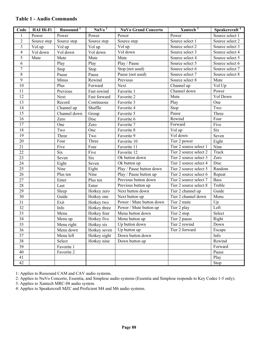# **Table 1 - Audio Commands**

| Code                    | HAI Hi-Fi   | Russound <sup>1</sup> | NuV <sub>0</sub> <sup>2</sup> | <b>NuVo Grand Concerto</b> | Xantech <sup>3</sup>   | Speakercraft <sup>4</sup> |
|-------------------------|-------------|-----------------------|-------------------------------|----------------------------|------------------------|---------------------------|
| $\mathbf{1}$            | Power       | Power                 | Power                         | Power                      | Power                  | Source select 1           |
| $\overline{2}$          | Source step | Source step           | Source step                   | Source step                | Source select 1        | Source select 2           |
| $\overline{\mathbf{3}}$ | Vol up      | Vol up                | Vol up                        | Vol up                     | Source select 2        | Source select 3           |
| $\overline{4}$          | Vol down    | Vol down              | Vol down                      | Vol down                   | Source select 3        | Source select 4           |
| 5                       | Mute        | Mute                  | Mute                          | Mute                       | Source select 4        | Source select 5           |
| 6                       |             | Play                  | Play                          | Play / Pause               | Source select 5        | Source select 6           |
| $\overline{7}$          |             | Stop                  | Stop                          | Stop (not used)            | Source select 6        | Source select 7           |
| $\,8\,$                 |             | Pause                 | Pause                         | Pause (not used)           | Source select 7        | Source select 8           |
| $\mathbf{9}$            |             | Minus                 | Rewind                        | Previous                   | Source select 8        | Mute                      |
| 10                      |             | Plus                  | Forward                       | Next                       | Channel up             | Vol Up                    |
| $11\,$                  |             | Previous              | Fast rewind                   | Favorite 1                 | Channel down           | Power                     |
| 12                      |             | Next                  | Fast forward                  | Favorite 2                 | Mute                   | Vol Down                  |
| 13                      |             | Record                | Continuous                    | Favorite 3                 | Play                   | One                       |
| 14                      |             | Channel up            | Shuffle                       | Favorite 4                 | Stop                   | Two                       |
| 15                      |             | Channel down          | Group                         | Favorite 5                 | Pause                  | Three                     |
| 16                      |             | Zero                  | Disc                          | Favorite 6                 | Rewind                 | Four                      |
| 17                      |             | One                   | Zero                          | Favorite 7                 | Forward                | Five                      |
| 18                      |             | Two                   | One                           | Favorite 8                 | Vol up                 | Six                       |
| 19                      |             | Three                 | Two                           | Favorite 9                 | Vol down               | Seven                     |
| $20\,$                  |             | Four                  | Three                         | Favorite 10                | Tier 2 power           | Eight                     |
| 21                      |             | Five                  | Four                          | Favorite 11                | Tier 2 source select 1 | Nine                      |
| 22                      |             | Six                   | Five                          | Favorite 12                | Tier 2 source select 2 | Track                     |
| 23                      |             | Seven                 | Six                           | Ok button down             | Tier 2 source select 3 | Zero                      |
| 24                      |             | Eight                 | Seven                         | Ok button up               | Tier 2 source select 4 | Disc                      |
| 25                      |             | Nine                  | Eight                         | Play / Pause button down   | Tier 2 source select 5 | Random                    |
| $\overline{26}$         |             | Plus ten              | Nine                          | Play / Pause button up     | Tier 2 source select 6 | Repeat                    |
| 27                      |             | Enter                 | Plus ten                      | Previous button down       | Tier 2 source select 7 | <b>Bass</b>               |
| 28                      |             | Last                  | Enter                         | Previous button up         | Tier 2 source select 8 | Treble                    |
| 29                      |             | Sleep                 | Hotkey zero                   | Next button down           | Tier 2 channel up      | Guide                     |
| 30                      |             | Guide                 | Hotkey one                    | Next button up             | Tier 2 channel down    | Menu                      |
| 31                      |             | Exit                  | Hotkey two                    | Power / Mute button down   | Tier 2 mute            | Up                        |
| 32                      |             | Info                  | Hotkey three                  | Power / Mute button up     | Tier 2 play            | Left                      |
| 33                      |             | Menu                  | Hotkey four                   | Menu button down           | Tier 2 stop            | Select                    |
| 34                      |             | Menu up               | Hotkey five                   | Menu button up             | Tier 2 pause           | Right                     |
| 35                      |             | Menu right            | Hotkey six                    | Up button down             | Tier 2 rewind          | Down                      |
| 36                      |             | Menu down             | Hotkey seven                  | Up button up               | Tier 2 forward         | Escape                    |
| 37                      |             | Menu left             | Hotkey eight                  | Down button down           |                        | Info                      |
| 38                      |             | Select                | Hotkey nine                   | Down button up             |                        | Rewind                    |
| 39                      |             | Favorite 1            |                               |                            |                        | Forward                   |
| 40                      |             | Favorite 2            |                               |                            |                        | Pause                     |
| 41                      |             |                       |                               |                            |                        | Play                      |
| 42                      |             |                       |                               |                            |                        | Stop                      |

1: Applies to Russound CAM and CAV audio systems.

2: Applies to NuVo Concerto, Essentia, and Simplese audio systems (Essentia and Simplese responds to Key Codes 1-5 only).

3: Applies to Xantech MRC-88 audio system.

4: Applies to Speakercraft MZC and Proficient M4 and M6 audio systems.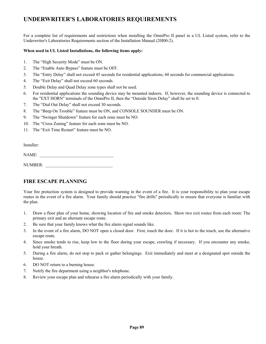# **UNDERWRITER'S LABORATORIES REQUIREMENTS**

For a complete list of requirements and restrictions when installing the OmniPro II panel in a UL Listed system, refer to the Underwriter's Laboratories Requirements section of the Installation Manual (20I00-2).

## **When used in UL Listed Installations, the following items apply:**

- 1. The "High Security Mode" must be ON.
- 2. The "Enable Auto Bypass" feature must be OFF.
- 3. The "Entry Delay" shall not exceed 45 seconds for residential applications; 60 seconds for commercial applications.
- 4. The "Exit Delay" shall not exceed 60 seconds.
- 5. Double Delay and Quad Delay zone types shall not be used.
- 6. For residential applications the sounding device may be mounted indoors. If, however, the sounding device is connected to the "EXT HORN" terminals of the OmniPro II, then the "Outside Siren Delay" shall be set to 0.
- 7. The "Dial Out Delay" shall not exceed 30 seconds.
- 8. The "Beep On Trouble" feature must be ON, and CONSOLE SOUNDER must be ON.
- 9. The "Swinger Shutdown" feature for each zone must be NO.
- 10. The "Cross Zoning" feature for each zone must be NO.
- 11. The "Exit Time Restart" feature must be NO.

Installer:

NAME:

NUMBER: \_\_\_\_\_\_\_\_\_\_\_\_\_\_\_\_\_\_\_\_\_\_\_\_\_\_\_\_\_\_\_

# **FIRE ESCAPE PLANNING**

Your fire protection system is designed to provide warning in the event of a fire. It is your responsibility to plan your escape routes in the event of a fire alarm. Your family should practice "fire drills" periodically to ensure that everyone is familiar with the plan.

- 1. Draw a floor plan of your home, showing location of fire and smoke detectors**.** Show two exit routes from each room: The primary exit and an alternate escape route.
- 2. Be sure that your family knows what the fire alarm signal sounds like.
- 3. In the event of a fire alarm, DO NOT open a closed door. First, touch the door. If it is hot to the touch, use the alternative escape route.
- 4. Since smoke tends to rise, keep low to the floor during your escape, crawling if necessary. If you encounter any smoke, hold your breath.
- 5. During a fire alarm, do not stop to pack or gather belongings. Exit immediately and meet at a designated spot outside the house.
- 6. DO NOT return to a burning house.
- 7. Notify the fire department using a neighbor's telephone.
- 8. Review your escape plan and rehearse a fire alarm periodically with your family.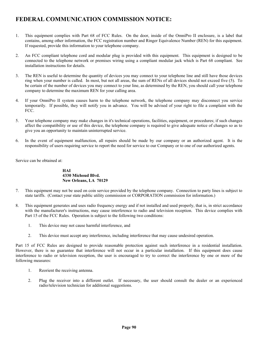# **FEDERAL COMMUNICATION COMMISSION NOTICE:**

- 1. This equipment complies with Part 68 of FCC Rules. On the door, inside of the OmniPro II enclosure, is a label that contains, among other information, the FCC registration number and Ringer Equivalence Number (REN) for this equipment. If requested, provide this information to your telephone company.
- 2. An FCC compliant telephone cord and modular plug is provided with this equipment. This equipment is designed to be connected to the telephone network or premises wiring using a compliant modular jack which is Part 68 compliant. See installation instructions for details.
- 3. The REN is useful to determine the quantity of devices you may connect to your telephone line and still have those devices ring when your number is called. In most, but not all areas, the sum of RENs of all devices should not exceed five (5). To be certain of the number of devices you may connect to your line, as determined by the REN, you should call your telephone company to determine the maximum REN for your calling area.
- 4. If your OmniPro II system causes harm to the telephone network, the telephone company may disconnect you service temporarily. If possible, they will notify you in advance. You will be advised of your right to file a complaint with the FCC.
- 5. Your telephone company may make changes in it's technical operations, facilities, equipment, or procedures; if such changes affect the compatibility or use of this device, the telephone company is required to give adequate notice of changes so as to give you an opportunity to maintain uninterrupted service.
- 6. In the event of equipment malfunction, all repairs should be made by our company or an authorized agent. It is the responsibility of users requiring service to report the need for service to our Company or to one of our authorized agents.

Service can be obtained at:

## **HAI 4330 Michoud Blvd. New Orleans, LA 70129**

- 7. This equipment may not be used on coin service provided by the telephone company. Connection to party lines is subject to state tariffs. (Contact your state public utility commission or CORPORATION commission for information.)
- 8. This equipment generates and uses radio frequency energy and if not installed and used properly, that is, in strict accordance with the manufacturer's instructions, may cause interference to radio and television reception. This device complies with Part 15 of the FCC Rules. Operation is subject to the following two conditions:
	- 1. This device may not cause harmful interference, and
	- 2. This device must accept any interference, including interference that may cause undesired operation.

Part 15 of FCC Rules are designed to provide reasonable protection against such interference in a residential installation. However, there is no guarantee that interference will not occur in a particular installation. If this equipment does cause interference to radio or television reception, the user is encouraged to try to correct the interference by one or more of the following measures:

- 1. Reorient the receiving antenna.
- 2. Plug the receiver into a different outlet. If necessary, the user should consult the dealer or an experienced radio/television technician for additional suggestions.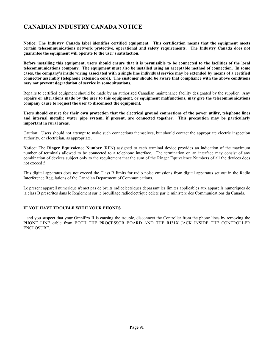# **CANADIAN INDUSTRY CANADA NOTICE**

**Notice: The Industry Canada label identifies certified equipment. This certification means that the equipment meets certain telecommunications network protective, operational and safety requirements. The Industry Canada does not guarantee the equipment will operate to the user's satisfaction.** 

**Before installing this equipment, users should ensure that it is permissible to be connected to the facilities of the local telecommunications company. The equipment must also be installed using an acceptable method of connection. In some cases, the company's inside wiring associated with a single line individual service may be extended by means of a certified connector assembly (telephone extension cord). The customer should be aware that compliance with the above conditions may not prevent degradation of service in some situations.** 

Repairs to certified equipment should be made by an authorized Canadian maintenance facility designated by the supplier. **Any repairs or alterations made by the user to this equipment, or equipment malfunctions, may give the telecommunications company cause to request the user to disconnect the equipment.** 

**Users should ensure for their own protection that the electrical ground connections of the power utility, telephone lines and internal metallic water pipe system, if present, are connected together. This precaution may be particularly important in rural areas.** 

Caution: Users should not attempt to make such connections themselves, but should contact the appropriate electric inspection authority, or electrician, as appropriate.

**Notice:** The **Ringer Equivalence Number** (REN) assigned to each terminal device provides an indication of the maximum number of terminals allowed to be connected to a telephone interface. The termination on an interface may consist of any combination of devices subject only to the requirement that the sum of the Ringer Equivalence Numbers of all the devices does not exceed 5.

This digital apparatus does not exceed the Class B limits for radio noise emissions from digital apparatus set out in the Radio Interference Regulations of the Canadian Department of Communications.

Le present appareil numerique n'emet pas de bruits radioelectriques depassant les limites applicables aux appareils numeriques de la class B prescrites dans le Reglement sur le brouillage radioelectrique edicte par le ministere des Communications du Canada.

# **IF YOU HAVE TROUBLE WITH YOUR PHONES**

...and you suspect that your OmniPro II is causing the trouble, disconnect the Controller from the phone lines by removing the PHONE LINE cable from BOTH THE PROCESSOR BOARD AND THE RJ31X JACK INSIDE THE CONTROLLER ENCLOSURE.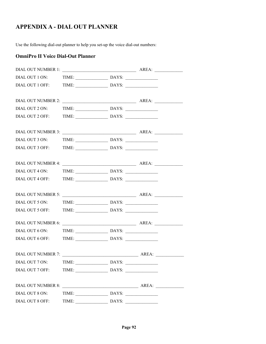# **APPENDIX A - DIAL OUT PLANNER**

Use the following dial-out planner to help you set-up the voice dial-out numbers:

# **OmniPro II Voice Dial-Out Planner**

|                                   | DIAL OUT 4 ON: TIME: DAYS: |  |
|-----------------------------------|----------------------------|--|
|                                   |                            |  |
|                                   |                            |  |
|                                   |                            |  |
|                                   |                            |  |
|                                   | DIAL OUT 5 ON: TIME: DAYS: |  |
|                                   |                            |  |
|                                   |                            |  |
|                                   |                            |  |
|                                   | DIAL OUT 6 ON: TIME: DAYS: |  |
|                                   |                            |  |
|                                   |                            |  |
|                                   |                            |  |
|                                   | TIME: DAYS:                |  |
| DIAL OUT 7 ON:<br>DIAL OUT 7 OFF: |                            |  |
|                                   |                            |  |
|                                   |                            |  |
| DIAL OUT 8 ON:<br>DIAL OUT 8 OFF: |                            |  |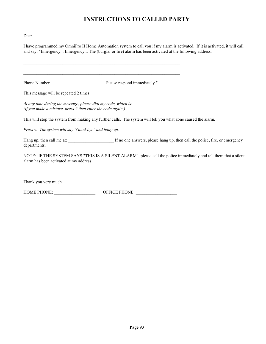# **INSTRUCTIONS TO CALLED PARTY**

Dear zero and the set of the set of the set of the set of the set of the set of the set of the set of the set of the set of the set of the set of the set of the set of the set of the set of the set of the set of the set of I have programmed my OmniPro II Home Automation system to call you if my alarm is activated. If it is activated, it will call and say: "Emergency... Emergency... The (burglar or fire) alarm has been activated at the following address:  $\_$  , and the set of the set of the set of the set of the set of the set of the set of the set of the set of the set of the set of the set of the set of the set of the set of the set of the set of the set of the set of th  $\_$  , and the set of the set of the set of the set of the set of the set of the set of the set of the set of the set of the set of the set of the set of the set of the set of the set of the set of the set of the set of th Phone Number **Please respond immediately.**" This message will be repeated 2 times. At any time during the message, please dial my code, which is: *(If you make a mistake, press # then enter the code again.)* This will stop the system from making any further calls. The system will tell you what zone caused the alarm. *Press 9. The system will say "Good-bye" and hang up.* Hang up, then call me at: If no one answers, please hang up, then call the police, fire, or emergency departments. NOTE: IF THE SYSTEM SAYS "THIS IS A SILENT ALARM", please call the police immediately and tell them that a silent alarm has been activated at my address! Thank you very much.

HOME PHONE: \_\_\_\_\_\_\_\_\_\_\_\_\_\_\_\_\_\_\_ OFFICE PHONE: \_\_\_\_\_\_\_\_\_\_\_\_\_\_\_\_\_\_\_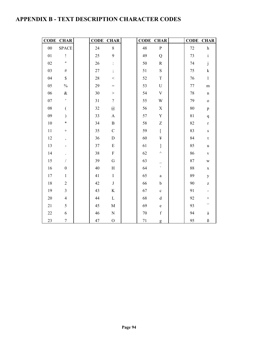# **APPENDIX B - TEXT DESCRIPTION CHARACTER CODES**

|            | <b>CODE CHAR</b>         |    | <b>CODE CHAR</b>                  |        | <b>CODE CHAR</b>                  |        | <b>CODE CHAR</b>     |
|------------|--------------------------|----|-----------------------------------|--------|-----------------------------------|--------|----------------------|
| ${\bf 00}$ | <b>SPACE</b>             | 24 | $8\,$                             | 48     | $\, {\bf P}$                      | $72\,$ | $\,h$                |
| 01         | $\mathop{!}\nolimits$    | 25 | $\mathbf{9}$                      | 49     | Q                                 | 73     | $\rm i$              |
| $02\,$     | $\mathbf{H}$             | 26 | $\ddot{\cdot}$                    | 50     | $\mathbf R$                       | 74     | $\mathbf{j}$         |
| 03         | $\#$                     | 27 | $\vdots$                          | 51     | ${\bf S}$                         | 75     | $\mathbf k$          |
| 04         | $\mathbb S$              | 28 | $\,<$                             | 52     | $\mathbf T$                       | 76     | $\mathbf{1}$         |
| 05         | $\frac{0}{0}$            | 29 | $\hspace{1.6cm} = \hspace{1.6cm}$ | 53     | $\mathbf U$                       | 77     | m                    |
| 06         | $\&$                     | 30 | $\label{eq:1} \quad$              | 54     | $\mathbf V$                       | 78     | $\mathbf n$          |
| 07         | $\pmb{\mathfrak{r}}$     | 31 | $\overline{?}$                    | 55     | W                                 | 79     | $\mathbf 0$          |
| ${\bf 08}$ | $\overline{(\ }$         | 32 | @                                 | 56     | $\mathbf X$                       | 80     | $\, {\bf p}$         |
| 09         | $\mathcal{E}$            | 33 | $\mathbf{A}$                      | 57     | $\mathbf Y$                       | 81     | $\mathbf{q}$         |
| $10\,$     | $\ast$                   | 34 | $\, {\bf B}$                      | 58     | Z                                 | 82     | $\mathbf r$          |
| $11\,$     | $^{+}$                   | 35 | $\mathbf C$                       | 59     | $\overline{[}$                    | 83     | ${\bf S}$            |
| 12         | $\overline{\phantom{a}}$ | 36 | ${\rm D}$                         | 60     | ¥                                 | 84     | $\mathbf t$          |
| 13         | -                        | 37 | E                                 | 61     | $\mathbf{I}$                      | 85     | $\mathbf u$          |
| 14         |                          | 38 | ${\bf F}$                         | 62     | Λ                                 | 86     | $\mathbf{V}$         |
| 15         | $\sqrt{\phantom{a}}$     | 39 | $\mathbf G$                       | 63     |                                   | 87     | $\mathbf W$          |
| 16         | $\boldsymbol{0}$         | 40 | $\, {\rm H}$                      | 64     |                                   | 88     | $\mathbf X$          |
| 17         | $\,1$                    | 41 | $\rm I$                           | 65     | $\rm{a}$                          | 89     | $\mathbf{y}$         |
| $18\,$     | $\overline{2}$           | 42 | $\bf J$                           | 66     | $\mathbf b$                       | 90     | Z                    |
| 19         | $\overline{\mathbf{3}}$  | 43 | $\rm K$                           | 67     | $\mathbf c$                       | 91     | $\blacksquare$       |
| $20\,$     | $\overline{\mathbf{4}}$  | 44 | $\mathbf L$                       | 68     | d                                 | 92     | $\times$             |
| 21         | 5                        | 45 | $\mathbf M$                       | 69     | $\mathbf{e}% _{t}\left( t\right)$ | 93     |                      |
| $22\,$     | $\boldsymbol{6}$         | 46 | ${\bf N}$                         | $70\,$ | $\mathbf f$                       | 94     | à                    |
| 23         | $\boldsymbol{7}$         | 47 | $\mathcal O$                      | 71     | g                                 | 95     | $\boldsymbol{\beta}$ |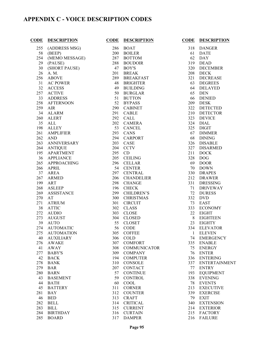# **APPENDIX C - VOICE DESCRIPTION CODES**

| <b>CODE</b> | <b>DESCRIPTION</b>             | <b>CODE</b> | <b>DESCRIPTION</b>              | <b>CODE</b>  | <b>DESCRIPTION</b>                |
|-------------|--------------------------------|-------------|---------------------------------|--------------|-----------------------------------|
| 255         | (ADDRESS MSG)                  | 286         | <b>BOAT</b>                     | 318          | <b>DANGER</b>                     |
| 58          | (BEEP)                         | 200         | <b>BOILER</b>                   | 61           | <b>DATE</b>                       |
| 254         | (MEMO MESSAGE)                 | 287         | <b>BOTTOM</b>                   | 62           | <b>DAY</b>                        |
| 29          | (PAUSE)                        | 288         | <b>BOUDOIR</b>                  | 319          | <b>DEAD</b>                       |
| 30          | (SHORT PAUSE)                  | 47          | <b>BOY'S</b>                    | 320          | <b>DECEMBER</b>                   |
| 26          | A. M.                          | 201         | <b>BREAK</b>                    | 208          | <b>DECK</b>                       |
| 256         | <b>ABOVE</b>                   | 289         | <b>BREAKFAST</b>                | 321          | <b>DECREASE</b>                   |
| 31          | <b>AC POWER</b>                | 48          | <b>BRIGHTER</b>                 | 63           | <b>DEGREES</b>                    |
| 32          | <b>ACCESS</b>                  | 49          | <b>BUILDING</b>                 | 64           | <b>DELAYED</b>                    |
| 257         | <b>ACTIVE</b>                  | 50          | <b>BURGLAR</b>                  | 65           | <b>DEN</b>                        |
| 33          | <b>ADDRESS</b>                 | 51          | <b>BUTTON</b>                   | 66           | <b>DENIED</b>                     |
| 258         | <b>AFTERNOON</b>               | 52          | <b>BYPASS</b>                   | 209          | <b>DESK</b>                       |
| 259         | AIR                            | 290         | <b>CABINET</b>                  | 322          | <b>DETECTED</b>                   |
| 34          | <b>ALARM</b>                   | 291         | <b>CABLE</b>                    | 210          | <b>DETECTOR</b>                   |
| 260         | <b>ALERT</b>                   | 292         | CALL                            | 323          | <b>DEVICE</b>                     |
| 35          | ALL                            | 202         | <b>CAMERA</b>                   | 324          | DIAL                              |
| 198         | <b>ALLEY</b>                   | 53          | <b>CANCEL</b>                   | 325          | <b>DIGIT</b>                      |
| 261         | <b>AMPLIFIER</b>               | 293         | CANS                            | 67           | <b>DIMMER</b>                     |
| 262         | <b>AND</b>                     | 294         | <b>CARPORT</b>                  | 68           | <b>DINING</b>                     |
| 263         | <b>ANNIVERSARY</b>             | 203         | CASE                            | 326          | <b>DISABLE</b>                    |
| 264         | <b>ANTIQUE</b>                 | 204         | <b>CCTV</b>                     | 327          | <b>DISARMED</b>                   |
| 195         | APARTMENT                      | 295         | CD                              | 211          | <b>DOCK</b>                       |
| 36          | <b>APPLIANCE</b>               | 205         | <b>CEILING</b>                  | 328          | <b>DOG</b>                        |
| 265         | APPROACHING                    | 296         | <b>CELLAR</b>                   | 69           | <b>DOOR</b>                       |
| 266         | <b>APRIL</b>                   | 54          | <b>CENTER</b>                   | 70           | <b>DOWN</b>                       |
| 37          | <b>AREA</b>                    | 297         | <b>CENTRAL</b>                  | 330          | <b>DRAPES</b>                     |
| 267         | <b>ARMED</b>                   | 206         | <b>CHANDELIER</b>               | 212          | <b>DRAWER</b>                     |
| 199         | <b>ART</b>                     | 298         | <b>CHANGE</b>                   | 331          | <b>DRESSING</b>                   |
| 268         | <b>ASLEEP</b>                  | 196         | <b>CHECK</b>                    | 71           | <b>DRIVEWAY</b>                   |
| 269         | <b>ASSISTANCE</b>              | 299         | CHILDREN'S                      | 72           | <b>DURESS</b>                     |
| 270         | AT                             | 300         | <b>CHRISTMAS</b>                | 332          | <b>DVD</b>                        |
| 271         | <b>ATRIUM</b>                  | 301         | <b>CIRCUIT</b>                  | 73           | <b>EAST</b>                       |
| 38          | <b>ATTIC</b>                   | 302         | <b>CLASS</b>                    | 333          | <b>ECONOMY</b>                    |
| 272         | <b>AUDIO</b>                   | 303         | <b>CLOSE</b>                    | 22           | <b>EIGHT</b>                      |
| 273         | <b>AUGUST</b>                  | 304         | <b>CLOSED</b>                   | 8            | <b>EIGHTEEN</b>                   |
| 39          | <b>AUTO</b>                    | 55          | <b>CLOSET</b>                   | 23           | <b>EIGHTY</b>                     |
| 274         | <b>AUTOMATIC</b>               | 56          | CODE                            | 334          | <b>ELEVATOR</b>                   |
| 275         | <b>AUTOMATION</b>              | 305         | <b>COFFEE</b>                   | $\mathbf{1}$ | <b>ELEVEN</b>                     |
| 40          | <b>AUXILIARY</b>               | 306         | <b>COLD</b>                     | 74           | <b>EMERGENCY</b>                  |
| 276         | <b>AWAKE</b>                   | 307         | <b>COMFORT</b>                  | 335          | <b>ENABLE</b>                     |
| 41          | <b>AWAY</b>                    | 308         | <b>COMMUNICATOR</b>             | 75           | <b>ENERGY</b>                     |
| 277         | <b>BABY'S</b>                  | 309         | <b>COMPANY</b>                  | 76           | <b>ENTER</b>                      |
| 42          | <b>BACK</b>                    | 194         | <b>COMPUTER</b>                 | 336          | <b>ENTERING</b>                   |
| 278         | <b>BANK</b>                    | 310         | CONSOLE                         | 337          | <b>ENTERTAINMENT</b>              |
| 279         | <b>BAR</b>                     | 207         | <b>CONTACT</b>                  | 77           | <b>ENTRY</b>                      |
| 280         | <b>BARN</b>                    | 57          | <b>CONTINUE</b>                 | 193          | <b>EQUIPMENT</b>                  |
| 43          | <b>BASEMENT</b>                | 59          | <b>CONTROL</b>                  | 338          | <b>EVENING</b>                    |
| 44          | <b>BATH</b>                    | 60          | COOL                            | 78           | <b>EVENTS</b>                     |
| 45          | <b>BATTERY</b>                 | 311         | <b>CORNER</b>                   | 213          | <b>EXECUTIVE</b>                  |
| 281         | <b>BAY</b>                     | 312         | <b>COUNTER</b>                  | 339          | <b>EXERCISE</b>                   |
| 46          | <b>BED</b>                     | 313         | <b>CRAFT</b>                    | 79           | <b>EXIT</b>                       |
| 282         | <b>BELL</b>                    | 314         | <b>CRITICAL</b>                 | 340          | <b>EXTENSION</b>                  |
| 283<br>284  | <b>BILL</b><br><b>BIRTHDAY</b> | 315<br>316  | <b>CURRENT</b>                  | 214<br>215   | <b>EXTERIOR</b><br><b>FACTORY</b> |
| 285         | <b>BOARD</b>                   | 317         | <b>CURTAIN</b><br><b>DAMPER</b> |              | 216 FAILURE                       |
|             |                                |             |                                 |              |                                   |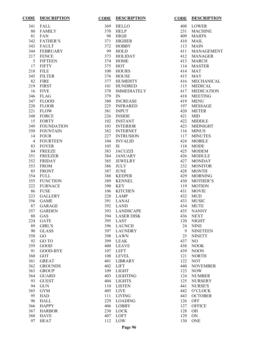| <u>CODE</u>    | <b>DESCRIPTION</b>              |
|----------------|---------------------------------|
| 341            | <b>FALL</b>                     |
| 80             | <b>FAMILY</b>                   |
| 81             | <b>FAN</b>                      |
| 342<br>343     | <b>FATHER'S</b><br><b>FAULT</b> |
| 344            | <b>FEBRUARY</b>                 |
| 217            | <b>FENCE</b>                    |
| 5 <sup>5</sup> | <b>FIFTEEN</b>                  |
|                | 17 FIFTY                        |
|                | 218 FILE                        |
|                | 345 FILTER<br>82 FIRE           |
|                | 219 FIRST                       |
|                | 16 FIVE                         |
| 346            | <b>FLAG</b>                     |
| 347            | <b>FLOOD</b>                    |
| 220<br>221     | <b>FLOOR</b>                    |
| 348            | <b>FLOW</b><br>FORCE            |
|                | 15 FORTY                        |
|                | 349 FOUNDATION                  |
|                | 350 FOUNTAIN                    |
|                | 14 FOUR                         |
|                | 4 FOURTEEN                      |
| 83<br>84       | <b>FOYER</b><br><b>FREEZE</b>   |
| 351            | <b>FREEZER</b>                  |
| 352            | <b>FRIDAY</b>                   |
| 353            | <b>FROM</b>                     |
| 85             | <b>FRONT</b>                    |
| 354<br>355     | <b>FULL</b><br><b>FUNCTION</b>  |
| 222            | <b>FURNACE</b>                  |
| 86 -           | <b>FUSE</b>                     |
| 223            | <b>GALLERY</b>                  |
|                | 356 GAME                        |
| 87<br>357      | <b>GARAGE</b><br><b>GARDEN</b>  |
| 88             | GAS                             |
| 224            | <b>GATE</b>                     |
| 89             | <b>GIRL'S</b>                   |
| 90             | <b>GLASS</b>                    |
| 358            | GO                              |
| 92<br>359      | GO TO<br>GOOD                   |
| 91             | <b>GOOD-BYE</b>                 |
| 360            | GOT                             |
| 361            | <b>GREAT</b>                    |
| 362            | <b>GROUNDS</b>                  |
| 363<br>364     | <b>GROUP</b><br><b>GUARD</b>    |
| 93             | <b>GUEST</b>                    |
| 94             | <b>GUN</b>                      |
| 365            | GYM                             |
| 95             | <b>HAD</b>                      |
| 96             | <b>HALL</b>                     |
| 366<br>367     | <b>HAPPY</b><br><b>HARBOR</b>   |
| 368            | <b>HAVE</b>                     |
| 97             | <b>HEAT</b>                     |

| <u>CODE</u> | <b>DESCRIPTION</b>                      |
|-------------|-----------------------------------------|
| 369         | <b>HELLO</b>                            |
|             | 370 HELP                                |
|             | 98 HIGH                                 |
|             | 371 HIGHER                              |
|             | 372 HOBBY<br>99 HOLD<br>373 HOLIDAY     |
|             |                                         |
|             | 374 HOME                                |
|             | 375 HOT                                 |
|             | 100 HOURS                               |
|             | 376 HOUSE                               |
|             | 377 HUMIDITY                            |
|             | 101 HUNDRED                             |
|             | 378 IMMEDIATELY                         |
| 379 IN      | 380 INCREASE                            |
|             |                                         |
|             |                                         |
|             | 225 INFRARED<br>381 INPUT<br>226 INSIDE |
|             | 102 INSTANT                             |
|             | 103 INTERIOR                            |
|             | 382 INTERNET                            |
|             | 227 INTRUSION                           |
|             | 104 INVALID                             |
| 105 IS      | 383 JACUZZI                             |
|             | 384 JANUARY                             |
| 385         | <b>JEWELRY</b>                          |
| 386         | JULY                                    |
| 387         | <b>JUNE</b>                             |
| 388         | <b>KEEPER</b>                           |
|             | 389 KENNEL                              |
|             | 390 KEY                                 |
|             | 106 KITCHEN<br>228 LAMP                 |
|             | 391 LANAI                               |
|             | 392 LAND                                |
| 393.        | LANDSCAPE                               |
| 394         | <b>LASER DISK</b>                       |
| 395         | LAST                                    |
| 396         | <b>LAUNCH</b>                           |
| 397         | <b>LAUNDRY</b>                          |
| 398<br>399  | <b>LAWN</b><br><b>LEAK</b>              |
| 400         | <b>LEAVE</b>                            |
| 107         | <b>LEFT</b>                             |
| 108         | <b>LEVEL</b>                            |
| 401         | <b>LIBRARY</b>                          |
| 402         | <b>LIFT</b>                             |
| 109         | <b>LIGHT</b>                            |
| 403         | <b>LIGHTING</b>                         |
| 404<br>110  | <b>LIGHTS</b><br><b>LISTEN</b>          |
| 405         | <b>LIVE</b>                             |
| 111         | <b>LIVING</b>                           |
| 229         | <b>LOADING</b>                          |
| 406         | <b>LOBBY</b>                            |
| 230         | <b>LOCK</b>                             |
| 407         | <b>LOFT</b>                             |
| 112         | LOW                                     |

| CODE       | <b>DESCRIPTION</b>          |
|------------|-----------------------------|
| 408        | <b>LOWER</b>                |
| 231        | <b>MACHINE</b>              |
| 409        | <b>MAID'S</b><br>410 MAIL   |
|            | 113 MAIN                    |
|            | 411 MANAGEMENT              |
|            | 412 MANAGER                 |
| 413        | <b>MARCH</b>                |
| 114        | MASTER                      |
| 414<br>415 | <b>MAT</b><br>MAX           |
| 416        | MECHANICAL                  |
| 115        | <b>MEDICAL</b>              |
|            | 417 MEDICATION              |
|            | 418 MEETING                 |
|            | 419 MENU                    |
|            | 197 MESSAGE                 |
|            | 420 METER<br>421 MID        |
|            | 422 MIDDLE                  |
| 423        | <b>MIDNIGHT</b>             |
| 116        | MINUS<br>MINUTES            |
| 117        |                             |
| 424        | <b>MOBILE</b>               |
| 118<br>425 | <b>MODE</b><br><b>MODEM</b> |
| 426        | <b>MODULE</b>               |
| 427        | <b>MONDAY</b>               |
|            | 232 MONITOR                 |
|            | 428 MONTH                   |
|            | 429 MORNING                 |
|            | 430 MOTHER'S                |
| 431        | 119 MOTION<br><b>MOVIE</b>  |
| 432        | MUD <sub>3</sub>            |
|            | 433 MUSIC                   |
|            | 434 MUTE                    |
| 435        | <b>NANNY</b>                |
| 436<br>120 | <b>NEXT</b>                 |
| 24         | <b>NIGHT</b><br><b>NINE</b> |
| 9          | <b>NINETEEN</b>             |
| 25         | <b>NINETY</b>               |
| 437        | NO                          |
| 438        | <b>NOOK</b>                 |
| 439<br>121 | <b>NOON</b><br><b>NORTH</b> |
| 122        | <b>NOT</b>                  |
| 440        | <b>NOVEMBER</b>             |
| 123        | NOW                         |
| 124        | <b>NUMBER</b>               |
| 125        | <b>NURSERY</b>              |
| 441        | <b>NURSE'S</b>              |
| 442<br>443 | O'CLOCK<br><b>OCTOBER</b>   |
| 126        | <b>OFF</b>                  |
| 127        | <b>OFFICE</b>               |
| 128        | OН                          |
| 129        | ON                          |
| 130        | <b>ONE</b>                  |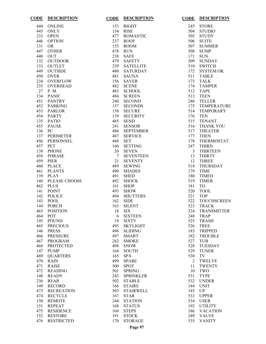| <b>CODE</b>      | <b>DESCRIPTION</b>              |
|------------------|---------------------------------|
| 444              | <b>ONLINE</b>                   |
| 445              | ONLY                            |
| 233              | <b>OPEN</b>                     |
| 446              | <b>OPTION</b>                   |
| 131              | <b>OR</b>                       |
|                  | 447 OTHER                       |
| 448 OUT<br>132   | <b>OUTDOOR</b>                  |
| 133              | <b>OUTLET</b>                   |
| 449              | <b>OUTSIDE</b>                  |
| 450              | <b>OVER</b>                     |
| 234              | <b>OVERFLOW</b>                 |
| 235              | <b>OVERHEAD</b>                 |
| 27               | P. M.                           |
|                  | 134 PANIC                       |
|                  | 451 PANTRY                      |
|                  | 452 PARKING                     |
|                  | 453 PARLOR<br>454 PARTY         |
|                  | 135 PATIO                       |
|                  | 455 PAUSE                       |
| 136              | PC                              |
| 137              | PERIMETER                       |
| 456              | <b>PERSONNEL</b>                |
| 457              | <b>PET</b>                      |
| 138              | <b>PHONE</b>                    |
|                  | 458 PHRASE                      |
| 459 PIER         |                                 |
|                  | 460 PLACE                       |
| 461<br>139       | <b>PLANTS</b><br><b>PLAY</b>    |
|                  | 140 PLEASE CHOOSE               |
|                  | 462 PLUS                        |
| 141              | POINT                           |
| 142              | POLICE<br>POOL<br>PORCH         |
| $\frac{1}{1}$ 43 |                                 |
| 144              |                                 |
|                  | 463 POSITION                    |
| 464              | POT                             |
| 145<br>465       | <b>POUND</b><br><b>PRECIOUS</b> |
| 146              | <b>PRESS</b>                    |
| 466              | <b>PRESSURE</b>                 |
| 467              | PROGRAM                         |
| 468              | <b>PROTECTED</b>                |
| 147              | <b>PUMP</b>                     |
| 469              | <b>QUARTERS</b>                 |
| 470              | <b>RAIN</b>                     |
| 471              | <b>RAISE</b>                    |
| 472              | <b>READING</b>                  |
| 148<br>236       | <b>READY</b><br><b>REAR</b>     |
| 149              | <b>RECORD</b>                   |
| 473              | <b>RECREATION</b>               |
| 474              | <b>RECYCLE</b>                  |
| 150              | <b>REMOTE</b>                   |
| 151              | <b>REPEAT</b>                   |
| 475              | <b>RESIDENCE</b>                |
| 152              | <b>RESTORE</b>                  |
| 476              | <b>RESTRICTED</b>               |

| CODE            | <b>DESCRIPTION</b>                                       |
|-----------------|----------------------------------------------------------|
|                 | 153 RIGHT                                                |
|                 | 154 RISE                                                 |
|                 | 477 ROMANTIC                                             |
|                 | 237 ROOF                                                 |
|                 | 155 ROOM<br>478 RUN                                      |
| 238             |                                                          |
| 479             | SAFE<br>SAFETY                                           |
| 239             | SATELLITE                                                |
|                 | 480 SATURDAY                                             |
|                 | 481 SAUNA<br>156 SAVER                                   |
|                 | 482 SCENE                                                |
|                 | 483 SCHOOL                                               |
|                 | 484 SCREEN                                               |
|                 | 240 SECOND                                               |
|                 | 157 SECONDS                                              |
|                 | 158 SECURE                                               |
|                 | <b>SECURITY</b><br>159 SECURIT<br>485 SEND<br>241 SENSOR |
|                 |                                                          |
|                 | 486 SEPTEMBER                                            |
|                 | 487 SERVICE                                              |
| 488 SET         |                                                          |
|                 | 160 SETTING                                              |
|                 | 20 SEVEN                                                 |
|                 | 7 SEVENTEEN                                              |
|                 | 21 SEVENTY                                               |
|                 | 489 SEWING                                               |
| 491             | 490 SHADES<br>SHED                                       |
| $492$<br>1/     | <b>SHOCK</b>                                             |
| $\frac{161}{1}$ | <b>SHOP</b>                                              |
|                 | 493 SHOW                                                 |
|                 | 494 SHUTTERS                                             |
|                 | 162 SIDE<br>163 SILENT                                   |
| 18              | SІX                                                      |
| 6               | <b>SIXTEEN</b>                                           |
| 19              | <b>SIXTY</b>                                             |
| 495             | <b>SKYLIGHT</b>                                          |
| 496             | <b>SLIDING</b>                                           |
| 497             | <b>SMART</b>                                             |
| 242<br>498      | <b>SMOKE</b><br><b>SNOW</b>                              |
| 164             | <b>SOUTH</b>                                             |
| 165             | <b>SPA</b>                                               |
| 499             | SPARE                                                    |
| 500             | <b>SPOT</b>                                              |
| 501             | <b>SPRING</b>                                            |
| 243             | <b>SPRINKLER</b>                                         |
| 502<br>166      | <b>STABLE</b><br><b>STAIRS</b>                           |
| 503             | <b>STAIRWELL</b>                                         |
| 167             | <b>STAR</b>                                              |
| 244             | <b>STATION</b>                                           |
| 168             | <b>STATUS</b>                                            |
| 169             | <b>STEPS</b>                                             |
| 191             | <b>STOCK</b>                                             |
| 170             | <b>STORAGE</b>                                           |

| <u>CODE</u>    | <b>DESCRIPTION</b>                     |
|----------------|----------------------------------------|
| 245            | <b>STORE</b>                           |
|                | 504 STUDIO                             |
|                | 505 STUDY                              |
|                | 506 SUITE                              |
| 507            | <b>SUMMER</b>                          |
| 508            | <b>SUMP</b>                            |
| 171            | <b>SUN</b>                             |
| 509            | <b>SUNDAY</b>                          |
| 510<br>172     | <b>SWITCH</b><br><b>SYSTEM OK</b>      |
| 511            | <b>TABLE</b>                           |
| 173            | TALK                                   |
|                | 174 TAMPER                             |
| 512            | <b>TAPE</b>                            |
| 513            | <b>TEEN</b>                            |
| 246            | <b>TELLER</b>                          |
| 175            | TEMPERATURE                            |
| 514            | <b>TEMPORARY</b>                       |
| 176            | <b>TEN</b>                             |
| 515            | <b>TENANT</b>                          |
| 516            | THANK YOU                              |
| 517            | <b>THEATER</b>                         |
| 177<br>178     | <b>THEN</b><br>THERMOSTAT              |
| 247            | THIRD                                  |
| 3              | <b>THIRTEEN</b>                        |
| 13             | <b>THIRTY</b>                          |
| 12             | <b>THREE</b>                           |
| 518            | THURSDAY                               |
| 179            | <b>TIME</b>                            |
| 180            | <b>TIMED</b>                           |
| 519            | <b>TIMER</b>                           |
| 181<br>520     | TO<br><b>TOOL</b>                      |
| 521            | <b>TOP</b>                             |
| 522            | <b>TOUCHSCREEN</b>                     |
| 523            | <b>TRACK</b>                           |
| 524            | <b>TRANSMITTER</b>                     |
| 248            | <b>TRAP</b>                            |
| 525            | <b>TRASH</b>                           |
| 526            | <b>TREE</b>                            |
| 183            | <b>TRIPPED</b>                         |
| 182            | <b>TROUBLE</b><br>TUB                  |
| 527<br>528     | <b>TUESDAY</b>                         |
| 529            | <b>TUNER</b>                           |
| 530            | TV                                     |
| $\overline{2}$ | <b>TWELVE</b>                          |
| 11             | <b>TWENTY</b>                          |
| 10             | TWO                                    |
| 531            | <b>TYPE</b>                            |
| 532            | <b>UNDER</b>                           |
| 184            | <b>UNIT</b>                            |
| 185<br>533     | $\mathbf{U}\mathbf{P}$<br><b>UPPER</b> |
| 534            | <b>USER</b>                            |
| 192            | <b>UTILITY</b>                         |
| 186            | <b>VACATION</b>                        |
| 249            | <b>VALVE</b>                           |
| 535            | <b>VANITY</b>                          |
|                |                                        |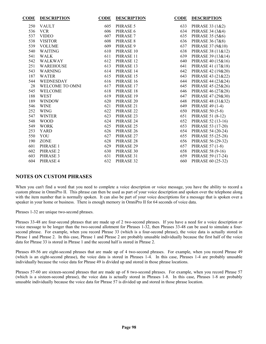| <b>CODE</b> | <b>DESCRIPTION</b> | <b>CODE</b> | <b>DESCRIPTION</b> | <b>CODE</b> | <b>DESCRIPTION</b> |
|-------------|--------------------|-------------|--------------------|-------------|--------------------|
| 250         | <b>VAULT</b>       | 605         | PHRASE 5           | 633         | PHRASE 33 (1&2)    |
| 536         | <b>VCR</b>         | 606         | PHRASE 6           | 634         | PHRASE 34 (3&4)    |
| 537         | <b>VIDEO</b>       | 607         | PHRASE 7           | 635         | PHRASE 35 (5&6)    |
| 538         | <b>VISITOR</b>     | 608         | PHRASE 8           | 636         | PHRASE 36 (7&8)    |
| 539         | <b>VOLUME</b>      | 609         | PHRASE 9           | 637         | PHRASE 37 (9&10)   |
| 540         | <b>WAITING</b>     | 610         | PHRASE 10          | 638         | PHRASE 38 (11&12)  |
| 541         | <b>WALK</b>        | 611         | PHRASE 11          | 639         | PHRASE 39 (13&14)  |
| 542         | WALKWAY            | 612         | PHRASE 12          | 640         | PHRASE 40 (15&16)  |
| 251         | <b>WAREHOUSE</b>   | 613         | PHRASE 13          | 641         | PHRASE 41 (17&18)  |
| 543         | <b>WARNING</b>     | 614         | PHRASE 14          | 642         | PHRASE 42 (19&20)  |
| 187         | <b>WATER</b>       | 615         | PHRASE 15          | 643         | PHRASE 43 (21&22)  |
| 544         | WEDNESDAY          | 616         | PHRASE 16          | 644         | PHRASE 44 (23&24)  |
| 28          | WELCOME TO OMNI    | 617         | PHRASE 17          | 645         | PHRASE 45 (25&26)  |
| 545         | WELCOME            | 618         | PHRASE 18          | 646         | PHRASE 46 (27&28)  |
| 188         | WEST               | 619         | PHRASE 19          | 647         | PHRASE 47 (29&30)  |
| 189         | <b>WINDOW</b>      | 620         | PHRASE 20          | 648         | PHRASE 48 (31&32)  |
| 546         | <b>WINE</b>        | 621         | PHRASE 21          | 649         | PHRASE 49 (1-4)    |
| 252         | <b>WING</b>        | 622         | PHRASE 22          | 650         | PHRASE 50 (5-8)    |
| 547         | <b>WINTER</b>      | 623         | PHRASE 23          | 651         | PHRASE 51 (8-12)   |
| 548         | <b>WOOD</b>        | 624         | PHRASE 24          | 652         | PHRASE 52 (13-16)  |
| 549         | <b>WORK</b>        | 625         | PHRASE 25          | 653         | PHRASE 53 (17-20)  |
| 253         | <b>YARD</b>        | 626         | PHRASE 26          | 654         | PHRASE 54 (20-24)  |
| 550         | YOU                | 627         | PHRASE 27          | 655         | PHRASE 55 (25-28)  |
| 190         | <b>ZONE</b>        | 628         | PHRASE 28          | 656         | PHRASE 56 (29-32)  |
| 601         | PHRASE 1           | 629         | PHRASE 29          | 657         | PHRASE 57 (1-8)    |
| 602         | PHRASE 2           | 630         | PHRASE 30          | 658         | PHRASE 58 (9-16)   |
| 603         | PHRASE 3           | 631         | PHRASE 31          | 659         | PHRASE 59 (17-24)  |
| 604         | PHRASE 4           | 632         | PHRASE 32          | 660         | PHRASE 60 (25-32)  |

# **NOTES ON CUSTOM PHRASES**

When you can't find a word that you need to complete a voice description or voice message, you have the ability to record a custom phrase in OmniPro II. This phrase can then be used as part of your voice description and spoken over the telephone along with the item number that is normally spoken. It can also be part of your voice descriptions for a message that is spoken over a speaker in your home or business. There is enough memory in OmniPro II for 64 seconds of voice data.

Phrases 1-32 are unique two-second phrases.

Phrases 33-48 are four-second phrases that are made up of 2 two-second phrases. If you have a need for a voice description or voice message to be longer than the two-second allotment for Phrases 1-32, then Phrases 33-48 can be used to simulate a foursecond phrase. For example, when you record Phrase 33 (which is a four-second phrase), the voice data is actually stored in Phrase 1 and Phrase 2. In this case, Phrase 1 and Phrase 2 are probably unusable individually because the first half of the voice data for Phrase 33 is stored in Phrase 1 and the second half is stored in Phrase 2.

Phrases 49-56 are eight-second phrases that are made up of 4 two-second phrases. For example, when you record Phrase 49 (which is an eight-second phrase), the voice data is stored in Phrases 1-4. In this case, Phrases 1-4 are probably unusable individually because the voice data for Phrase 49 is divided up and stored in those phrase locations.

Phrases 57-60 are sixteen-second phrases that are made up of 8 two-second phrases. For example, when you record Phrase 57 (which is a sixteen-second phrase), the voice data is actually stored in Phrases 1-8. In this case, Phrases 1-8 are probably unusable individually because the voice data for Phrase 57 is divided up and stored in those phrase location.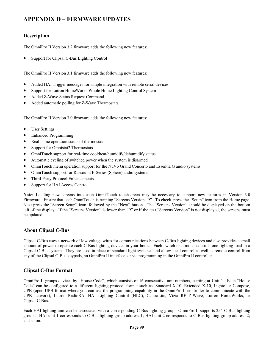# **APPENDIX D – FIRMWARE UPDATES**

# **Description**

The OmniPro II Version 3.2 firmware adds the following new features:

• Support for Clipsal C-Bus Lighting Control

The OmniPro II Version 3.1 firmware adds the following new features:

- Added HAI Trigger messages for simple integration with remote serial devices
- Support for Lutron HomeWorks Whole Home Lighting Control System
- Added Z-Wave Status Request Command
- Added automatic polling for Z-Wave Thermostats

The OmniPro II Version 3.0 firmware adds the following new features:

- User Settings
- Enhanced Programming
- Real-Time operation status of thermostats
- Support for Omnistat2 Thermostats
- OmniTouch support for real-time cool/heat/humidify/dehumidify status
- Automatic cycling of switched power when the system is disarmed
- OmniTouch menu operation support for the NuVo Grand Concerto and Essentia G audio systems
- OmniTouch support for Russound E-Series (Sphere) audio systems
- Third-Party Protocol Enhancements
- Support for HAI Access Control

**Note:** Loading new screens into each OmniTouch touchscreen may be necessary to support new features in Version 3.0 Firmware. Ensure that each OmniTouch is running "Screens Version "9". To check, press the "Setup" icon from the Home page. Next press the "Screen Setup" icon, followed by the "Next" button. The "Screens Version" should be displayed on the bottom left of the display. If the "Screens Version" is lower than "9" or if the text "Screens Version" is not displayed, the screens must be updated.

# **About Clipsal C-Bus**

Clipsal C-Bus uses a network of low voltage wires for communications between C-Bus lighting devices and also provides a small amount of power to operate each C-Bus lighting devices in your home. Each switch or dimmer controls one lighting load in a Clipsal C-Bus system. They are used in place of standard light switches and allow local control as well as remote control from any of the Clipsal C-Bus keypads, an OmniPro II interface, or via programming in the OmniPro II controller.

# **Clipsal C-Bus Format**

OmniPro II groups devices by "House Code", which consists of 16 consecutive unit numbers, starting at Unit 1. Each "House Code" can be configured to a different lighting protocol format such as: Standard X-10, Extended X-10, Lightolier Compose, UPB (open UPB format where you can use the programming capability in the OmniPro II controller to communicate with the UPB network), Lutron RadioRA, HAI Lighting Control (HLC), CentraLite, Vizia RF Z-Wave, Lutron HomeWorks, or Clipsal C-Bus.

Each HAI lighting unit can be associated with a corresponding C-Bus lighting group. OmniPro II supports 254 C-Bus lighting groups. HAI unit 1 corresponds to C-Bus lighting group address 1; HAI unit 2 corresponds to C-Bus lighting group address 2; and so on.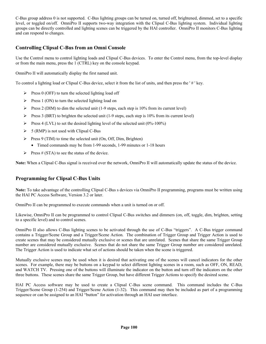C-Bus group address 0 is not supported. C-Bus lighting groups can be turned on, turned off, brightened, dimmed, set to a specific level, or toggled on/off. OmniPro II supports two-way integration with the Clipsal C-Bus lighting system. Individual lighting groups can be directly controlled and lighting scenes can be triggered by the HAI controller. OmniPro II monitors C-Bus lighting and can respond to changes.

# **Controlling Clipsal C-Bus from an Omni Console**

Use the Control menu to control lighting loads and Clipsal C-Bus devices. To enter the Control menu, from the top-level display or from the main menu, press the 1 (CTRL) key on the console keypad.

OmniPro II will automatically display the first named unit.

To control a lighting load or Clipsal C-Bus device, select it from the list of units, and then press the ' # ' key.

- $\triangleright$  Press 0 (OFF) to turn the selected lighting load off
- $\triangleright$  Press 1 (ON) to turn the selected lighting load on
- $\triangleright$  Press 2 (DIM) to dim the selected unit (1-9 steps, each step is 10% from its current level)
- $\triangleright$  Press 3 (BRT) to brighten the selected unit (1-9 steps, each step is 10% from its current level)
- $\triangleright$  Press 4 (LVL) to set the desired lighting level of the selected unit (0%-100%)
- $\triangleright$  5 (RMP) is not used with Clipsal C-Bus
- $\triangleright$  Press 9 (TIM) to time the selected unit (On, Off, Dim, Brighten)
	- Timed commands may be from 1-99 seconds, 1-99 minutes or 1-18 hours
- $\triangleright$  Press # (STA) to see the status of the device.

**Note:** When a Clipsal C-Bus signal is received over the network, OmniPro II will automatically update the status of the device.

# **Programming for Clipsal C-Bus Units**

**Note:** To take advantage of the controlling Clipsal C-Bus s devices via OmniPro II programming, programs must be written using the HAI PC Access Software, Version 3.2 or later.

OmniPro II can be programmed to execute commands when a unit is turned on or off.

Likewise, OmniPro II can be programmed to control Clipsal C-Bus switches and dimmers (on, off, toggle, dim, brighten, setting to a specific level) and to control scenes.

OmniPro II also allows C-Bus lighting scenes to be activated through the use of C-Bus "triggers". A C-Bus trigger command contains a Trigger/Scene Group and a Trigger/Scene Action. The combination of Trigger Group and Trigger Action is used to create scenes that may be considered mutually exclusive or scenes that are unrelated. Scenes that share the same Trigger Group number are considered mutually exclusive. Scenes that do not share the same Trigger Group number are considered unrelated. The Trigger Action is used to indicate what set of actions should be taken when the scene is triggered.

Mutually exclusive scenes may be used when it is desired that activating one of the scenes will cancel indicators for the other scenes. For example, there may be buttons on a keypad to select different lighting scenes in a room, such as OFF, ON, READ, and WATCH TV. Pressing one of the buttons will illuminate the indicator on the button and turn off the indicators on the other three buttons. These scenes share the same Trigger Group, but have different Trigger Actions to specify the desired scene.

HAI PC Access software may be used to create a Clipsal C-Bus scene command. This command includes the C-Bus Trigger/Scene Group (1-254) and Trigger/Scene Action (1-32). This command may then be included as part of a programming sequence or can be assigned to an HAI "button" for activation through an HAI user interface.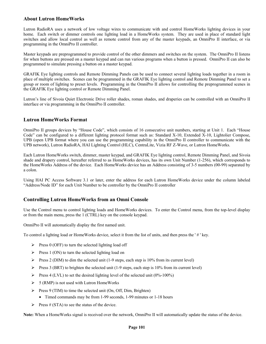## **About Lutron HomeWorks**

Lutron RadioRA uses a network of low voltage wires to communicate with and control HomeWorks lighting devices in your home. Each switch or dimmer controls one lighting load in a HomeWorks system. They are used in place of standard light switches and allow local control as well as remote control from any of the master keypads, an OmniPro II interface, or via programming in the OmniPro II controller.

Master keypads are preprogrammed to provide control of the other dimmers and switches on the system. The OmniPro II listens for when buttons are pressed on a master keypad and can run various programs when a button is pressed. OmniPro II can also be programmed to simulate pressing a button on a master keypad.

GRAFIK Eye lighting controls and Remote Dimming Panels can be used to connect several lighting loads together in a room in place of multiple switches. Scenes can be programmed in the GRAFIK Eye lighting control and Remote Dimming Panel to set a group or room of lighting to preset levels. Programming in the OmniPro II allows for controlling the preprogrammed scenes in the GRAFIK Eye lighting control or Remote Dimming Panel.

Lutron's line of Sivoia Quiet Electronic Drive roller shades, roman shades, and draperies can be controlled with an OmniPro II interface or via programming in the OmniPro II controller.

## **Lutron HomeWorks Format**

OmniPro II groups devices by "House Code", which consists of 16 consecutive unit numbers, starting at Unit 1. Each "House Code" can be configured to a different lighting protocol format such as: Standard X-10, Extended X-10, Lightolier Compose, UPB (open UPB format where you can use the programming capability in the OmniPro II controller to communicate with the UPB network), Lutron RadioRA, HAI Lighting Control (HLC), CentraLite, Vizia RF Z-Wave, or Lutron HomeWorks.

Each Lutron HomeWorks switch, dimmer, master keypad, and GRAFIK Eye lighting control, Remote Dimming Panel, and Sivoia shade and drapery control, hereafter referred to as HomeWorks devices, has its own Unit Number (1-256), which corresponds to the HomeWorks Address of the device. Each HomeWorks device has an Address consisting of 3-5 numbers (00-99) separated by a colon.

Using HAI PC Access Software 3.1 or later, enter the address for each Lutron HomeWorks device under the column labeled "Address/Node ID" for each Unit Number to be controller by the OmniPro II controller

## **Controlling Lutron HomeWorks from an Omni Console**

Use the Control menu to control lighting loads and HomeWorks devices. To enter the Control menu, from the top-level display or from the main menu, press the 1 (CTRL) key on the console keypad.

OmniPro II will automatically display the first named unit.

To control a lighting load or HomeWorks device, select it from the list of units, and then press the ' # ' key.

- $\triangleright$  Press 0 (OFF) to turn the selected lighting load off
- $\triangleright$  Press 1 (ON) to turn the selected lighting load on
- $\triangleright$  Press 2 (DIM) to dim the selected unit (1-9 steps, each step is 10% from its current level)
- $\triangleright$  Press 3 (BRT) to brighten the selected unit (1-9 steps, each step is 10% from its current level)
- $\triangleright$  Press 4 (LVL) to set the desired lighting level of the selected unit (0%-100%)
- $\geq$  5 (RMP) is not used with Lutron HomeWorks
- $\triangleright$  Press 9 (TIM) to time the selected unit (On, Off, Dim, Brighten)
	- Timed commands may be from 1-99 seconds, 1-99 minutes or 1-18 hours
- $\triangleright$  Press # (STA) to see the status of the device.

**Note:** When a HomeWorks signal is received over the network, OmniPro II will automatically update the status of the device.

## **Page 101**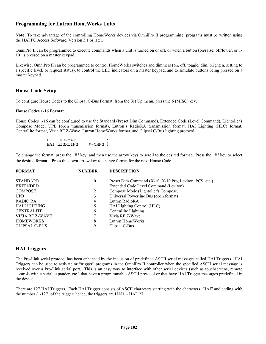## **Programming for Lutron HomeWorks Units**

**Note:** To take advantage of the controlling HomeWorks devices via OmniPro II programming, programs must be written using the HAI PC Access Software, Version 3.1 or later.

OmniPro II can be programmed to execute commands when a unit is turned on or off, or when a button (on/raise, off/lower, or 1- 10) is pressed on a master keypad.

Likewise, OmniPro II can be programmed to control HomeWorks switches and dimmers (on, off, toggle, dim, brighten, setting to a specific level, or request status), to control the LED indicators on a master keypad, and to simulate buttons being pressed on a master keypad.

## **House Code Setup**

To configure House Codes to the Clipsal C-Bus Format, from the Set Up menu, press the 6 (MISC) key.

### **House Codes 1-16 Format**

House Codes 1-16 can be configured to use the Standard (Preset Dim Command), Extended Code (Level Command), Lightolier's Compose Mode, UPB (open transmission format), Lutron's RadioRA transmission format, HAI Lighting (HLC) format, CentraLite format, Vizia RF Z-Wave, Lutron HomeWorks format, and Clipsal C-Bus lighting protocol.

> HC 1 FORMAT: 5<br>HAI LIGHTING #=CHNG 1 HAI LIGHTING

To change the format, press the '#' key, and then use the arrow keys to scroll to the desired format. Press the '#' key to select the desired format. Press the down-arrow key to change format for the next House Code.

| <b>FORMAT</b>        | <b>NUMBER</b> | <b>DESCRIPTION</b>                                      |
|----------------------|---------------|---------------------------------------------------------|
| <b>STANDARD</b>      | $\bf{0}$      | Preset Dim Command (X-10, X-10 Pro, Leviton, PCS, etc.) |
| <b>EXTENDED</b>      |               | Extended Code Level Command (Leviton)                   |
| <b>COMPOSE</b>       | 2             | Compose Mode (Lightolier's Compose)                     |
| <b>UPB</b>           | 3             | Universal Powerline Bus (open format)                   |
| RADIO RA             | 4             | Lutron RadioRA                                          |
| <b>HAI LIGHTING</b>  | 5             | HAI Lighting Control (HLC)                              |
| <b>CENTRALITE</b>    | 6             | CentraLite Lighting                                     |
| VIZIA RF Z-WAVE      |               | Vizia RF Z-Wave                                         |
| <b>HOMEWORKS</b>     | 8             | Lutron HomeWorks                                        |
| <b>CLIPSAL C-BUS</b> | 9             | Clipsal C-Bus                                           |

## **HAI Triggers**

The Pro-Link serial protocol has been enhanced by the inclusion of predefined ASCII serial messages called HAI Triggers. HAI Triggers can be used to activate or "trigger" programs in the OmniPro II controller when the specified ASCII serial message is received over a Pro-Link serial port. This is an easy way to interface with other serial devices (such as touchscreens, remote controls with a serial expander, etc.) that have a programmable ASCII protocol or that have HAI Trigger messages predefined in the device.

There are 127 HAI Triggers. Each HAI Trigger consists of ASCII characters starting with the characters "HAI" and ending with the number (1-127) of the trigger; hence, the triggers are HAI1 – HAI127.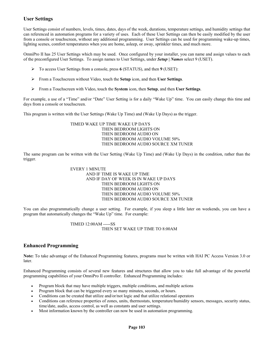## **User Settings**

User Settings consist of numbers, levels, times, dates, days of the week, durations, temperature settings, and humidity settings that can referenced in automation programs for a variety of uses. Each of these User Settings can then be easily modified by the user from a console or touchscreen, without any additional programming. User Settings can be used for programming wake-up times, lighting scenes, comfort temperatures when you are home, asleep, or away, sprinkler times, and much more.

OmniPro II has 25 User Settings which may be used. Once configured by your installer, you can name and assign values to each of the preconfigured User Settings. To assign names to User Settings, under *Setup | Names* select 9 (USET).

- ¾ To access User Settings from a console, press **6** (STATUS), and then **9** (USET):
- ¾ From a Touchscreen without Video, touch the **Setup** icon, and then **User Settings**.
- ¾ From a Touchscreen with Video, touch the **System** icon, then **Setup**, and then **User Settings**.

For example, a use of a "Time" and/or "Date" User Setting is for a daily "Wake Up" time. You can easily change this time and days from a console or touchscreen.

This program is written with the User Settings (Wake Up Time) and (Wake Up Days) as the trigger.

 TIMED WAKE UP TIME WAKE UP DAYS THEN BEDROOM LIGHTS ON THEN BEDROOM AUDIO ON THEN BEDROOM AUDIO VOLUME 50% THEN BEDROOM AUDIO SOURCE XM TUNER

The same program can be written with the User Setting (Wake Up Time) and (Wake Up Days) in the condition, rather than the trigger.

### EVERY 1 MINUTE AND IF TIME IS WAKE UP TIME AND IF DAY OF WEEK IS IN WAKE UP DAYS THEN BEDROOM LIGHTS ON THEN BEDROOM AUDIO ON THEN BEDROOM AUDIO VOLUME 50% THEN BEDROOM AUDIO SOURCE XM TUNER

You can also programmatically change a user setting. For example, if you sleep a little later on weekends, you can have a program that automatically changes the "Wake Up" time. For example:

## TIMED 12:00AM -----SS THEN SET WAKE UP TIME TO 8:00AM

## **Enhanced Programming**

**Note:** To take advantage of the Enhanced Programming features, programs must be written with HAI PC Access Version 3.0 or later.

Enhanced Programming consists of several new features and structures that allow you to take full advantage of the powerful programming capabilities of your OmniPro II controller. Enhanced Programming includes:

- Program block that may have multiple triggers, multiple conditions, and multiple actions
- Program block that can be triggered every so many minutes, seconds, or hours.
- Conditions can be created that utilize and/or/not logic and that utilize relational operators
- Conditions can reference properties of zones, units, thermostats, temperature/humidity sensors, messages, security status, time/date, audio, access control, as well as constants and user settings.
- Most information known by the controller can now be used in automation programming.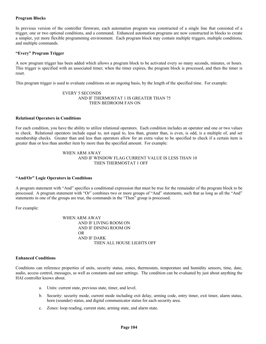### **Program Blocks**

In previous version of the controller firmware, each automation program was constructed of a single line that consisted of a trigger, one or two optional conditions, and a command. Enhanced automation programs are now constructed in blocks to create a simpler, yet more flexible programming environment. Each program block may contain multiple triggers, multiple conditions, and multiple commands.

### **"Every" Program Trigger**

A new program trigger has been added which allows a program block to be activated every so many seconds, minutes, or hours. This trigger is specified with an associated timer; when the timer expires, the program block is processed, and then the timer is reset.

This program trigger is used to evaluate conditions on an ongoing basis, by the length of the specified time. For example:

### EVERY 5 SECONDS AND IF THERMOSTAT 1 IS GREATER THAN 75 THEN BEDROOM FAN ON

### **Relational Operators in Conditions**

For each condition, you have the ability to utilize relational operators. Each condition includes an operator and one or two values to check. Relational operators include equal to, not equal to, less than, greater than, is even, is odd, is a multiple of, and set membership checks. Greater than and less than operators allow for an extra value to be specified to check if a certain item is greater than or less than another item by more than the specified amount. For example:

## WHEN ARM AWAY AND IF WINDOW FLAG CURRENT VALUE IS LESS THAN 10 THEN THERMOSTAT 1 OFF

### **"And/Or" Logic Operators in Conditions**

A program statement with "And" specifies a conditional expression that must be true for the remainder of the program block to be processed. A program statement with "Or" combines two or more groups of "And" statements, such that as long as all the "And" statements in one of the groups are true, the commands in the "Then" group is processed.

For example:

WHEN ARM AWAY AND IF LIVING ROOM ON AND IF DINING ROOM ON OR AND IF DARK THEN ALL HOUSE LIGHTS OFF

### **Enhanced Conditions**

Conditions can reference properties of units, security status, zones, thermostats, temperature and humidity sensors, time, date, audio, access control, messages, as well as constants and user settings. The condition can be evaluated by just about anything the HAI controller knows about.

- a. Units: current state, previous state, timer, and level.
- b. Security: security mode, current mode including exit delay, arming code, entry timer, exit timer, alarm status, horn (sounder) status, and digital communicator status for each security area.
- c. Zones: loop reading, current state, arming state, and alarm state.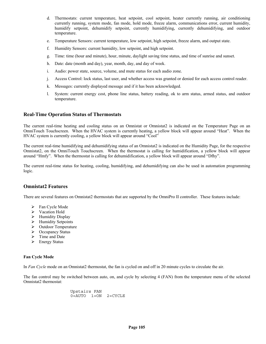- d. Thermostats: current temperature, heat setpoint, cool setpoint, heater currently running, air conditioning currently running, system mode, fan mode, hold mode, freeze alarm, communications error, current humidity, humidify setpoint, dehumidify setpoint, currently humidifying, currently dehumidifying, and outdoor temperature.
- e. Temperature Sensors: current temperature, low setpoint, high setpoint, freeze alarm, and output state.
- f. Humidity Sensors: current humidity, low setpoint, and high setpoint.
- g. Time: time (hour and minute), hour, minute, daylight saving time status, and time of sunrise and sunset.
- h. Date: date (month and day), year, month, day, and day of week.
- i. Audio: power state, source, volume, and mute status for each audio zone.
- j. Access Control: lock status, last user, and whether access was granted or denied for each access control reader.
- k. Messages: currently displayed message and if it has been acknowledged.
- l. System: current energy cost, phone line status, battery reading, ok to arm status, armed status, and outdoor temperature.

## **Real-Time Operation Status of Thermostats**

The current real-time heating and cooling status on an Omnistat or Omnistat2 is indicated on the Temperature Page on an OmniTouch Touchscreen. When the HVAC system is currently heating, a yellow block will appear around "Heat". When the HVAC system is currently cooling, a yellow block will appear around "Cool"

The current real-time humidifying and dehumidifying status of an Omnistat2 is indicated on the Humidity Page, for the respective Omnistat2, on the OmniTouch Touchscreen. When the thermostat is calling for humidification, a yellow block will appear around "Hmfy". When the thermostat is calling for dehumidification, a yellow block will appear around "Dfhy".

The current real-time status for heating, cooling, humidifying, and dehumidifying can also be used in automation programming logic.

## **Omnistat2 Features**

There are several features on Omnistat2 thermostats that are supported by the OmniPro II controller. These features include:

- $\triangleright$  Fan Cycle Mode
- ¾ Vacation Hold
- $\blacktriangleright$  Humidity Display
- $\blacktriangleright$  Humidity Setpoints
- ¾ Outdoor Temperature
- ¾ Occupancy Status
- $\triangleright$  Time and Date
- $\triangleright$  Energy Status

### **Fan Cycle Mode**

In *Fan Cycle* mode on an Omnistat2 thermostat, the fan is cycled on and off in 20 minute cycles to circulate the air.

The fan control may be switched between auto, on, and cycle by selecting 4 (FAN) from the temperature menu of the selected Omnistat2 thermostat:

Upstairs FAN 0=AUTO 1=ON 2=CYCLE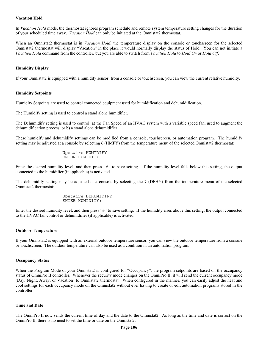### **Vacation Hold**

In *Vacation Hold* mode, the thermostat ignores program schedule and remote system temperature setting changes for the duration of your scheduled time away. *Vacation Hold* can only be initiated at the Omnistat2 thermostat.

When an Omnistat2 thermostat is in *Vacation Hold*, the temperature display on the console or touchscreen for the selected Omnistat2 thermostat will display "Vacation" in the place it would normally display the status of Hold. You can not initiate a *Vacation Hold* command from the controller, but you are able to switch from *Vacation Hold* to *Hold On* or *Hold Off*.

### **Humidity Display**

If your Omnistat2 is equipped with a humidity sensor, from a console or touchscreen, you can view the current relative humidity.

### **Humidity Setpoints**

Humidity Setpoints are used to control connected equipment used for humidification and dehumidification.

The Humidify setting is used to control a stand alone humidifier.

The Dehumidify setting is used to control: a) the Fan Speed of an HVAC system with a variable speed fan, used to augment the dehumidification process, or b) a stand alone dehumidifier.

These humidify and dehumidify settings can be modified from a console, touchscreen, or automation program. The humidify setting may be adjusted at a console by selecting 6 (HMFY) from the temperature menu of the selected Omnistat2 thermostat:

> Upstairs HUMIDIFY ENTER HUMIDITY:

Enter the desired humidity level, and then press ' # ' to save setting. If the humidity level falls below this setting, the output connected to the humidifier (if applicable) is activated.

The dehumidify setting may be adjusted at a console by selecting the 7 (DFHY) from the temperature menu of the selected Omnistat2 thermostat:

> Upstairs DEHUMIDIFY ENTER HUMIDITY:

Enter the desired humidity level, and then press '#' to save setting. If the humidity rises above this setting, the output connected to the HVAC fan control or dehumidifier (if applicable) is activated.

### **Outdoor Temperature**

If your Omnistat2 is equipped with an external outdoor temperature sensor, you can view the outdoor temperature from a console or touchscreen. The outdoor temperature can also be used as a condition in an automation program.

#### **Occupancy Status**

When the Program Mode of your Omnistat2 is configured for "Occupancy", the program setpoints are based on the occupancy status of OmniPro II controller. Whenever the security mode changes on the OmniPro II, it will send the current occupancy mode (Day, Night, Away, or Vacation) to Omnistat2 thermostat. When configured in the manner, you can easily adjust the heat and cool settings for each occupancy mode on the Omnistat2 without ever having to create or edit automation programs stored in the controller.

### **Time and Date**

The OmniPro II now sends the current time of day and the date to the Omnistat2. As long as the time and date is correct on the OmniPro II, there is no need to set the time or date on the Omnistat2.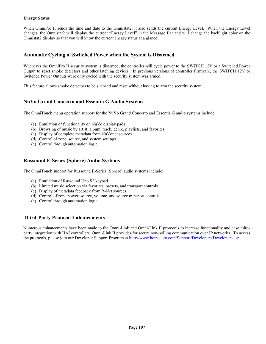## **Energy Status**

When OmniPro II sends the time and date to the Omnistat2, it also sends the current Energy Level. When the Energy Level changes, the Omnistat2 will display the current "Energy Level" in the Message Bar and will change the backlight color on the Omnistat2 display so that you will know the current energy status at a glance.

## **Automatic Cycling of Switched Power when the System is Disarmed**

Whenever the OmniPro II security system is disarmed, the controller will cycle power to the SWITCH 12V or a Switched Power Output to reset smoke detectors and other latching devices. In previous versions of controller firmware, the SWITCH 12V or Switched Power Outputs were only cycled with the security system was armed.

This feature allows smoke detectors to be silenced and reset without having to arm the security system.

## **NuVo Grand Concerto and Essentia G Audio Systems**

The OmniTouch menu operation support for the NuVo Grand Concerto and Essentia G audio systems include:

- (a) Emulation of functionality on NuVo display pads
- (b) Browsing of music by artist, album, track, genre, playlists, and favorites
- (c) Display of complete metadata from NuVonet sources
- (d) Control of zone, source, and system settings
- (e) Control through automation logic

## **Russound E-Series (Sphere) Audio Systems**

The OmniTouch support for Russound E-Series (Sphere) audio systems include:

- (a) Emulation of Russound Uno S2 keypad
- (b) Limited music selection via favorites, presets, and transport controls
- (c) Display of metadata feedback from R-Net sources
- (d) Control of zone power, source, volume, and source transport controls
- (e) Control through automation logic

## **Third-Party Protocol Enhancements**

Numerous enhancements have been made to the Omni-Link and Omni-Link II protocols to increase functionality and ease thirdparty integration with HAI controllers. Omni-Link II provides for secure non-polling communication over IP networks. To access the protocols, please join our Developer Support Program at<http://www.homeauto.com/Support/Developers/Developers.asp>.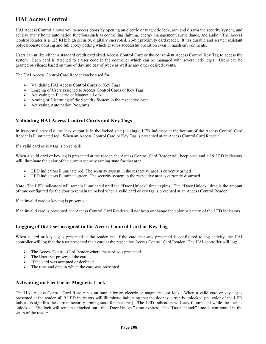# **HAI Access Control**

HAI Access Control allows you to access doors by opening an electric or magnetic lock, arm and disarm the security system, and achieve many home automation functions such as controlling lighting, energy management, surveillance, and audio. The Access Control Reader is a 125 KHz high security, digitally encrypted, 26-bit proximity card reader. It has durable and scratch resistant polycarbonate housing and full epoxy potting which ensures successful operation even in harsh environments.

Users can utilize either a standard credit card sized Access Control Card or the convenient Access Control Key Tag to access the system. Each card is attached to a user code in the controller which can be managed with several privileges. Users can be granted privileges based on time of day and day of week as well as any other desired events.

The HAI Access Control Card Reader can be used for:

- ¾ Validating HAI Access Control Cards or Key Tags
- ¾ Logging of Users assigned to Access Control Cards or Key Tags
- $\triangleright$  Activating an Electric or Magnetic Lock
- ¾ Arming or Disarming of the Security System in the respective Area
- $\triangleright$  Activating Automation Programs

## **Validating HAI Access Control Cards and Key Tags**

In its normal state (i.e. the lock output is in the locked state), a single LED indicator at the bottom of the Access Control Card Reader is illuminated red. When an Access Control Card or Key Tag is presented at an Access Control Card Reader:

### If a valid card or key tag is presented:

When a valid card or key tag is presented at the reader, the Access Control Card Reader will beep once and all 9 LED indicators will illuminate the color of the current security arming state for that area.

- $\triangleright$  LED indicators illuminate red: The security system in the respective area is currently armed
- $\triangleright$  LED indicators illuminate green: The security system in the respective area is currently disarmed

**Note:** The LED indicators will remain illuminated until the "Door Unlock" time expires. The "Door Unlock" time is the amount of time configured for the door to remain unlocked when a valid card or key tag is presented at an Access Control Reader.

### If an invalid card or key tag is presented:

If an invalid card is presented, the Access Control Card Reader will not beep or change the color or pattern of the LED indicators.

## **Logging of the User assigned to the Access Control Card or Key Tag**

When a card or key tag is presented at the reader and if the card that was presented is configured to log activity, the HAI controller will log that the user presented their card at the respective Access Control Card Reader. The HAI controller will log:

- ¾ The Access Control Card Reader where the card was presented
- $\triangleright$  The User that presented the card
- $\triangleright$  If the card was accepted or declined
- $\triangleright$  The time and date in which the card was presented

## **Activating an Electric or Magnetic Lock**

The HAI Access Control Card Reader has an output for an electric or magnetic door lock. When a valid card or key tag is presented at the reader, all 9 LED indicators will illuminate indicating that the door is currently unlocked (the color of the LED indicators signifies the current security arming state for that area). The LED indicators will stay illuminated while the lock is unlocked. The lock will remain unlocked until the "Door Unlock" time expires. The "Door Unlock" time is configured in the setup of the reader.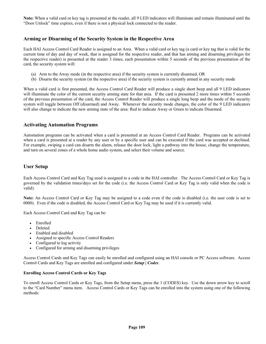**Note:** When a valid card or key tag is presented at the reader, all 9 LED indicators will illuminate and remain illuminated until the "Door Unlock" time expires, even if there is not a physical lock connected to the reader.

## **Arming or Disarming of the Security System in the Respective Area**

Each HAI Access Control Card Reader is assigned to an Area. When a valid card or key tag (a card or key tag that is valid for the current time of day and day of week, that is assigned for the respective reader, and that has arming and disarming privileges for the respective reader) is presented at the reader 3 times, each presentation within 5 seconds of the previous presentation of the card, the security system will:

- (a) Arm to the Away mode (in the respective area) if the security system is currently disarmed, OR
- (b) Disarm the security system (in the respective area) if the security system is currently armed in any security mode

When a valid card is first presented, the Access Control Card Reader will produce a single short beep and all 9 LED indicators will illuminate the color of the current security arming state for that area. If the card is presented 2 more times within 5 seconds of the previous presentation of the card, the Access Control Reader will produce a single long beep and the mode of the security system will toggle between Off (disarmed) and Away. Whenever the security mode changes, the color of the 9 LED indicators will also change to indicate the new arming state of the area: Red to indicate Away or Green to indicate Disarmed.

## **Activating Automation Programs**

Automation programs can be activated when a card is presented at an Access Control Card Reader. Programs can be activated when a card is presented at a reader by any user or by a specific user and can be executed if the card was accepted or declined. For example, swiping a card can disarm the alarm, release the door lock, light a pathway into the house, change the temperature, and turn on several zones of a whole home audio system, and select their volume and source.

## **User Setup**

Each Access Control Card and Key Tag used is assigned to a code in the HAI controller. The Access Control Card or Key Tag is governed by the validation times/days set for the code (i.e. the Access Control Card or Key Tag is only valid when the code is valid).

**Note:** An Access Control Card or Key Tag may be assigned to a code even if the code is disabled (i.e. the user code is set to 0000). Even if the code is disabled, the Access Control Card or Key Tag may be used if it is currently valid.

Each Access Control Card and Key Tag can be:

- Enrolled
- Deleted
- Enabled and disabled
- Assigned to specific Access Control Readers
- Configured to log activity
- Configured for arming and disarming privileges

Access Control Cards and Key Tags can easily be enrolled and configured using an HAI console or PC Access software. Access Control Cards and Key Tags are enrolled and configured under *Setup | Codes*.

### **Enrolling Access Control Cards or Key Tags**

To enroll Access Control Cards or Key Tags, from the Setup menu, press the 1 (CODES) key. Use the down arrow key to scroll to the "Card Number" menu item. Access Control Cards or Key Tags can be enrolled into the system using one of the following methods: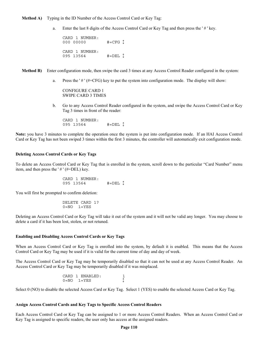**Method A)** Typing in the ID Number of the Access Control Card or Key Tag:

a. Enter the last 8 digits of the Access Control Card or Key Tag and then press the '#' key.

 CARD 1 NUMBER: 000 00000 #=CFG 1 CARD 1 NUMBER: 095 13564 #=DEL 1

**Method B)** Enter configuration mode, then swipe the card 3 times at any Access Control Reader configured in the system:

a. Press the ' $\#$ ' ( $\#$ =CFG) key to put the system into configuration mode. The display will show:

CONFIGURE CARD 1 SWIPE CARD 3 TIMES

b. Go to any Access Control Reader configured in the system, and swipe the Access Control Card or Key Tag 3 times in front of the reader:

 CARD 1 NUMBER: 095 13564 #=DEL <sup>1</sup>

**Note:** you have 3 minutes to complete the operation once the system is put into configuration mode. If an HAI Access Control Card or Key Tag has not been swiped 3 times within the first 3 minutes, the controller will automatically exit configuration mode.

### **Deleting Access Control Cards or Key Tags**

To delete an Access Control Card or Key Tag that is enrolled in the system, scroll down to the particular "Card Number" menu item, and then press the ' # ' (#=DEL) key.

> CARD 1 NUMBER: 095 13564 #=DEL 1

You will first be prompted to confirm deletion:

 DELETE CARD 1?  $0=NO$   $1=YES$ 

Deleting an Access Control Card or Key Tag will take it out of the system and it will not be valid any longer. You may choose to delete a card if it has been lost, stolen, or not retuned.

### **Enabling and Disabling Access Control Cards or Key Tags**

When an Access Control Card or Key Tag is enrolled into the system, by default it is enabled. This means that the Access Control Card or Key Tag may be used if it is valid for the current time of day and day of week.

The Access Control Card or Key Tag may be temporarily disabled so that it can not be used at any Access Control Reader. An Access Control Card or Key Tag may be temporarily disabled if it was misplaced.

> CARD 1 ENABLED:  $1 = YFS$  1  $0=NO$   $1=YES$

Select 0 (NO) to disable the selected Access Card or Key Tag. Select 1 (YES) to enable the selected Access Card or Key Tag.

#### **Assign Access Control Cards and Key Tags to Specific Access Control Readers**

Each Access Control Card or Key Tag can be assigned to 1 or more Access Control Readers. When an Access Control Card or Key Tag is assigned to specific readers, the user only has access at the assigned readers.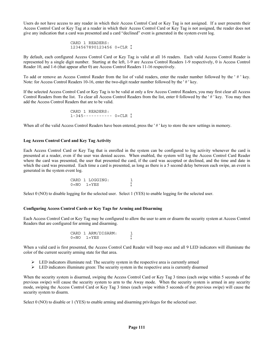Users do not have access to any reader in which their Access Control Card or Key Tag is not assigned. If a user presents their Access Control Card or Key Tag at a reader in which their Access Control Card or Key Tag is not assigned, the reader does not give any indication that a card was presented and a card "declined" event is generated in the system event log.

> CARD 1 READERS: 1234567890123456 0=CLR ¦

By default, each configured Access Control Card or Key Tag is valid at all 16 readers. Each valid Access Control Reader is represented by a single digit number. Starting at the left, 1-9 are Access Control Readers 1-9 respectively, 0 is Access Control Reader 10, and 1-6 (that appear after 0) are Access Control Readers 11-16 respectively.

To add or remove an Access Control Reader from the list of valid readers, enter the reader number followed by the ' # ' key. Note: for Access Control Readers 10-16, enter the two-digit reader number followed by the '#' key.

If the selected Access Control Card or Key Tag is to be valid at only a few Access Control Readers, you may first clear all Access Control Readers from the list. To clear all Access Control Readers from the list, enter 0 followed by the '#' key. You may then add the Access Control Readers that are to be valid.

> CARD 1 READERS:  $1-345-$ ---------  $0=CLR$

When all of the valid Access Control Readers have been entered, press the '#' key to store the new settings in memory.

### **Log Access Control Card and Key Tag Activity**

Each Access Control Card or Key Tag that is enrolled in the system can be configured to log activity whenever the card is presented at a reader, even if the user was denied access. When enabled, the system will log the Access Control Card Reader where the card was presented, the user that presented the card, if the card was accepted or declined, and the time and date in which the card was presented. Each time a card is presented, as long as there is a 5 second delay between each swipe, an event is generated in the system event log.

$$
\begin{matrix}\n\text{CAP} & 1 & \text{LOGGING}: \\
0 = \text{NO} & 1 = \text{YES}\n\end{matrix}
$$

Select 0 (NO) to disable logging for the selected user. Select 1 (YES) to enable logging for the selected user.

### **Configuring Access Control Cards or Key Tags for Arming and Disarming**

Each Access Control Card or Key Tag may be configured to allow the user to arm or disarm the security system at Access Control Readers that are configured for arming and disarming.

$$
\begin{matrix} \text{CARD} & 1 & \text{ARN/DISARM:} \\ \text{O=NO} & 1 = \text{YES} \end{matrix} \quad \begin{matrix} 1 \\ 1 \end{matrix}
$$

When a valid card is first presented, the Access Control Card Reader will beep once and all 9 LED indicators will illuminate the color of the current security arming state for that area.

- $\triangleright$  LED indicators illuminate red: The security system in the respective area is currently armed
- $\triangleright$  LED indicators illuminate green: The security system in the respective area is currently disarmed

When the security system is disarmed, swiping the Access Control Card or Key Tag 3 times (each swipe within 5 seconds of the previous swipe) will cause the security system to arm to the Away mode. When the security system is armed in any security mode, swiping the Access Control Card or Key Tag 3 times (each swipe within 5 seconds of the previous swipe) will cause the security system to disarm.

Select 0 (NO) to disable or 1 (YES) to enable arming and disarming privileges for the selected user.